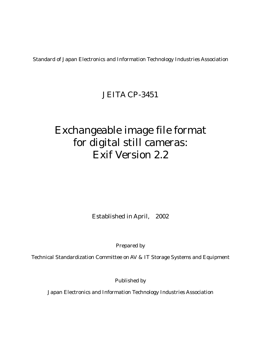Standard of Japan Electronics and Information Technology Industries Association

# JEITA CP-3451

# Exchangeable image file format for digital still cameras: Exif Version 2.2

Established in April, 2002

Prepared by

Technical Standardization Committee on AV & IT Storage Systems and Equipment

Published by

Japan Electronics and Information Technology Industries Association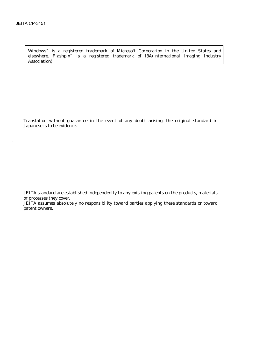.

Windows™ is a registered trademark of Microsoft Corporation in the United States and elsewhere. Flashpix™ is a registered trademark of I3A(International Imaging Industry Association).

Translation without guarantee in the event of any doubt arising, the original standard in Japanese is to be evidence.

JEITA standard are established independently to any existing patents on the products, materials or processes they cover.

JEITA assumes absolutely no responsibility toward parties applying these standards or toward patent owners.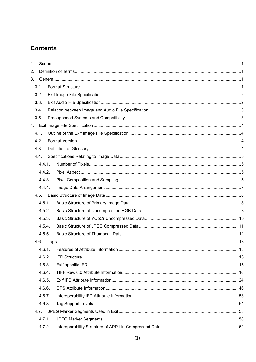# **Contents**

| 1. |      |        |  |  |  |
|----|------|--------|--|--|--|
| 2. |      |        |  |  |  |
| 3. |      |        |  |  |  |
|    | 3.1. |        |  |  |  |
|    | 3.2. |        |  |  |  |
|    | 3.3. |        |  |  |  |
|    | 3.4. |        |  |  |  |
|    | 3.5. |        |  |  |  |
|    |      |        |  |  |  |
|    | 4.1. |        |  |  |  |
|    | 4.2. |        |  |  |  |
|    | 4.3. |        |  |  |  |
|    | 4.4. |        |  |  |  |
|    |      | 4.4.1. |  |  |  |
|    |      | 4.4.2. |  |  |  |
|    |      | 4.4.3. |  |  |  |
|    |      | 4.4.4. |  |  |  |
|    |      | 4.5.   |  |  |  |
|    |      | 4.5.1. |  |  |  |
|    |      | 4.5.2. |  |  |  |
|    |      | 4.5.3. |  |  |  |
|    |      | 4.5.4. |  |  |  |
|    |      | 4.5.5. |  |  |  |
|    |      |        |  |  |  |
|    |      | 4.6.1. |  |  |  |
|    |      | 4.6.2. |  |  |  |
|    |      | 4.6.3. |  |  |  |
|    |      | 4.6.4. |  |  |  |
|    |      | 4.6.5. |  |  |  |
|    |      | 4.6.6. |  |  |  |
|    |      | 4.6.7. |  |  |  |
|    |      | 4.6.8. |  |  |  |
|    | 4.7. |        |  |  |  |
|    |      | 4.7.1. |  |  |  |
|    |      | 4.7.2. |  |  |  |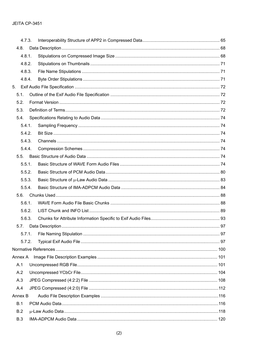|            | 4.7.3. |  |
|------------|--------|--|
| 4.8.       |        |  |
|            | 4.8.1. |  |
|            | 4.8.2. |  |
|            | 4.8.3. |  |
|            | 4.8.4. |  |
| 5.         |        |  |
| 5.1.       |        |  |
| 5.2.       |        |  |
| 5.3.       |        |  |
| 5.4.       |        |  |
|            | 5.4.1. |  |
|            | 5.4.2. |  |
|            | 5.4.3. |  |
|            | 5.4.4. |  |
| 5.5.       |        |  |
|            | 5.5.1. |  |
|            | 5.5.2. |  |
|            | 5.5.3. |  |
|            | 5.5.4. |  |
| 5.6.       |        |  |
|            | 5.6.1. |  |
|            | 5.6.2. |  |
|            | 5.6.3. |  |
| 5.7.       |        |  |
|            | 5.7.1. |  |
|            | 5.7.2. |  |
|            |        |  |
| Annex A    |        |  |
| A.1        |        |  |
| A.2        |        |  |
| A.3        |        |  |
| A.4        |        |  |
| Annex B    |        |  |
| B.1        |        |  |
| B.2        |        |  |
| <b>B.3</b> |        |  |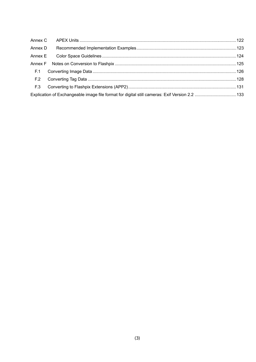| Annex D |  |
|---------|--|
| Annex E |  |
|         |  |
| F.1     |  |
| F.2     |  |
| F.3     |  |
|         |  |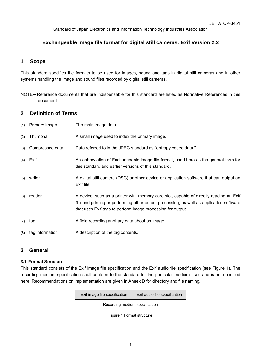Standard of Japan Electronics and Information Technology Industries Association

# **Exchangeable image file format for digital still cameras: Exif Version 2.2**

# **1 Scope**

This standard specifies the formats to be used for images, sound and tags in digital still cameras and in other systems handling the image and sound files recorded by digital still cameras.

NOTE Reference documents that are indispensable for this standard are listed as Normative References in this document.

# **2 Definition of Terms**

| (1) | Primary image   | The main image data                                                                                                                                                                                                                               |
|-----|-----------------|---------------------------------------------------------------------------------------------------------------------------------------------------------------------------------------------------------------------------------------------------|
| (2) | Thumbnail       | A small image used to index the primary image.                                                                                                                                                                                                    |
| (3) | Compressed data | Data referred to in the JPEG standard as "entropy coded data."                                                                                                                                                                                    |
| (4) | Exif            | An abbreviation of Exchangeable image file format, used here as the general term for<br>this standard and earlier versions of this standard.                                                                                                      |
| (5) | writer          | A digital still camera (DSC) or other device or application software that can output an<br>Exif file.                                                                                                                                             |
| (6) | reader          | A device, such as a printer with memory card slot, capable of directly reading an Exif<br>file and printing or performing other output processing, as well as application software<br>that uses Exif tags to perform image processing for output. |
| (7) | tag             | A field recording ancillary data about an image.                                                                                                                                                                                                  |
| (8) | tag information | A description of the tag contents.                                                                                                                                                                                                                |

# **3 General**

# **3.1 Format Structure**

This standard consists of the Exif image file specification and the Exif audio file specification (see Figure 1). The recording medium specification shall conform to the standard for the particular medium used and is not specified here. Recommendations on implementation are given in Annex D for directory and file naming.

|                                | Exif image file specification | Exif audio file specification |
|--------------------------------|-------------------------------|-------------------------------|
| Recording medium specification |                               |                               |
|                                |                               |                               |

Figure 1 Format structure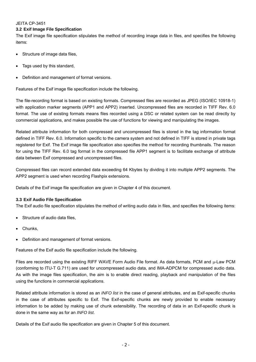#### **3.2 Exif Image File Specification**

The Exif image file specification stipulates the method of recording image data in files, and specifies the following items:

- Structure of image data files,
- Tags used by this standard,
- Definition and management of format versions.

Features of the Exif image file specification include the following.

The file-recording format is based on existing formats. Compressed files are recorded as JPEG (ISO/IEC 10918-1) with application marker segments (APP1 and APP2) inserted. Uncompressed files are recorded in TIFF Rev. 6.0 format. The use of existing formats means files recorded using a DSC or related system can be read directly by commercial applications, and makes possible the use of functions for viewing and manipulating the images.

Related attribute information for both compressed and uncompressed files is stored in the tag information format defined in TIFF Rev. 6.0. Information specific to the camera system and not defined in TIFF is stored in private tags registered for Exif. The Exif image file specification also specifies the method for recording thumbnails. The reason for using the TIFF Rev. 6.0 tag format in the compressed file APP1 segment is to facilitate exchange of attribute data between Exif compressed and uncompressed files.

Compressed files can record extended data exceeding 64 Kbytes by dividing it into multiple APP2 segments. The APP2 segment is used when recording Flashpix extensions.

Details of the Exif image file specification are given in Chapter 4 of this document.

#### **3.3 Exif Audio File Specification**

The Exif audio file specification stipulates the method of writing audio data in files, and specifies the following items:

- Structure of audio data files,
- Chunks.
- Definition and management of format versions.

Features of the Exif audio file specification include the following.

Files are recorded using the existing RIFF WAVE Form Audio File format. As data formats, PCM and µ-Law PCM (conforming to ITU-T G.711) are used for uncompressed audio data, and IMA-ADPCM for compressed audio data. As with the image files specification, the aim is to enable direct reading, playback and manipulation of the files using the functions in commercial applications.

Related attribute information is stored as an *INFO list* in the case of general attributes, and as Exif-specific chunks in the case of attributes specific to Exif. The Exif-specific chunks are newly provided to enable necessary information to be added by making use of chunk extensibility. The recording of data in an Exif-specific chunk is done in the same way as for an *INFO list*.

Details of the Exif audio file specification are given in Chapter 5 of this document.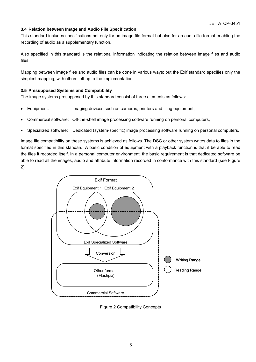# **3.4 Relation between Image and Audio File Specification**

This standard includes specifications not only for an image file format but also for an audio file format enabling the recording of audio as a supplementary function.

Also specified in this standard is the relational information indicating the relation between image files and audio files.

Mapping between image files and audio files can be done in various ways; but the Exif standard specifies only the simplest mapping, with others left up to the implementation.

#### **3.5 Presupposed Systems and Compatibility**

The image systems presupposed by this standard consist of three elements as follows:

- Equipment: Imaging devices such as cameras, printers and filing equipment,
- Commercial software: Off-the-shelf image processing software running on personal computers,
- Specialized software: Dedicated (system-specific) image processing software running on personal computers.

Image file compatibility on these systems is achieved as follows. The DSC or other system writes data to files in the format specified in this standard. A basic condition of equipment with a playback function is that it be able to read the files it recorded itself. In a personal computer environment, the basic requirement is that dedicated software be able to read all the images, audio and attribute information recorded in conformance with this standard (see Figure 2).



Figure 2 Compatibility Concepts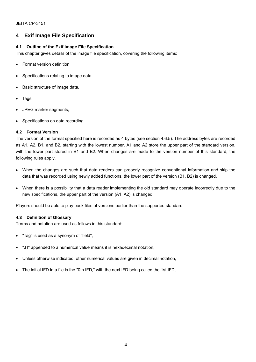# **4 Exif Image File Specification**

# **4.1 Outline of the Exif Image File Specification**

This chapter gives details of the image file specification, covering the following items:

- Format version definition,
- Specifications relating to image data,
- Basic structure of image data,
- Tags,
- JPEG marker segments,
- Specifications on data recording.

#### **4.2 Format Version**

The version of the format specified here is recorded as 4 bytes (see section 4.6.5). The address bytes are recorded as A1, A2, B1, and B2, starting with the lowest number. A1 and A2 store the upper part of the standard version, with the lower part stored in B1 and B2. When changes are made to the version number of this standard, the following rules apply.

- When the changes are such that data readers can properly recognize conventional information and skip the data that was recorded using newly added functions, the lower part of the version (B1, B2) is changed.
- When there is a possibility that a data reader implementing the old standard may operate incorrectly due to the new specifications, the upper part of the version (A1, A2) is changed.

Players should be able to play back files of versions earlier than the supported standard.

# **4.3 Definition of Glossary**

Terms and notation are used as follows in this standard:

- "Tag" is used as a synonym of "field",
- ".H" appended to a numerical value means it is hexadecimal notation,
- Unless otherwise indicated, other numerical values are given in decimal notation,
- The initial IFD in a file is the "0th IFD," with the next IFD being called the 1st IFD,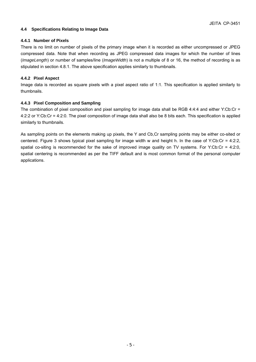#### **4.4 Specifications Relating to Image Data**

#### **4.4.1 Number of Pixels**

There is no limit on number of pixels of the primary image when it is recorded as either uncompressed or JPEG compressed data. Note that when recording as JPEG compressed data images for which the number of lines (*ImageLength*) or number of samples/line (*ImageWidth*) is not a multiple of 8 or 16, the method of recording is as stipulated in section 4.8.1. The above specification applies similarly to thumbnails.

#### **4.4.2 Pixel Aspect**

Image data is recorded as square pixels with a pixel aspect ratio of 1:1. This specification is applied similarly to thumbnails.

#### **4.4.3 Pixel Composition and Sampling**

The combination of pixel composition and pixel sampling for image data shall be RGB 4:4:4 and either Y:Cb:Cr = 4:2:2 or Y:Cb:Cr = 4:2:0. The pixel composition of image data shall also be 8 bits each. This specification is applied similarly to thumbnails.

As sampling points on the elements making up pixels, the Y and Cb,Cr sampling points may be either co-sited or centered. Figure 3 shows typical pixel sampling for image width w and height h. In the case of Y:Cb:Cr = 4:2:2, spatial co-siting is recommended for the sake of improved image quality on TV systems. For Y:Cb:Cr = 4:2:0, spatial centering is recommended as per the TIFF default and is most common format of the personal computer applications.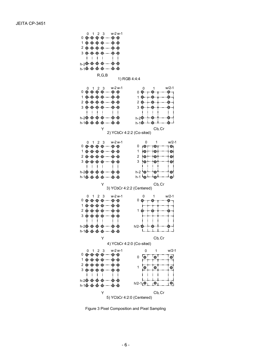

R,G,B





Figure 3 Pixel Composition and Pixel Sampling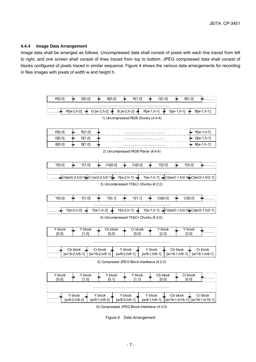#### **4.4.4 Image Data Arrangement**

Image data shall be arranged as follows. Uncompressed data shall consist of pixels with each line traced from left to right, and one screen shall consist of lines traced from top to bottom. JPEG compressed data shall consist of blocks configured of pixels traced in similar sequence. Figure 4 shows the various data arrangements for recording in files images with pixels of width w and height h.



6) Compressed JPEG Block-Interleave (4:2:0)

Figure 4 Data Arrangement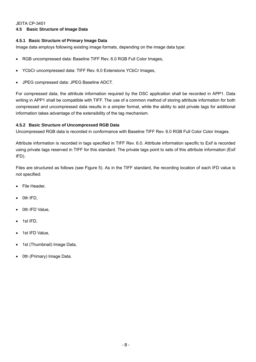# **4.5 Basic Structure of Image Data**

# **4.5.1 Basic Structure of Primary Image Data**

Image data employs following existing image formats, depending on the image data type:

- RGB uncompressed data: Baseline TIFF Rev. 6.0 RGB Full Color Images,
- YCbCr uncompressed data: TIFF Rev. 6.0 Extensions YCbCr Images,
- JPEG compressed data: JPEG Baseline ADCT.

For compressed data, the attribute information required by the DSC application shall be recorded in APP1. Data writing in APP1 shall be compatible with TIFF. The use of a common method of storing attribute information for both compressed and uncompressed data results in a simpler format, while the ability to add private tags for additional information takes advantage of the extensibility of the tag mechanism.

# **4.5.2 Basic Structure of Uncompressed RGB Data**

Uncompressed RGB data is recorded in conformance with Baseline TIFF Rev. 6.0 RGB Full Color Color Images.

Attribute information is recorded in tags specified in TIFF Rev. 6.0. Attribute information specific to Exif is recorded using private tags reserved in TIFF for this standard. The private tags point to sets of this attribute information (Exif IFD).

Files are structured as follows (see Figure 5). As in the TIFF standard, the recording location of each IFD value is not specified:

- File Header.
- 0th IFD,
- 0th IFD Value,
- 1st IFD,
- 1st IFD Value,
- 1st (Thumbnail) Image Data,
- 0th (Primary) Image Data.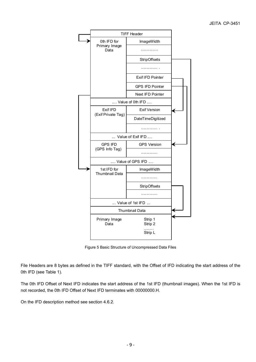

Figure 5 Basic Structure of Uncompressed Data Files

File Headers are 8 bytes as defined in the TIFF standard, with the Offset of IFD indicating the start address of the 0th IFD (see Table 1).

The 0th IFD Offset of Next IFD indicates the start address of the 1st IFD (thumbnail images). When the 1st IFD is not recorded, the 0th IFD Offset of Next IFD terminates with 00000000.H.

On the IFD description method see section 4.6.2.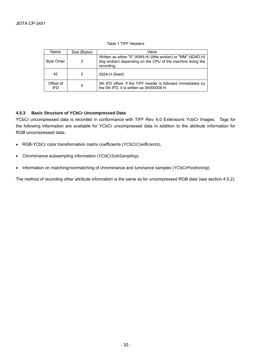#### Table 1 TIFF Headers

| Name                    | Size (Bytes) | Value                                                                                                                                        |
|-------------------------|--------------|----------------------------------------------------------------------------------------------------------------------------------------------|
| <b>Byte Order</b>       | 2            | Written as either "II" (4949.H) (little endian) or "MM" (4D4D.H)<br>(big endian) depending on the CPU of the machine doing the<br>recording. |
| 42                      |              | 002A.H (fixed)                                                                                                                               |
| Offset of<br><b>IFD</b> | 4            | Oth IFD offset. If the TIFF header is followed immediately by<br>the 0th IFD, it is written as 00000008.H.                                   |

#### **4.5.3 Basic Structure of YCbCr Uncompressed Data**

YCbCr uncompressed data is recorded in conformance with TIFF Rev. 6.0 Extensions YcbCr Images. Tags for the following information are available for YCbCr uncompressed data in addition to the attribute information for RGB uncompressed data;

- RGB-YCbCr color transformation matrix coefficients (*YCbCrCoefficients*),
- Chrominance subsampling information (*YCbCrSubSampling*),
- Information on matching/nonmatching of chrominance and luminance samples (*YCbCrPositioning*).

The method of recording other attribute information is the same as for uncompressed RGB data (see section 4.5.2).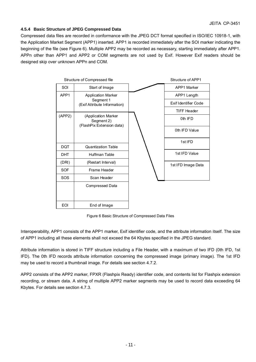# **4.5.4 Basic Structure of JPEG Compressed Data**

Compressed data files are recorded in conformance with the JPEG DCT format specified in ISO/IEC 10918-1, with the Application Market Segment (APP1) inserted. APP1 is recorded immediately after the SOI marker indicating the beginning of the file (see Figure 6). Multiple APP2 may be recorded as necessary, starting immediately after APP1. APPn other than APP1 and APP2 or COM segments are not used by Exif. However Exif readers should be designed skip over unknown APPn and COM.

|            | Structure of Compressed file                                   | Structure of APP1    |
|------------|----------------------------------------------------------------|----------------------|
| SOI        | Start of Image                                                 | APP1 Marker          |
| APP1       | <b>Application Marker</b>                                      | APP1 Length          |
|            | Segment 1<br>(Exif Attribute Information)                      | Exif Identifier Code |
|            |                                                                | <b>TIFF Header</b>   |
| (APP2)     | (Application Marker<br>Segment 2)<br>(FlashPix Extension data) | 0th IFD              |
|            |                                                                | 0th IFD Value        |
|            |                                                                | 1st IFD              |
| <b>DQT</b> | <b>Quantization Table</b>                                      |                      |
| <b>DHT</b> | Huffman Table                                                  | 1st IFD Value        |
| (DRI)      | (Restart Interval)                                             | 1st IFD Image Data   |
| <b>SOF</b> | Frame Header                                                   |                      |
| SOS        | Scan Header                                                    |                      |
|            | <b>Compressed Data</b>                                         |                      |
| EOI        | End of Image                                                   |                      |

Figure 6 Basic Structure of Compressed Data Files

Interoperability, APP1 consists of the APP1 marker, Exif identifier code, and the attribute information itself. The size of APP1 including all these elements shall not exceed the 64 Kbytes specified in the JPEG standard.

Attribute information is stored in TIFF structure including a File Header, with a maximum of two IFD (0th IFD, 1st IFD). The 0th IFD records attribute information concerning the compressed image (primary image). The 1st IFD may be used to record a thumbnail image. For details see section 4.7.2.

APP2 consists of the APP2 marker, FPXR (Flashpix Ready) identifier code, and contents list for Flashpix extension recording, or stream data. A string of multiple APP2 marker segments may be used to record data exceeding 64 Kbytes. For details see section 4.7.3.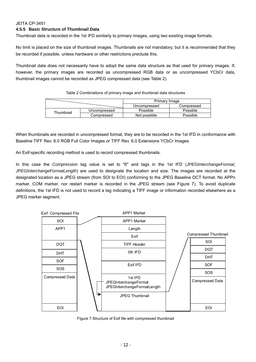# **4.5.5 Basic Structure of Thumbnail Data**

Thumbnail data is recorded in the 1st IFD similarly to primary images, using two existing image formats.

No limit is placed on the size of thumbnail images. Thumbnails are not mandatory, but it is recommended that they be recorded if possible, unless hardware or other restrictions preclude this.

Thumbnail data does not necessarily have to adopt the same data structure as that used for primary images. If, however, the primary images are recorded as uncompressed RGB data or as uncompressed YCbCr data, thumbnail images cannot be recorded as JPEG compressed data (see Table 2).

Table 2 Combinations of primary image and thumbnail data structures

|           |              | Primary Image |            |
|-----------|--------------|---------------|------------|
|           |              | Uncompressed  | Compressed |
| Thumbnail | Uncompressed | Possible      | Possible   |
|           | Compressed   | Not possible  | Possible   |

When thumbnails are recorded in uncompressed format, they are to be recorded in the 1st IFD in conformance with Baseline TIFF Rev. 6.0 RGB Full Color Images or TIFF Rev. 6.0 Extensions YCbCr Images.

An Exif-specific recording method is used to record compressed thumbnails.

In this case the *Compression* tag value is set to "6" and tags in the 1st IFD (*JPEGInterchangeFormat*, *JPEGInterchangeFormatLength*) are used to designate the location and size. The images are recorded at the designated location as a JPEG stream (from SOI to EOI) conforming to the JPEG Baseline DCT format. No APPn marker, COM marker, nor restart marker is recorded in the JPEG stream (see Figure 7). To avoid duplicate definitions, the 1st IFD is not used to record a tag indicating a TIFF image or information recorded elsewhere as a JPEG marker segment.



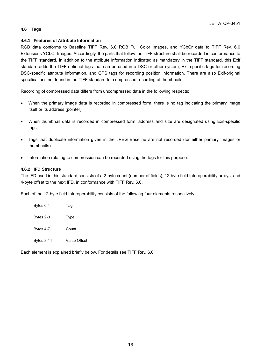# **4.6 Tags**

#### **4.6.1 Features of Attribute Information**

RGB data conforms to Baseline TIFF Rev. 6.0 RGB Full Color Images, and YCbCr data to TIFF Rev. 6.0 Extensions YCbCr Images. Accordingly, the parts that follow the TIFF structure shall be recorded in conformance to the TIFF standard. In addition to the attribute information indicated as mandatory in the TIFF standard, this Exif standard adds the TIFF optional tags that can be used in a DSC or other system, Exif-specific tags for recording DSC-specific attribute information, and GPS tags for recording position information. There are also Exif-original specifications not found in the TIFF standard for compressed recording of thumbnails.

Recording of compressed data differs from uncompressed data in the following respects:

- When the primary image data is recorded in compressed form, there is no tag indicating the primary image itself or its address (pointer),
- When thumbnail data is recorded in compressed form, address and size are designated using Exif-specific tags,
- Tags that duplicate information given in the JPEG Baseline are not recorded (for either primary images or thumbnails).
- Information relating to compression can be recorded using the tags for this purpose.

#### **4.6.2 IFD Structure**

The IFD used in this standard consists of a 2-byte count (number of fields), 12-byte field Interoperability arrays, and 4-byte offset to the next IFD, in conformance with TIFF Rev. 6.0.

Each of the 12-byte field Interoperability consists of the following four elements respectively.

| Bytes 0-1         | Taq          |
|-------------------|--------------|
| Bytes 2-3         | Type         |
| Bytes 4-7         | Count        |
| <b>Bytes 8-11</b> | Value Offset |

Each element is explained briefly below. For details see TIFF Rev. 6.0.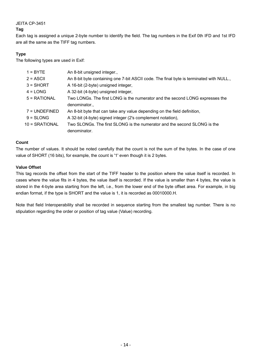# **Tag**

Each tag is assigned a unique 2-byte number to identify the field. The tag numbers in the Exif 0th IFD and 1st IFD are all the same as the TIFF tag numbers.

# **Type**

The following types are used in Exif:

| $1 = BYTE$      | An 8-bit unsigned integer.,                                                             |
|-----------------|-----------------------------------------------------------------------------------------|
| $2 = ASCII$     | An 8-bit byte containing one 7-bit ASCII code. The final byte is terminated with NULL., |
| $3 =$ SHORT     | A 16-bit (2-byte) unsigned integer,                                                     |
| $4 =$ LONG      | A 32-bit (4-byte) unsigned integer,                                                     |
| $5 = RATIONAL$  | Two LONGs. The first LONG is the numerator and the second LONG expresses the            |
|                 | denominator.,                                                                           |
| $7 = UNDEFINED$ | An 8-bit byte that can take any value depending on the field definition,                |
| $9 = SLONG$     | A 32-bit (4-byte) signed integer (2's complement notation),                             |
| 10 = SRATIONAL  | Two SLONGs. The first SLONG is the numerator and the second SLONG is the                |
|                 | denominator.                                                                            |
|                 |                                                                                         |

#### **Count**

The number of values. It should be noted carefully that the count is not the sum of the bytes. In the case of one value of SHORT (16 bits), for example, the count is '1' even though it is 2 bytes.

# **Value Offset**

This tag records the offset from the start of the TIFF header to the position where the value itself is recorded. In cases where the value fits in 4 bytes, the value itself is recorded. If the value is smaller than 4 bytes, the value is stored in the 4-byte area starting from the left, i.e., from the lower end of the byte offset area. For example, in big endian format, if the type is SHORT and the value is 1, it is recorded as 00010000.H.

Note that field Interoperability shall be recorded in sequence starting from the smallest tag number. There is no stipulation regarding the order or position of tag value (Value) recording.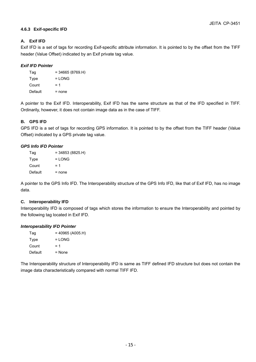# **4.6.3 Exif-specific IFD**

# **A. Exif IFD**

Exif IFD is a set of tags for recording Exif-specific attribute information. It is pointed to by the offset from the TIFF header (Value Offset) indicated by an Exif private tag value.

#### *Exif IFD Pointer*

| Tag     | $= 34665 (8769.H)$ |
|---------|--------------------|
| Type    | $=$ LONG           |
| Count   | $= 1$              |
| Default | = none             |

A pointer to the Exif IFD. Interoperability, Exif IFD has the same structure as that of the IFD specified in TIFF. Ordinarily, however, it does not contain image data as in the case of TIFF.

# **B. GPS IFD**

GPS IFD is a set of tags for recording GPS information. It is pointed to by the offset from the TIFF header (Value Offset) indicated by a GPS private tag value.

#### *GPS Info IFD Pointer*

| Tag     | $= 34853 (8825.H)$ |
|---------|--------------------|
| Type    | $=$ LONG           |
| Count   | $= 1$              |
| Default | $=$ none           |

A pointer to the GPS Info IFD. The Interoperability structure of the GPS Info IFD, like that of Exif IFD, has no image data.

#### **C. Interoperability IFD**

Interoperability IFD is composed of tags which stores the information to ensure the Interoperability and pointed by the following tag located in Exif IFD.

#### *Interoperability IFD Pointer*

| Tag     | $= 40965 (A005.H)$ |
|---------|--------------------|
| Type    | $=$ LONG           |
| Count   | $= 1$              |
| Default | $=$ None           |

The Interoperability structure of Interoperability IFD is same as TIFF defined IFD structure but does not contain the image data characteristically compared with normal TIFF IFD.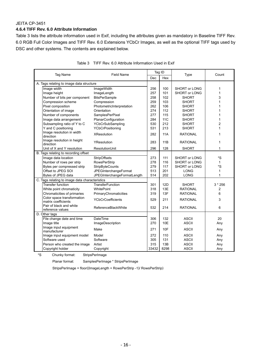#### **4.6.4 TIFF Rev. 6.0 Attribute Information**

Table 3 lists the attribute information used in Exif, including the attributes given as mandatory in Baseline TIFF Rev. 6.0 RGB Full Color Images and TIFF Rev. 6.0 Extensions YCbCr Images, as well as the optional TIFF tags used by DSC and other systems. The contents are explained below.

| <b>Field Name</b><br>Tag Name                     |                              | Tag ID |            | Type                 | Count          |
|---------------------------------------------------|------------------------------|--------|------------|----------------------|----------------|
|                                                   |                              | Dec    | Hex        |                      |                |
| A. Tags relating to image data structure          |                              |        |            |                      |                |
| Image width                                       | ImageWidth                   | 256    | 100        | <b>SHORT or LONG</b> | 1              |
| Image height                                      | ImageLength                  | 257    | 101        | SHORT or LONG        | 1              |
| Number of bits per component                      | <b>BitsPerSample</b>         | 258    | 102        | <b>SHORT</b>         | 3              |
| Compression scheme                                | Compression                  | 259    | 103        | <b>SHORT</b>         | 1              |
| Pixel composition                                 | PhotometricInterpretation    | 262    | 106        | <b>SHORT</b>         | 1              |
| Orientation of image                              | Orientation                  | 274    | 112        | <b>SHORT</b>         | 1              |
| Number of components                              | SamplesPerPixel              | 277    | 115        | <b>SHORT</b>         | 1              |
| Image data arrangement                            | PlanarConfiguration          | 284    | <b>11C</b> | <b>SHORT</b>         | 1              |
| Subsampling ratio of Y to C                       | YCbCrSubSampling             | 530    | 212        | <b>SHORT</b>         | 2              |
| Y and C positioning                               | YCbCrPositioning             | 531    | 213        | <b>SHORT</b>         | 1              |
| Image resolution in width<br>direction            | <b>XResolution</b>           | 282    | 11A        | <b>RATIONAL</b>      | 1              |
| Image resolution in height<br>direction           | YResolution                  | 283    | 11B        | <b>RATIONAL</b>      | 1              |
| Unit of X and Y resolution                        | <b>ResolutionUnit</b>        | 296    | 128        | <b>SHORT</b>         | $\mathbf{1}$   |
| B. Tags relating to recording offset              |                              |        |            |                      |                |
| Image data location                               | StripOffsets                 | 273    | 111        | SHORT or LONG        | *S             |
| Number of rows per strip                          | <b>RowsPerStrip</b>          | 278    | 116        | <b>SHORT or LONG</b> | $\mathbf{1}$   |
| Bytes per compressed strip                        | StripByteCounts              | 279    | 117        | <b>SHORT or LONG</b> | *S             |
| Offset to JPEG SOI                                | <b>JPEGInterchangeFormat</b> | 513    | 201        | <b>LONG</b>          | 1              |
| Bytes of JPEG data                                | JPEGInterchangeFormatLength  | 514    | 202        | <b>LONG</b>          | 1              |
| C. Tags relating to image data characteristics    |                              |        |            |                      |                |
| <b>Transfer function</b>                          | TransferFunction             | 301    | 12D        | <b>SHORT</b>         | $3 * 256$      |
| White point chromaticity                          | WhitePoint                   | 318    | 13E        | <b>RATIONAL</b>      | $\overline{2}$ |
| Chromaticities of primaries                       | PrimaryChromaticities        | 319    | 13F        | <b>RATIONAL</b>      | 6              |
| Color space transformation<br>matrix coefficients | <b>YCbCrCoefficients</b>     | 529    | 211        | <b>RATIONAL</b>      | 3              |
| Pair of black and white<br>reference values       | ReferenceBlackWhite          | 532    | 214        | <b>RATIONAL</b>      | 6              |
| D. Other tags                                     |                              |        |            |                      |                |
| File change date and time                         | <b>DateTime</b>              | 306    | 132        | <b>ASCII</b>         | 20             |
| Image title                                       | ImageDescription             | 270    | 10E        | <b>ASCII</b>         | Any            |
| Image input equipment<br>manufacturer             | Make                         | 271    | 10F        | <b>ASCII</b>         | Any            |
| Image input equipment model                       | Model                        | 272    | 110        | <b>ASCII</b>         | Any            |
| Software used                                     | Software                     | 305    | 131        | <b>ASCII</b>         | Any            |
| Person who created the image                      | Artist                       | 315    | 13B        | <b>ASCII</b>         | Any            |
| Copyright holder                                  | Copyright                    | 33432  | 8298       | <b>ASCII</b>         | Any            |

|  |  | Table 3 TIFF Rev. 6.0 Attribute Information Used in Exif |
|--|--|----------------------------------------------------------|
|  |  |                                                          |

\*S Chunky format: StripsPerImage

Planar format: SamplesPerImage \* StripsPerImage

StripsPerImage = floor((ImageLength + RowsPerStrip -1)/ RowsPerStrip)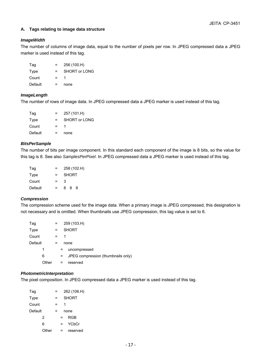### **A. Tags relating to image data structure**

#### *ImageWidth*

The number of columns of image data, equal to the number of pixels per row. In JPEG compressed data a JPEG marker is used instead of this tag.

| Tag     | $=$ | 256 (100.H)   |
|---------|-----|---------------|
| Type    | $=$ | SHORT or LONG |
| Count   | $=$ |               |
| Default |     | none          |

#### *ImageLength*

The number of rows of image data. In JPEG compressed data a JPEG marker is used instead of this tag.

| Taq     | $\equiv$ | 257 (101.H)   |
|---------|----------|---------------|
| Type    | $=$      | SHORT or LONG |
| Count   | $=$      |               |
| Default |          | none          |

#### *BitsPerSample*

The number of bits per image component. In this standard each component of the image is 8 bits, so the value for this tag is 8. See also *SamplesPerPixel*. In JPEG compressed data a JPEG marker is used instead of this tag.

| Tag     | =   | 258 (102.H)  |  |  |
|---------|-----|--------------|--|--|
| Type    | $=$ | <b>SHORT</b> |  |  |
| Count   | $=$ | 3            |  |  |
| Default | $=$ | 888          |  |  |

#### *Compression*

The compression scheme used for the image data. When a primary image is JPEG compressed, this designation is not necessary and is omitted. When thumbnails use JPEG compression, this tag value is set to 6.

| Tag     |       | =   |    | 259 (103.H)                        |
|---------|-------|-----|----|------------------------------------|
| Type    |       |     |    | <b>SHORT</b>                       |
| Count   |       | $=$ | 1  |                                    |
| Default |       | =   |    | none                               |
|         | 1     |     | =  | uncompressed                       |
|         | 6     |     | Ξ. | JPEG compression (thumbnails only) |
|         | Other |     | =  | reserved                           |

#### *PhotometricInterpretation*

The pixel composition. In JPEG compressed data a JPEG marker is used instead of this tag.

| Tag     | = |   | 262 (106.H)  |
|---------|---|---|--------------|
| Type    | = |   | <b>SHORT</b> |
| Count   | = | 1 |              |
| Default | = |   | none         |
| 2       |   |   | RGB          |
| 6       | = |   | <b>YCbCr</b> |
| Other   |   |   | reserved     |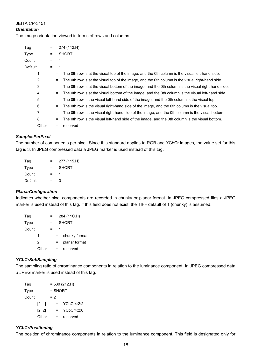#### *Orientation*

The image orientation viewed in terms of rows and columns.

| Tag     |       | $=$ |                                | 274 (112.H)                                                                                         |
|---------|-------|-----|--------------------------------|-----------------------------------------------------------------------------------------------------|
| Type    |       | $=$ |                                | <b>SHORT</b>                                                                                        |
| Count   |       | $=$ |                                |                                                                                                     |
| Default |       | $=$ | 1                              |                                                                                                     |
|         | 1     |     | $\qquad \qquad =\qquad \qquad$ | The 0th row is at the visual top of the image, and the 0th column is the visual left-hand side.     |
|         | 2     |     | =                              | The 0th row is at the visual top of the image, and the 0th column is the visual right-hand side.    |
|         | 3     |     | $\equiv$                       | The 0th row is at the visual bottom of the image, and the 0th column is the visual right-hand side. |
|         | 4     |     | =                              | The 0th row is at the visual bottom of the image, and the 0th column is the visual left-hand side.  |
|         | 5     |     | =                              | The 0th row is the visual left-hand side of the image, and the 0th column is the visual top.        |
|         | 6     |     | $=$                            | The 0th row is the visual right-hand side of the image, and the 0th column is the visual top.       |
|         | 7     |     | $=$                            | The 0th row is the visual right-hand side of the image, and the 0th column is the visual bottom.    |
|         | 8     |     | $=$                            | The 0th row is the visual left-hand side of the image, and the 0th column is the visual bottom.     |
|         | Other |     |                                | reserved                                                                                            |
|         |       |     |                                |                                                                                                     |

#### *SamplesPerPixel*

The number of components per pixel. Since this standard applies to RGB and YCbCr images, the value set for this tag is 3. In JPEG compressed data a JPEG marker is used instead of this tag.

| Tag     | $=$ | 277 (115.H)  |
|---------|-----|--------------|
| Type    | $=$ | <b>SHORT</b> |
| Count   | $=$ |              |
| Default | =   | 3            |

#### *PlanarConfiguration*

Indicates whether pixel components are recorded in chunky or planar format. In JPEG compressed files a JPEG marker is used instead of this tag. If this field does not exist, the TIFF default of 1 (chunky) is assumed.

| Tag   |       |  | 284 (11C.H)   |
|-------|-------|--|---------------|
| Type  |       |  | <b>SHORT</b>  |
| Count |       |  |               |
|       | 1     |  | chunky format |
|       | 2     |  | planar format |
|       | Other |  | reserved      |

# *YCbCrSubSampling*

The sampling ratio of chrominance components in relation to the luminance component. In JPEG compressed data a JPEG marker is used instead of this tag.

| Tag   |        |       |           | $= 530 (212.H)$ |
|-------|--------|-------|-----------|-----------------|
| Type  |        |       | $=$ SHORT |                 |
| Count |        | $= 2$ |           |                 |
|       | [2, 1] |       | $=$       | YCbCr4:2:2      |
|       | [2, 2] |       |           | YCbCr4:2:0      |
|       | Other  |       | $=$       | reserved        |

#### *YCbCrPositioning*

The position of chrominance components in relation to the luminance component. This field is designated only for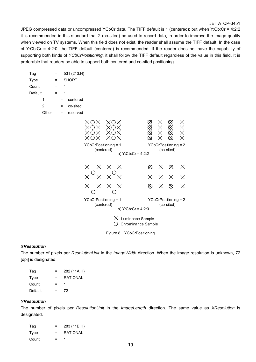JPEG compressed data or uncompressed YCbCr data. The TIFF default is 1 (centered); but when Y:Cb:Cr = 4:2:2 it is recommended in this standard that 2 (co-sited) be used to record data, in order to improve the image quality when viewed on TV systems. When this field does not exist, the reader shall assume the TIFF default. In the case of Y:Cb:Cr = 4:2:0, the TIFF default (centered) is recommended. If the reader does not have the capability of supporting both kinds of *YCbCrPositioning*, it shall follow the TIFF default regardless of the value in this field. It is preferable that readers be able to support both centered and co-sited positioning.

| Tag            |       | $\equiv$          |          | 531 (213.H)  |                                    |                  |                                        |          |          |                                    |                                               |
|----------------|-------|-------------------|----------|--------------|------------------------------------|------------------|----------------------------------------|----------|----------|------------------------------------|-----------------------------------------------|
| Type           |       | $=$               |          | <b>SHORT</b> |                                    |                  |                                        |          |          |                                    |                                               |
| Count          |       | Ξ                 | 1        |              |                                    |                  |                                        |          |          |                                    |                                               |
| Default        |       | $\qquad \qquad =$ | 1        |              |                                    |                  |                                        |          |          |                                    |                                               |
| 1              |       |                   | $=$      | centered     |                                    |                  |                                        |          |          |                                    |                                               |
| $\overline{2}$ |       |                   | $\equiv$ | co-sited     |                                    |                  |                                        |          |          |                                    |                                               |
|                | Other |                   | =        | reserved     |                                    |                  |                                        |          |          |                                    |                                               |
|                |       |                   |          |              | ОX<br>XΟ<br>$\times$               | XOX<br>X()<br>XΟ |                                        | ⊠⊠⊠      |          | $\boxtimes$<br>⊠⊗⊗                 | $\begin{array}{c}\times\\ \times \end{array}$ |
|                |       |                   |          |              | YCbCrPositioning = 1               |                  |                                        |          |          | YCbCrPositioning = 2               |                                               |
|                |       |                   |          |              | (centered)                         |                  |                                        |          |          | (co-sited)                         |                                               |
|                |       |                   |          |              |                                    |                  | a) Y:Cb:Cr = 4:2:2                     |          |          |                                    |                                               |
|                |       |                   |          |              | $\times$<br>$\times$               | $\times$         | $\mathsf{X}$                           | ⊠        | $\times$ | ⊗                                  | Х                                             |
|                |       |                   |          |              |                                    |                  |                                        | $\times$ | $\times$ | $\times$                           | $\times$                                      |
|                |       |                   |          |              | X<br>$\times$                      | $\times$         | X                                      | ⊠        | Χ        | ⊗                                  | $\times$                                      |
|                |       |                   |          |              | YCbCrPositioning = 1<br>(centered) |                  | b) $Y:Cb:Cr = 4:2:0$                   |          |          | YCbCrPositioning = 2<br>(co-sited) |                                               |
|                |       |                   |          |              |                                    | Х                | Luminance Sample<br>Chrominance Sample |          |          |                                    |                                               |
|                |       |                   |          |              |                                    |                  | $\cdots$                               |          |          |                                    |                                               |

# Figure 8 YCbCrPositioning

#### *XResolution*

The number of pixels per *ResolutionUnit* in the *ImageWidth* direction. When the image resolution is unknown, 72 [dpi] is designated.

| Tag     | =   | 282 (11A.H)     |
|---------|-----|-----------------|
| Type    | =   | <b>RATIONAL</b> |
| Count   | $=$ |                 |
| Default | =   | 72              |

#### *YResolution*

The number of pixels per *ResolutionUnit* in the *ImageLength* direction. The same value as *XResolution* is designated.

| Tag   | $=$ | 283 (11B.H)     |
|-------|-----|-----------------|
| Type  | $=$ | <b>RATIONAL</b> |
| Count | $=$ |                 |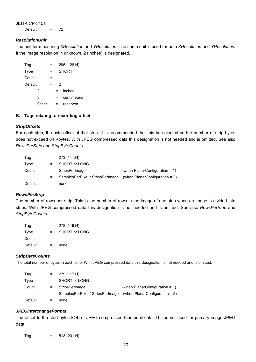JEITA CP-3451 Default  $= 72$ 

#### *ResolutionUnit*

The unit for measuring *XResolution* and *YResolution*. The same unit is used for both *XResolution* and *YResolution.* If the image resolution in unknown, 2 (inches) is designated.

| Tag     |       |   |   | 296 (128.H)  |
|---------|-------|---|---|--------------|
| Type    |       | = |   | <b>SHORT</b> |
| Count   |       | = | 1 |              |
| Default |       | = |   | 2            |
|         | 2     |   | = | inches       |
|         | 3     |   |   | centimeters  |
|         | Other |   |   | reserved     |

#### **B. Tags relating to recording offset**

#### *StripOffsets*

For each strip, the byte offset of that strip. It is recommended that this be selected so the number of strip bytes does not exceed 64 Kbytes. With JPEG compressed data this designation is not needed and is omitted. See also *RowsPerStrip* and *StripByteCounts*.

| Tag     | $=$ $-$                   | 273 (111.H)                      |                                   |
|---------|---------------------------|----------------------------------|-----------------------------------|
| Type    | $\mathbf{r} = \mathbf{r}$ | <b>SHORT or LONG</b>             |                                   |
| Count   | $=$ $-$                   | StripsPerImage                   | (when $PlanarConfiguration = 1$ ) |
|         | $\equiv$ $\equiv$         | SamplesPerPixel * StripsPerImage | (when PlanarConfiguration = $2$ ) |
| Default | =                         | none                             |                                   |

#### *RowsPerStrip*

The number of rows per strip. This is the number of rows in the image of one strip when an image is divided into strips. With JPEG compressed data this designation is not needed and is omitted. See also *RowsPerStrip* and *StripByteCounts*.

| Taq     | $=$ | 278 (116.H)   |
|---------|-----|---------------|
| Type    | $=$ | SHORT or LONG |
| Count   | $=$ |               |
| Default | $=$ | none          |

#### *StripByteCounts*

The total number of bytes in each strip. With JPEG compressed data this designation is not needed and is omitted.

| Tag     | $=$ $-$ | 279 (117.H)                      |                                   |
|---------|---------|----------------------------------|-----------------------------------|
| Type    | $=$ $-$ | <b>SHORT or LONG</b>             |                                   |
| Count   | $=$ $-$ | StripsPerImage                   | (when $PlanarConfiguration = 1$ ) |
|         |         | SamplesPerPixel * StripsPerImage | (when $PlanarConfiguration = 2$ ) |
| Default | =       | none                             |                                   |

#### *JPEGInterchangeFormat*

The offset to the start byte (SOI) of JPEG compressed thumbnail data. This is not used for primary image JPEG data.

 $Tag = 513 (201.H)$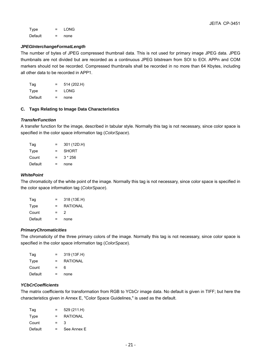Type = LONG Default = none

#### *JPEGInterchangeFormatLength*

The number of bytes of JPEG compressed thumbnail data. This is not used for primary image JPEG data. JPEG thumbnails are not divided but are recorded as a continuous JPEG bitstream from SOI to EOI. APPn and COM markers should not be recorded. Compressed thumbnails shall be recorded in no more than 64 Kbytes, including all other data to be recorded in APP1.

| Taq     | =   | 514 (202.H) |
|---------|-----|-------------|
| Type    | $=$ | LONG        |
| Default | =   | none        |

#### **C. Tags Relating to Image Data Characteristics**

### *TransferFunction*

A transfer function for the image, described in tabular style. Normally this tag is not necessary, since color space is specified in the color space information tag (*ColorSpace*).

| Tag     | $=$ | 301 (12D.H)  |
|---------|-----|--------------|
| Type    | $=$ | <b>SHORT</b> |
| Count   | $=$ | $3 * 256$    |
| Default | =   | none         |

#### *WhitePoint*

The chromaticity of the white point of the image. Normally this tag is not necessary, since color space is specified in the color space information tag (*ColorSpace*).

| Tag     | =   | 318 (13E.H)     |
|---------|-----|-----------------|
| Type    | $=$ | <b>RATIONAL</b> |
| Count   | $=$ | 2               |
| Default | $=$ | none            |

#### *PrimaryChromaticities*

The chromaticity of the three primary colors of the image. Normally this tag is not necessary, since color space is specified in the color space information tag (*ColorSpace*).

| Tag     | $=$ | 319 (13F.H) |
|---------|-----|-------------|
| Type    | $=$ | RATIONAL    |
| Count   | $=$ | ี           |
| Default | $=$ | none        |

# *YCbCrCoefficients*

The matrix coefficients for transformation from RGB to YCbCr image data. No default is given in TIFF; but here the characteristics given in Annex E, "Color Space Guidelines," is used as the default.

| Taq     | =        | 529 (211.H)     |
|---------|----------|-----------------|
| Type    | $\equiv$ | <b>RATIONAL</b> |
| Count   | $=$      | 3               |
| Default | $=$      | See Annex E     |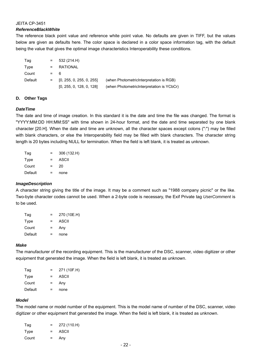#### *ReferenceBlackWhite*

The reference black point value and reference white point value. No defaults are given in TIFF, but the values below are given as defaults here. The color space is declared in a color space information tag, with the default being the value that gives the optimal image characteristics Interoperability these conditions.

| Tag     | $=$     | 532 (214.H)              |                                           |
|---------|---------|--------------------------|-------------------------------------------|
| Type    | $=$ $-$ | RATIONAL                 |                                           |
| Count   | $=$ 6   |                          |                                           |
| Default | $=$ $-$ | [0, 255, 0, 255, 0, 255] | (when Photometric Interpretation is RGB)  |
|         |         | [0, 255, 0, 128, 0, 128] | (when PhotometricInterpretation is YCbCr) |

#### **D. Other Tags**

#### *DateTime*

The date and time of image creation. In this standard it is the date and time the file was changed. The format is "YYYY:MM:DD HH:MM:SS" with time shown in 24-hour format, and the date and time separated by one blank character [20.H]. When the date and time are unknown, all the character spaces except colons (":") may be filled with blank characters, or else the Interoperability field may be filled with blank characters. The character string length is 20 bytes including NULL for termination. When the field is left blank, it is treated as unknown.

| Tag     | =   | 306 (132.H) |
|---------|-----|-------------|
| Type    | $=$ | ASCII       |
| Count   | =   | 20          |
| Default | =   | none        |

# *ImageDescription*

A character string giving the title of the image. It may be a comment such as "1988 company picnic" or the like. Two-byte character codes cannot be used. When a 2-byte code is necessary, the Exif Private tag *UserComment* is to be used.

| Tag     | $=$ | 270 (10E.H) |
|---------|-----|-------------|
| Type    | $=$ | ASCII       |
| Count   | $=$ | Any         |
| Default | =   | none        |

#### *Make*

The manufacturer of the recording equipment. This is the manufacturer of the DSC, scanner, video digitizer or other equipment that generated the image. When the field is left blank, it is treated as unknown.

| Tag     | $=$ | 271 (10F.H) |
|---------|-----|-------------|
| Type    | $=$ | ASCII       |
| Count   | $=$ | Any         |
| Default | =   | none        |

#### *Model*

The model name or model number of the equipment. This is the model name of number of the DSC, scanner, video digitizer or other equipment that generated the image. When the field is left blank, it is treated as unknown.

| Taq   | $=$ | 272 (110.H) |
|-------|-----|-------------|
| Type  | $=$ | ASCII       |
| Count | $=$ | Any         |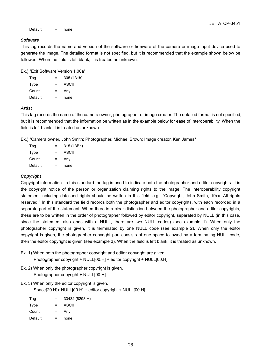Default = none

#### *Software*

This tag records the name and version of the software or firmware of the camera or image input device used to generate the image. The detailed format is not specified, but it is recommended that the example shown below be followed. When the field is left blank, it is treated as unknown.

Ex.) "Exif Software Version 1.00a"

| Tag     | =        | 305 (131h) |
|---------|----------|------------|
| Type    | $\equiv$ | ASCII      |
| Count   | $=$      | Any        |
| Default | =        | none       |

#### *Artist*

This tag records the name of the camera owner, photographer or image creator. The detailed format is not specified, but it is recommended that the information be written as in the example below for ease of Interoperability. When the field is left blank, it is treated as unknown.

Ex.) "Camera owner, John Smith; Photographer, Michael Brown; Image creator, Ken James"

| Tag     | $=$ | 315 (13Bh) |
|---------|-----|------------|
| Type    | $=$ | ASCII      |
| Count   | $=$ | Any        |
| Default | =   | none       |

# *Copyright*

Copyright information. In this standard the tag is used to indicate both the photographer and editor copyrights. It is the copyright notice of the person or organization claiming rights to the image. The Interoperability copyright statement including date and rights should be written in this field; e.g., "Copyright, John Smith, 19xx. All rights reserved." In this standard the field records both the photographer and editor copyrights, with each recorded in a separate part of the statement. When there is a clear distinction between the photographer and editor copyrights, these are to be written in the order of photographer followed by editor copyright, separated by NULL (in this case, since the statement also ends with a NULL, there are two NULL codes) (see example 1). When only the photographer copyright is given, it is terminated by one NULL code (see example 2). When only the editor copyright is given, the photographer copyright part consists of one space followed by a terminating NULL code, then the editor copyright is given (see example 3). When the field is left blank, it is treated as unknown.

- Ex. 1) When both the photographer copyright and editor copyright are given. Photographer copyright + NULL[00.H] + editor copyright + NULL[00.H]
- Ex. 2) When only the photographer copyright is given. Photographer copyright + NULL[00.H]
- Ex. 3) When only the editor copyright is given.

Space[20.H]+ NULL[00.H] + editor copyright + NULL[00.H]

| Taq     | $=$ | 33432 (8298.H) |
|---------|-----|----------------|
| Type    | $=$ | ASCII          |
| Count   | $=$ | Any            |
| Default | =   | none           |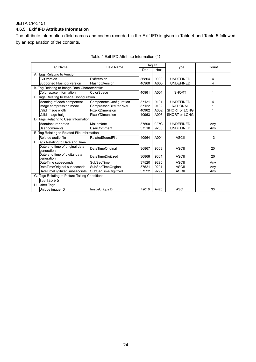# **4.6.5 Exif IFD Attribute Information**

The attribute information (field names and codes) recorded in the Exif IFD is given in Table 4 and Table 5 followed by an explanation of the contents.

| Tag Name                                      |                                               | Field Name               |            | Tag ID | Type                 | Count |  |
|-----------------------------------------------|-----------------------------------------------|--------------------------|------------|--------|----------------------|-------|--|
|                                               |                                               |                          | <b>Dec</b> | Hex    |                      |       |  |
|                                               | A. Tags Relating to Version                   |                          |            |        |                      |       |  |
|                                               | <b>Exif version</b>                           | <b>ExifVersion</b>       | 36864      | 9000   | <b>UNDEFINED</b>     | 4     |  |
|                                               | Supported Flashpix version                    | FlashpixVersion          | 40960      | A000   | <b>UNDEFINED</b>     | 4     |  |
|                                               | B. Tag Relating to Image Data Characteristics |                          |            |        |                      |       |  |
|                                               | Color space information                       | ColorSpace               | 40961      | A001   | <b>SHORT</b>         |       |  |
|                                               | C. Tags Relating to Image Configuration       |                          |            |        |                      |       |  |
|                                               | Meaning of each component                     | ComponentsConfiguration  | 37121      | 9101   | <b>UNDEFINED</b>     |       |  |
|                                               | Image compression mode                        | CompressedBitsPerPixel   | 37122      | 9102   | <b>RATIONAL</b>      |       |  |
|                                               | Valid image width                             | PixelXDimension          | 40962      | A002   | <b>SHORT or LONG</b> |       |  |
|                                               | Valid image height                            | PixelYDimension          | 40963      | A003   | SHORT or LONG        |       |  |
|                                               | D. Tags Relating to User Information          |                          |            |        |                      |       |  |
|                                               | Manufacturer notes                            | MakerNote                | 37500      | 927C   | <b>UNDEFINED</b>     | Any   |  |
|                                               | User comments                                 | <b>UserComment</b>       | 37510      | 9286   | <b>UNDEFINED</b>     | Any   |  |
| E. Tag Relating to Related File Information   |                                               |                          |            |        |                      |       |  |
|                                               | Related audio file                            | RelatedSoundFile         | 40964      | A004   | <b>ASCII</b>         | 13    |  |
|                                               | F. Tags Relating to Date and Time             |                          |            |        |                      |       |  |
|                                               | Date and time of original data                | DateTimeOriginal         | 36867      | 9003   | <b>ASCII</b>         | 20    |  |
|                                               | deneration                                    |                          |            |        |                      |       |  |
|                                               | Date and time of digital data<br>deneration   | <b>DateTimeDigitized</b> | 36868      | 9004   | <b>ASCII</b>         | 20    |  |
|                                               | DateTime subseconds                           | SubSecTime               | 37520      | 9290   | <b>ASCII</b>         | Any   |  |
|                                               | DateTimeOriginal subseconds                   | SubSecTimeOriginal       | 37521      | 9291   | <b>ASCII</b>         | Any   |  |
|                                               | DateTimeDigitized subseconds                  | SubSecTimeDigitized      | 37522      | 9292   | <b>ASCII</b>         | Any   |  |
| G. Tags Relating to Picture-Taking Conditions |                                               |                          |            |        |                      |       |  |
| See Table 5                                   |                                               |                          |            |        |                      |       |  |
|                                               | H. Other Tags                                 |                          |            |        |                      |       |  |
|                                               | Unique image ID                               | ImageUniqueID            | 42016      | A420   | <b>ASCII</b>         | 33    |  |

#### Table 4 Exif IFD Attribute Information (1)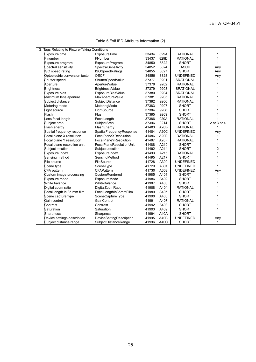| G. Tags Relating to Picture-Taking Conditions |                          |       |             |                  |                |
|-----------------------------------------------|--------------------------|-------|-------------|------------------|----------------|
| <b>Exposure time</b>                          | <b>ExposureTime</b>      | 33434 | 829A        | <b>RATIONAL</b>  |                |
| F number                                      | FNumber                  | 33437 | 829D        | <b>RATIONAL</b>  | 1              |
| Exposure program                              | ExposureProgram          | 34850 | 8822        | <b>SHORT</b>     | 1              |
| Spectral sensitivity                          | SpectralSensitivity      | 34852 | 8824        | <b>ASCII</b>     | Any            |
| ISO speed rating                              | <b>ISOSpeedRatings</b>   | 34855 | 8827        | <b>SHORT</b>     | Any            |
| Optoelectric conversion factor                | <b>OECF</b>              | 34856 | 8828        | <b>UNDEFINED</b> | Any            |
| Shutter speed                                 | ShutterSpeedValue        | 37377 | 9201        | <b>SRATIONAL</b> |                |
| Aperture                                      | ApertureValue            | 37378 | 9202        | <b>RATIONAL</b>  |                |
| <b>Brightness</b>                             | BrightnessValue          | 37379 | 9203        | <b>SRATIONAL</b> |                |
| Exposure bias                                 | ExposureBiasValue        | 37380 | 9204        | <b>SRATIONAL</b> |                |
| Maximum lens aperture                         | MaxApertureValue         | 37381 | 9205        | <b>RATIONAL</b>  |                |
| Subject distance                              | SubjectDistance          | 37382 | 9206        | <b>RATIONAL</b>  |                |
| Metering mode                                 | MeteringMode             | 37383 | 9207        | <b>SHORT</b>     |                |
| ight source                                   | LightSource              | 37384 | 9208        | <b>SHORT</b>     |                |
| Flash                                         | Flash                    | 37385 | 9209        | <b>SHORT</b>     |                |
| ens focal length                              | FocalLength              | 37386 | 920A        | <b>RATIONAL</b>  |                |
| Subject area                                  | SubjectArea              | 37396 | 9214        | <b>SHORT</b>     | 2 or 3 or 4    |
| Flash energy                                  | FlashEnergy              | 41483 | A20B        | <b>RATIONAL</b>  | 1              |
| Spatial frequency response                    | SpatialFrequencyResponse | 41484 | A20C        | <b>UNDEFINED</b> | Any            |
| Focal plane X resolution                      | FocalPlaneXResolution    | 41486 | <b>A20E</b> | <b>RATIONAL</b>  |                |
| Focal plane Y resolution                      | FocalPlaneYResolution    | 41487 | A20F        | <b>RATIONAL</b>  |                |
| Focal plane resolution unit                   | FocalPlaneResolutionUnit | 41488 | A210        | <b>SHORT</b>     | 1              |
| Subject location                              | SubjectLocation          | 41492 | A214        | <b>SHORT</b>     | $\overline{2}$ |
| Exposure index                                | ExposureIndex            | 41493 | A215        | <b>RATIONAL</b>  | 1              |
| Sensing method                                | SensingMethod            | 41495 | A217        | <b>SHORT</b>     | 1              |
| File source                                   | FileSource               | 41728 | A300        | <b>UNDEFINED</b> | 1              |
| Scene type                                    | SceneType                | 41729 | A301        | <b>UNDEFINED</b> | 1              |
| CFA pattern                                   | <b>CFAPattern</b>        | 41730 | A302        | <b>UNDEFINED</b> | Any            |
| Custom image processing                       | CustomRendered           | 41985 | A401        | <b>SHORT</b>     |                |
| Exposure mode                                 | ExposureMode             | 41986 | A402        | <b>SHORT</b>     |                |
| White balance                                 | WhiteBalance             | 41987 | A403        | <b>SHORT</b>     |                |
| Digital zoom ratio                            | DigitalZoomRatio         | 41988 | A404        | <b>RATIONAL</b>  |                |
| Focal length in 35 mm film                    | FocalLengthIn35mmFilm    | 41989 | A405        | <b>SHORT</b>     |                |
| Scene capture type                            | SceneCaptureType         | 41990 | A406        | <b>SHORT</b>     |                |
| Gain control                                  | GainControl              | 41991 | A407        | <b>RATIONAL</b>  |                |
| Contrast                                      | Contrast                 | 41992 | A408        | <b>SHORT</b>     |                |
| Saturation                                    | Saturation               | 41993 | A409        | <b>SHORT</b>     |                |
| <b>Sharpness</b>                              | Sharpness                | 41994 | A40A        | <b>SHORT</b>     | 1              |
| Device settings description                   | DeviceSettingDescription | 41995 | A40B        | <b>UNDEFINED</b> | Any            |
| Subject distance range                        | SubjectDistanceRange     | 41996 | A40C        | <b>SHORT</b>     | 1              |

Table 5 Exif IFD Attribute Information (2)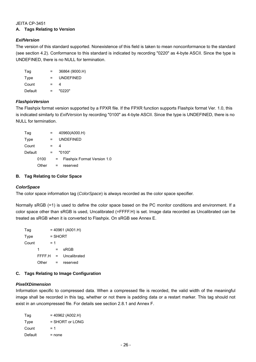# JEITA CP-3451 **A. Tags Relating to Version**

# *ExifVersion*

The version of this standard supported. Nonexistence of this field is taken to mean nonconformance to the standard (see section 4.2). Conformance to this standard is indicated by recording "0220" as 4-byte ASCII. Since the type is UNDEFINED, there is no NULL for termination.

| Tag     | $=$ | 36864 (9000.H)   |
|---------|-----|------------------|
| Type    | $=$ | <b>UNDEFINED</b> |
| Count   | Ξ.  | Δ.               |
| Default | $=$ | "0220"           |

# *FlashpixVersion*

The Flashpix format version supported by a FPXR file. If the FPXR function supports Flashpix format Ver. 1.0, this is indicated similarly to *ExifVersion* by recording "0100" as 4-byte ASCII. Since the type is UNDEFINED, there is no NULL for termination.

| Tag     |       |     |    |   | 40960(A000.H)               |
|---------|-------|-----|----|---|-----------------------------|
| Type    |       |     |    |   | <b>UNDEFINED</b>            |
| Count   |       | =   |    | 4 |                             |
| Default |       | $=$ |    |   | "0100"                      |
|         | 0100  |     | Ξ. |   | Flashpix Format Version 1.0 |
|         | Other |     | =  |   | reserved                    |

# **B. Tag Relating to Color Space**

# *ColorSpace*

The color space information tag (*ColorSpace*) is always recorded as the color space specifier.

Normally sRGB (=1) is used to define the color space based on the PC monitor conditions and environment. If a color space other than sRGB is used, Uncalibrated (=FFFF.H) is set. Image data recorded as Uncalibrated can be treated as sRGB when it is converted to Flashpix. On sRGB see Annex E.

 $Tag = 40961 (A001.H)$ Type = SHORT  $Count = 1$  $1 = sRGB$ FFFF.H = Uncalibrated Other = reserved

# **C. Tags Relating to Image Configuration**

# *PixelXDimension*

Information specific to compressed data. When a compressed file is recorded, the valid width of the meaningful image shall be recorded in this tag, whether or not there is padding data or a restart marker. This tag should not exist in an uncompressed file. For details see section 2.8.1 and Annex F.

| Tag     | $= 40962 (A002.H)$ |
|---------|--------------------|
| Type    | $=$ SHORT or LONG  |
| Count   | $= 1$              |
| Default | $=$ none           |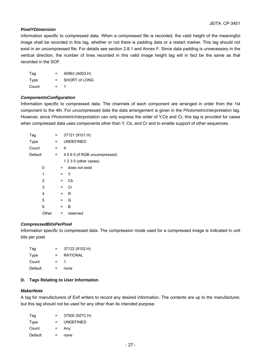# *PixelYDimension*

Information specific to compressed data. When a compressed file is recorded, the valid height of the meaningful image shall be recorded in this tag, whether or not there is padding data or a restart marker. This tag should not exist in an uncompressed file. For details see section 2.8.1 and Annex F. Since data padding is unnecessary in the vertical direction, the number of lines recorded in this valid image height tag will in fact be the same as that recorded in the SOF.

| Tag   | $=$ | 40963 (A003.H)       |
|-------|-----|----------------------|
| Type  | $=$ | <b>SHORT of LONG</b> |
| Count | $=$ |                      |

#### *ComponentsConfiguration*

Information specific to compressed data. The channels of each component are arranged in order from the 1st component to the 4th. For uncompressed data the data arrangement is given in the *PhotometricInterpretation* tag. However, since *PhotometricInterpretation* can only express the order of Y,Cb and Cr, this tag is provided for cases when compressed data uses components other than Y, Cb, and Cr and to enable support of other sequences.

| Tag     |       | =   | 37121 (9101.H)   |                               |  |
|---------|-------|-----|------------------|-------------------------------|--|
| Type    |       | $=$ | <b>UNDEFINED</b> |                               |  |
| Count   |       | $=$ | 4                |                               |  |
| Default |       | $=$ |                  | 4 5 6 0 (if RGB uncompressed) |  |
|         |       |     |                  | 1 2 3 0 (other cases)         |  |
|         | 0     |     | $=$              | does not exist                |  |
|         | 1     |     | Y<br>$=$         |                               |  |
|         | 2     |     | Cb<br>=          |                               |  |
|         | 3     |     | Cr<br>$=$        |                               |  |
|         | 4     |     | R<br>$=$         |                               |  |
|         | 5     |     | G<br>$=$         |                               |  |
|         | 6     |     | в<br>=           |                               |  |
|         | Other |     | $=$              | reserved                      |  |
|         |       |     |                  |                               |  |

#### *CompressedBitsPerPixel*

Information specific to compressed data. The compression mode used for a compressed image is indicated in unit bits per pixel.

| Tag     | $=$ | 37122 (9102.H)  |
|---------|-----|-----------------|
| Type    | $=$ | <b>RATIONAL</b> |
| Count   | $=$ |                 |
| Default | $=$ | none            |

# **D. Tags Relating to User Information**

#### *MakerNote*

A tag for manufacturers of Exif writers to record any desired information. The contents are up to the manufacturer, but this tag should not be used for any other than its intended purpose.

| Tag     | $=$ | 37500 (927C.H)   |
|---------|-----|------------------|
| Type    | $=$ | <b>UNDEFINED</b> |
| Count   | $=$ | Any              |
| Default | =   | none             |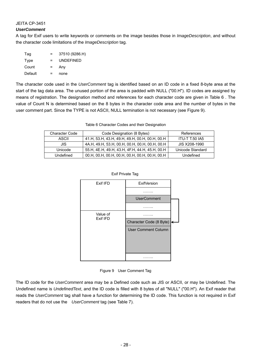# *UserComment*

A tag for Exif users to write keywords or comments on the image besides those in *ImageDescription*, and without the character code limitations of the *ImageDescription* tag.

| Taq     | $=$      | 37510 (9286.H)   |
|---------|----------|------------------|
| Type    | $=$      | <b>UNDEFINED</b> |
| Count   | $\equiv$ | Any              |
| Default | =        | none             |

The character code used in the *UserComment* tag is identified based on an ID code in a fixed 8-byte area at the start of the tag data area. The unused portion of the area is padded with NULL ("00.H"). ID codes are assigned by means of registration. The designation method and references for each character code are given in Table 6 . The value of Count N is determined based on the 8 bytes in the character code area and the number of bytes in the user comment part. Since the TYPE is not ASCII, NULL termination is not necessary (see Figure 9).

#### Table 6 Character Codes and their Designation

| <b>Character Code</b> | Code Designation (8 Bytes)                     | References            |
|-----------------------|------------------------------------------------|-----------------------|
| ASCII                 | 41.H, 53.H, 43.H, 49.H, 49.H, 00.H, 00.H, 00.H | <b>ITU-T T.50 IA5</b> |
| JIS                   | 4A.H, 49.H, 53.H, 00.H, 00.H, 00.H, 00.H, 00.H | JIS X208-1990         |
| Unicode               | 55.H, 4E.H, 49.H, 43.H, 4F.H, 44.H, 45.H, 00.H | Unicode Standard      |
| Undefined             | 00.Н, 00.Н, 00.Н, 00.Н, 00.Н, 00.Н, 00.Н, 00.Н | Undefined             |





#### Figure 9 User Comment Tag

The ID code for the *UserComment* area may be a Defined code such as JIS or ASCII, or may be Undefined. The Undefined name is *UndefinedText*, and the ID code is filled with 8 bytes of all "NULL" ("00.H"). An Exif reader that reads the *UserComment* tag shall have a function for determining the ID code. This function is not required in Exif readers that do not use the *UserComment* tag (see Table 7).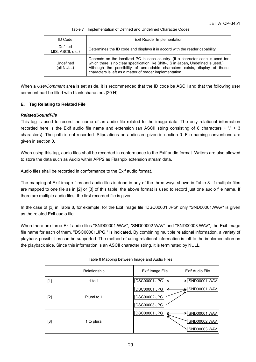#### Table 7 Implementation of Defined and Undefined Character Codes

| <b>ID Code</b>                | Exif Reader Implementation                                                                                                                                                                                                                                                                                    |
|-------------------------------|---------------------------------------------------------------------------------------------------------------------------------------------------------------------------------------------------------------------------------------------------------------------------------------------------------------|
| Defined<br>(JIS, ASCII, etc.) | Determines the ID code and displays it in accord with the reader capability.                                                                                                                                                                                                                                  |
| Undefined<br>(all NULL)       | Depends on the localized PC in each country. (If a character code is used for<br>which there is no clear specification like Shift-JIS in Japan, Undefined is used.)<br>Although the possibility of unreadable characters exists, display of these<br>characters is left as a matter of reader implementation. |

When a *UserComment* area is set aside, it is recommended that the ID code be ASCII and that the following user comment part be filled with blank characters [20.H].

#### **E. Tag Relating to Related File**

#### *RelatedSoundFile*

This tag is used to record the name of an audio file related to the image data. The only relational information recorded here is the Exif audio file name and extension (an ASCII string consisting of 8 characters + '.' + 3 characters). The path is not recorded. Stipulations on audio are given in section 0. File naming conventions are given in section 0.

When using this tag, audio files shall be recorded in conformance to the Exif audio format. Writers are also allowed to store the data such as Audio within APP2 as Flashpix extension stream data.

Audio files shall be recorded in conformance to the Exif audio format.

The mapping of Exif image files and audio files is done in any of the three ways shown in Table 8. If multiple files are mapped to one file as in [2] or [3] of this table, the above format is used to record just one audio file name. If there are multiple audio files, the first recorded file is given.

In the case of [3] in Table 8, for example, for the Exif image file "DSC00001.JPG" only "SND00001.WAV" is given as the related Exif audio file.

When there are three Exif audio files "SND00001.WAV", "SND00002.WAV" and "SND00003.WAV", the Exif image file name for each of them, "DSC00001.JPG," is indicated. By combining multiple relational information, a variety of playback possibilities can be supported. The method of using relational information is left to the implementation on the playback side. Since this information is an ASCII character string, it is terminated by NULL.

|       | Relationship | Exif Audio File<br>Exif Image File |
|-------|--------------|------------------------------------|
| $[1]$ | 1 to 1       | DSC00001.JPG<br>SND00001.WAV       |
|       |              | SND00001.WAV<br>DSC00001.JPG       |
| $[2]$ | Plural to 1  | DSC00002.JPG                       |
|       |              | DSC00003.JPG                       |
|       |              | DSC00001.JPG<br>SND00001.WAV       |
| $[3]$ | 1 to plural  | SND00002.WAV                       |
|       |              | SND00003.WAV                       |

#### Table 8 Mapping between Image and Audio Files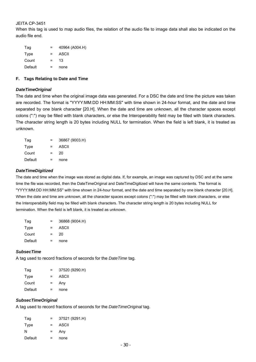When this tag is used to map audio files, the relation of the audio file to image data shall also be indicated on the audio file end.

| Tag     |     | 40964 (A004.H) |
|---------|-----|----------------|
| Type    | $=$ | ASCII          |
| Count   | $=$ | 13             |
| Default |     | none           |

#### **F. Tags Relating to Date and Time**

#### *DateTimeOriginal*

The date and time when the original image data was generated. For a DSC the date and time the picture was taken are recorded. The format is "YYYY:MM:DD HH:MM:SS" with time shown in 24-hour format, and the date and time separated by one blank character [20.H]. When the date and time are unknown, all the character spaces except colons (":") may be filled with blank characters, or else the Interoperability field may be filled with blank characters. The character string length is 20 bytes including NULL for termination. When the field is left blank, it is treated as unknown.

| Tag     | $=$      | 36867 (9003.H) |
|---------|----------|----------------|
| Type    | $\equiv$ | ASCII          |
| Count   | $=$      | 20             |
| Default |          | none           |

#### *DateTimeDigitized*

The date and time when the image was stored as digital data. If, for example, an image was captured by DSC and at the same time the file was recorded, then the DateTimeOriginal and DateTimeDigitized will have the same contents. The format is "YYYY:MM:DD HH:MM:SS" with time shown in 24-hour format, and the date and time separated by one blank character [20.H]. When the date and time are unknown, all the character spaces except colons (":") may be filled with blank characters, or else the Interoperability field may be filled with blank characters. The character string length is 20 bytes including NULL for termination. When the field is left blank, it is treated as unknown.

| Tag     | =   | 36868 (9004.H) |
|---------|-----|----------------|
| Type    | $=$ | ASCII          |
| Count   | $=$ | 20             |
| Default | =   | none           |

#### *SubsecTime*

A tag used to record fractions of seconds for the *DateTime* tag.

| $=$ | 37520 (9290.H) |
|-----|----------------|
| $=$ | ASCII          |
| $=$ | Any            |
| $=$ | none           |
|     |                |

#### *SubsecTimeOriginal*

A tag used to record fractions of seconds for the *DateTimeOriginal* tag.

| Tag     | $=$ | 37521 (9291.H) |
|---------|-----|----------------|
| Type    | $=$ | ASCII          |
| N       | $=$ | Any            |
| Default | $=$ | none           |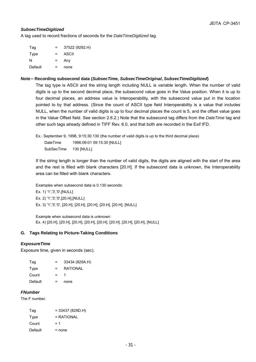## *SubsecTimeDigitized*

A tag used to record fractions of seconds for the *DateTimeDigitized* tag.

| Tag     | $=$ | 37522 (9292.H) |
|---------|-----|----------------|
| Type    | $=$ | ASCII          |
| N       | $=$ | Any            |
| Default | =   | none           |

# **Note**-**Recording subsecond data (***SubsecTime***,** *SubsecTimeOriginal***,** *SubsecTimeDigitized***)**

The tag type is ASCII and the string length including NULL is variable length. When the number of valid digits is up to the second decimal place, the subsecond value goes in the Value position. When it is up to four decimal places, an address value is Interoperability, with the subsecond value put in the location pointed to by that address. (Since the count of ASCII type field Interoperability is a value that includes NULL, when the number of valid digits is up to four decimal places the count is 5, and the offset value goes in the Value Offset field. See section 2.6.2.) Note that the subsecond tag differs from the *DateTime* tag and other such tags already defined in TIFF Rev. 6.0, and that both are recorded in the Exif IFD.

Ex.: September 9, 1998, 9:15:30.130 (the number of valid digits is up to the third decimal place) DateTime 1996:09:01 09:15:30 [NULL] SubSecTime 130 [NULL]

If the string length is longer than the number of valid digits, the digits are aligned with the start of the area and the rest is filled with blank characters [20.H]. If the subsecond data is unknown, the Interoperability area can be filled with blank characters.

Examples when subsecond data is 0.130 seconds:

 Ex. 1) '1','3','0',[NULL] Ex. 2) '1','3','0',[20.H],[NULL] Ex. 3) '1','3','0', [20.H], [20.H], [20.H], [20.H], [20.H], [NULL]

Example when subsecond data is unknown: Ex. 4) [20.H], [20.H], [20.H], [20.H], [20.H], [20.H], [20.H], [20.H], [NULL]

## **G. Tags Relating to Picture-Taking Conditions**

## *ExposureTime*

Exposure time, given in seconds (sec).

| Tag     | $=$ | 33434 (829A.H) |
|---------|-----|----------------|
| Type    | $=$ | RATIONAL       |
| Count   | $=$ |                |
| Default |     | none           |

## *FNumber*

The F number.

| Tag     | $= 33437 (829D.H)$ |
|---------|--------------------|
| Type    | $= RATIONAL$       |
| Count   | $= 1$              |
| Default | = none             |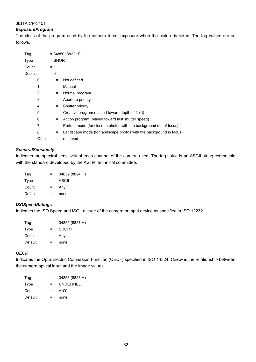## *ExposureProgram*

The class of the program used by the camera to set exposure when the picture is taken. The tag values are as follows.

| Tag     |       |           | $= 34850 (8822.H)$                                                  |
|---------|-------|-----------|---------------------------------------------------------------------|
| Type    |       | $=$ SHORT |                                                                     |
| Count   |       | $= 1$     |                                                                     |
| Default |       | $= 0$     |                                                                     |
|         | 0     | $=$       | Not defined                                                         |
|         | 1     | $=$       | Manual                                                              |
|         | 2     | $=$       | Normal program                                                      |
|         | 3     | $=$       | Aperture priority                                                   |
|         | 4     | $=$       | Shutter priority                                                    |
|         | 5     | $=$       | Creative program (biased toward depth of field)                     |
|         | 6     | $=$       | Action program (biased toward fast shutter speed)                   |
|         | 7     | $\equiv$  | Portrait mode (for closeup photos with the background out of focus) |
|         | 8     | $=$       | Landscape mode (for landscape photos with the background in focus)  |
|         | Other | =         | reserved                                                            |
|         |       |           |                                                                     |

## *SpectralSensitivity*

Indicates the spectral sensitivity of each channel of the camera used. The tag value is an ASCII string compatible with the standard developed by the ASTM Technical committee.

| Tag     | $=$ | 34852 (8824.H) |
|---------|-----|----------------|
| Type    | $=$ | ASCII          |
| Count   | $=$ | Any            |
| Default | $=$ | none           |
|         |     |                |

### *ISOSpeedRatings*

Indicates the ISO Speed and ISO Latitude of the camera or input device as specified in ISO 12232.

| Tag     | $=$ | 34855 (8827.H) |
|---------|-----|----------------|
| Type    | $=$ | <b>SHORT</b>   |
| Count   | $=$ | Any            |
| Default | $=$ | none           |

## *OECF*

Indicates the Opto-Electric Conversion Function (OECF) specified in ISO 14524. *OECF* is the relationship between the camera optical input and the image values.

| Tag     | $=$ | 34856 (8828.H)   |
|---------|-----|------------------|
| Type    | $=$ | <b>UNDEFINED</b> |
| Count   | $=$ | ANY              |
| Default |     | none             |
|         |     |                  |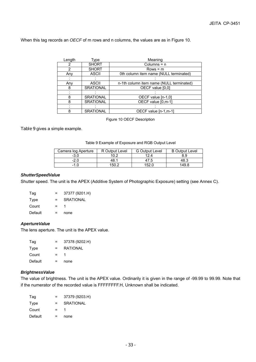When this tag records an *OECF* of m rows and n columns, the values are as in Figure 10.

| Length | Type             | Meaning                                  |
|--------|------------------|------------------------------------------|
| 2      | <b>SHORT</b>     | Columns $= n$                            |
| 2      | <b>SHORT</b>     | $Rows = m$                               |
| Any    | <b>ASCII</b>     | 0th column item name (NULL terminated)   |
|        |                  |                                          |
| Any    | <b>ASCII</b>     | n-1th column item name (NULL terminated) |
| 8      | <b>SRATIONAL</b> | OECF value [0,0]                         |
|        |                  |                                          |
| 8      | <b>SRATIONAL</b> | OECF value [n-1,0]                       |
| 8      | <b>SRATIONAL</b> | OECF value [0,m-1]                       |
|        |                  |                                          |
| 8      | <b>SRATIONAL</b> | OECF value [n-1,m-1]                     |

Figure 10 OECF Description

Table 9 gives a simple example.

#### Table 9 Example of Exposure and RGB Output Level

| Camera log Aperture | R Output Level | <b>G</b> Output Level | <b>B</b> Output Level |
|---------------------|----------------|-----------------------|-----------------------|
| -3.0                | 10.2           | 12.4                  | 8.9                   |
| $-2.0$              | 48.1           | 47.5                  | 48.3                  |
| $-1.0$              | 150.2          | 152.0                 | 149.8                 |

### *ShutterSpeedValue*

Shutter speed. The unit is the APEX (Additive System of Photographic Exposure) setting (see Annex C).

| Tag     | $=$ | 37377 (9201.H)   |
|---------|-----|------------------|
| Type    | $=$ | <b>SRATIONAL</b> |
| Count   | $=$ |                  |
| Default |     | none             |

## *ApertureValue*

The lens aperture. The unit is the APEX value.

| Tag     | $=$ | 37378 (9202.H)  |
|---------|-----|-----------------|
| Type    | $=$ | <b>RATIONAL</b> |
| Count   | $=$ |                 |
| Default |     | none            |

## *BrightnessValue*

The value of brightness. The unit is the APEX value. Ordinarily it is given in the range of -99.99 to 99.99. Note that if the numerator of the recorded value is FFFFFFFF.H, Unknown shall be indicated.

| Taq     | $=$ | 37379 (9203.H)   |
|---------|-----|------------------|
| Type    | $=$ | <b>SRATIONAL</b> |
| Count   | $=$ |                  |
| Default | =   | none             |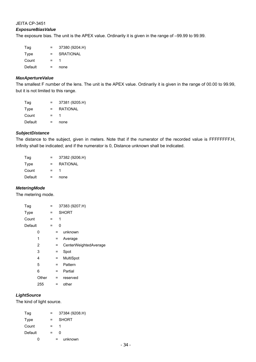## *ExposureBiasValue*

The exposure bias. The unit is the APEX value. Ordinarily it is given in the range of –99.99 to 99.99.

| Tag     | $=$ | 37380 (9204.H) |
|---------|-----|----------------|
| Type    | $=$ | SRATIONAL      |
| Count   | Ξ.  |                |
| Default |     | none           |

### *MaxApertureValue*

The smallest F number of the lens. The unit is the APEX value. Ordinarily it is given in the range of 00.00 to 99.99, but it is not limited to this range.

| Taq     | $=$      | 37381 (9205.H)  |
|---------|----------|-----------------|
| Type    | $\equiv$ | <b>RATIONAL</b> |
| Count   | $=$      |                 |
| Default |          | none            |

### *SubjectDistance*

The distance to the subject, given in meters. Note that if the numerator of the recorded value is FFFFFFFF.H, Infinity shall be indicated; and if the numerator is 0, Distance unknown shall be indicated.

| Tag     | =   | 37382 (9206.H)  |
|---------|-----|-----------------|
| Type    | $=$ | <b>RATIONAL</b> |
| Count   | $=$ |                 |
| Default |     | none            |

### *MeteringMode*

The metering mode.

| Tag     |       | = |   |   | 37383 (9207.H)        |
|---------|-------|---|---|---|-----------------------|
| Type    |       | = |   |   | <b>SHORT</b>          |
| Count   |       | = |   | 1 |                       |
| Default |       | = |   | 0 |                       |
|         | 0     |   | = |   | unknown               |
|         | 1     |   | = |   | Average               |
|         | 2     |   | = |   | CenterWeightedAverage |
|         | 3     |   | = |   | Spot                  |
|         | 4     |   | = |   | MultiSpot             |
|         | 5     |   | = |   | Pattern               |
|         | 6     |   | = |   | Partial               |
|         | Other |   | = |   | reserved              |
|         | 255   |   | = |   | other                 |

# *LightSource*

The kind of light source.

| Tag     |     | 37384 (9208.H) |
|---------|-----|----------------|
| Type    | $=$ | <b>SHORT</b>   |
| Count   | $=$ | 1              |
| Default | =   | n              |
| n       | =   | unknown        |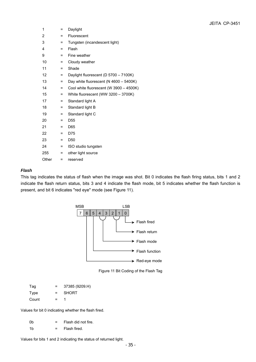| 1     | =   | Daylight                                  |
|-------|-----|-------------------------------------------|
| 2     | Ξ   | Fluorescent                               |
| 3     | =   | Tungsten (incandescent light)             |
| 4     | Ξ   | Flash                                     |
| 9     | $=$ | Fine weather                              |
| 10    | Ξ   | Cloudy weather                            |
| 11    | $=$ | Shade                                     |
| 12    | Ξ   | Daylight fluorescent (D 5700 - 7100K)     |
| 13    | =   | Day white fluorescent (N $4600 - 5400K$ ) |
| 14    | =   | Cool white fluorescent (W 3900 - 4500K)   |
| 15    | Ξ   | White fluorescent (WW 3200 - 3700K)       |
| 17    | =   | Standard light A                          |
| 18    | Ξ   | Standard light B                          |
| 19    | =   | Standard light C                          |
| 20    | Ξ   | D <sub>55</sub>                           |
| 21    | =   | D65                                       |
| 22    | =   | D75                                       |
| 23    | $=$ | D <sub>50</sub>                           |
| 24    | $=$ | ISO studio tungsten                       |
| 255   | Ξ   | other light source                        |
| Other | =   | reserved                                  |

## *Flash*

This tag indicates the status of flash when the image was shot. Bit 0 indicates the flash firing status, bits 1 and 2 indicate the flash return status, bits 3 and 4 indicate the flash mode, bit 5 indicates whether the flash function is present, and bit 6 indicates "red eye" mode (see Figure 11).



Figure 11 Bit Coding of the Flash Tag

| Taq   | =   | 37385 (9209.H) |
|-------|-----|----------------|
| Type  | $=$ | <b>SHORT</b>   |
| Count | $=$ |                |

Values for bit 0 indicating whether the flash fired.

| .0b | $=$ $-$ | Flash did not fire. |
|-----|---------|---------------------|
| -1b | $=$ $-$ | Flash fired.        |

Values for bits 1 and 2 indicating the status of returned light.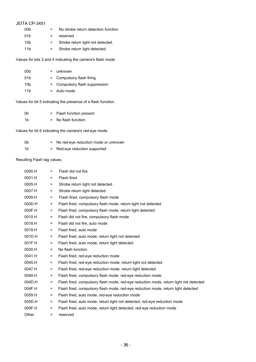| JEITA CP-3451   |     |                                     |
|-----------------|-----|-------------------------------------|
| 00b             |     | No strobe return detection function |
| 01 <sub>b</sub> |     | reserved                            |
| 10b             | $=$ | Strobe return light not detected.   |
| 11 <sub>h</sub> |     | Strobe return light detected.       |

Values for bits 3 and 4 indicating the camera's flash mode.

| 00b | $=$ unknown                    |
|-----|--------------------------------|
| 01b | = Compulsory flash firing      |
| 10b | = Compulsory flash suppression |
| 11b | $=$ Auto mode                  |

Values for bit 5 indicating the presence of a flash function.

| 0b. | = Flash function present |
|-----|--------------------------|
| 1b  | No flash function        |

Values for bit 6 indicating the camera's red-eye mode.

| 0b | $=$ No red-eve reduction mode or unknown |
|----|------------------------------------------|
| 1b | = Red-eye reduction supported            |

Resulting Flash tag values.

| 0000.H | $=$      | Flash did not fire.                                                                   |
|--------|----------|---------------------------------------------------------------------------------------|
| 0001.H | $\equiv$ | Flash fired.                                                                          |
| 0005.H | $\equiv$ | Strobe return light not detected.                                                     |
| 0007.H | $\equiv$ | Strobe return light detected.                                                         |
| 0009.H | $\equiv$ | Flash fired, compulsory flash mode                                                    |
| 000D.H | $\equiv$ | Flash fired, compulsory flash mode, return light not detected                         |
| 000F.H | =        | Flash fired, compulsory flash mode, return light detected                             |
| 0010.H | $\equiv$ | Flash did not fire, compulsory flash mode                                             |
| 0018.H | $\equiv$ | Flash did not fire, auto mode                                                         |
| 0019.H | $\equiv$ | Flash fired, auto mode                                                                |
| 001D.H | $\equiv$ | Flash fired, auto mode, return light not detected                                     |
| 001F.H | $\equiv$ | Flash fired, auto mode, return light detected                                         |
| 0020.H | $\equiv$ | No flash function                                                                     |
| 0041.H | $=$      | Flash fired, red-eye reduction mode                                                   |
| 0045.H | $\equiv$ | Flash fired, red-eye reduction mode, return light not detected                        |
| 0047.H | $\equiv$ | Flash fired, red-eye reduction mode, return light detected                            |
| 0049.H | =        | Flash fired, compulsory flash mode, red-eye reduction mode                            |
| 004D.H | $\equiv$ | Flash fired, compulsory flash mode, red-eye reduction mode, return light not detected |
| 004F.H | $\equiv$ | Flash fired, compulsory flash mode, red-eye reduction mode, return light detected     |
| 0059.H | Ξ        | Flash fired, auto mode, red-eye reduction mode                                        |
| 005D.H | $\equiv$ | Flash fired, auto mode, return light not detected, red-eye reduction mode             |
| 005F.H | $=$      | Flash fired, auto mode, return light detected, red-eye reduction mode                 |
| Other  | $\equiv$ | reserved                                                                              |
|        |          |                                                                                       |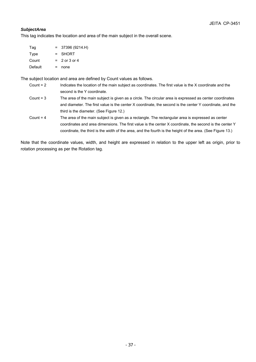## *SubjectArea*

This tag indicates the location and area of the main subject in the overall scene.

| Tag     | $=$ | 37396 (9214.H)  |
|---------|-----|-----------------|
| Type    |     | = SHORT         |
| Count   |     | $= 2$ or 3 or 4 |
| Default | =   | none            |

The subject location and area are defined by Count values as follows.

- Count = 2 Indicates the location of the main subject as coordinates. The first value is the X coordinate and the second is the Y coordinate.
- Count = 3 The area of the main subject is given as a circle. The circular area is expressed as center coordinates and diameter. The first value is the center X coordinate, the second is the center Y coordinate, and the third is the diameter. (See Figure 12.)
- Count = 4 The area of the main subject is given as a rectangle. The rectangular area is expressed as center coordinates and area dimensions. The first value is the center X coordinate, the second is the center Y coordinate, the third is the width of the area, and the fourth is the height of the area. (See Figure 13.)

Note that the coordinate values, width, and height are expressed in relation to the upper left as origin, prior to rotation processing as per the Rotation tag.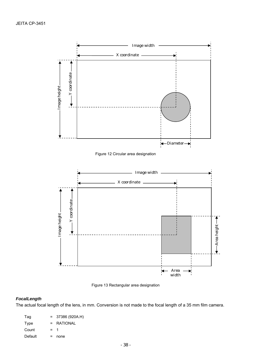

Figure 12 Circular area designation



Figure 13 Rectangular area designation

# *FocalLength*

The actual focal length of the lens, in mm. Conversion is not made to the focal length of a 35 mm film camera.

| Tag     | $=$   | 37386 (920A.H) |
|---------|-------|----------------|
| Type    |       | $=$ RATIONAL   |
| Count   | $=$ 1 |                |
| Default |       | none           |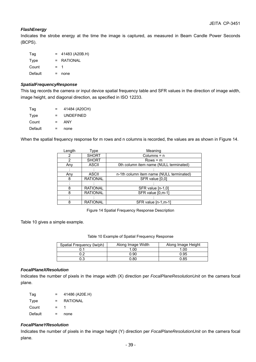## *FlashEnergy*

Indicates the strobe energy at the time the image is captured, as measured in Beam Candle Power Seconds (BCPS).

| Tag     |       | 41483 (A20B.H)  |
|---------|-------|-----------------|
| Type    | $=$   | <b>RATIONAL</b> |
| Count   | $=$ 1 |                 |
| Default |       | none            |

#### *SpatialFrequencyResponse*

This tag records the camera or input device spatial frequency table and SFR values in the direction of image width, image height, and diagonal direction, as specified in ISO 12233.

| Tag     | $=$      | 41484 (A20CH)    |
|---------|----------|------------------|
| Type    | $\equiv$ | <b>UNDEFINED</b> |
| Count   | $=$      | ANY              |
| Default | =        | none             |

When the spatial frequency response for m rows and n columns is recorded, the values are as shown in Figure 14.

| Length | Type            | Meaning                                  |
|--------|-----------------|------------------------------------------|
| 2      | <b>SHORT</b>    | Columns = n                              |
| 2      | <b>SHORT</b>    | $Rows = m$                               |
| Any    | <b>ASCII</b>    | 0th column item name (NULL terminated)   |
|        |                 |                                          |
| Any    | <b>ASCII</b>    | n-1th column item name (NULL terminated) |
| 8      | <b>RATIONAL</b> | SFR value [0,0]                          |
|        |                 |                                          |
| 8      | <b>RATIONAL</b> | SFR value [n-1,0]                        |
| 8      | <b>RATIONAL</b> | SFR value [0,m-1]                        |
|        |                 |                                          |
| 8      | <b>RATIONAL</b> | SFR value [n-1,m-1]                      |

Figure 14 Spatial Frequency Response Description

Table 10 gives a simple example.

|  | Table 10 Example of Spatial Frequency Response |  |  |  |
|--|------------------------------------------------|--|--|--|
|--|------------------------------------------------|--|--|--|

| Spatial Frequency (lw/ph) | Along Image Width | Along Image Height |
|---------------------------|-------------------|--------------------|
|                           | .00               | 1.00               |
| ∩ົ                        | 0.90              | 0.95               |
| 0.3                       | 0.80              | 0.85               |

### *FocalPlaneXResolution*

Indicates the number of pixels in the image width (X) direction per *FocalPlaneResolutionUnit* on the camera focal plane.

| Tag     | $=$ | 41486 (A20E.H) |
|---------|-----|----------------|
| Type    | $=$ | RATIONAL       |
| Count   | $=$ |                |
| Default | =   | none           |

### *FocalPlaneYResolution*

Indicates the number of pixels in the image height (Y) direction per *FocalPlaneResolutionUnit* on the camera focal plane.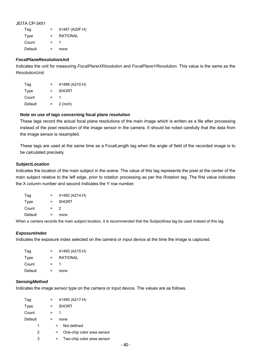| Tag     | $=$ | 41487 (A20F.H) |
|---------|-----|----------------|
| Type    | $=$ | RATIONAL       |
| Count   | Ξ.  |                |
| Default |     | none           |

### *FocalPlaneResolutionUnit*

Indicates the unit for measuring *FocalPlaneXResolution* and *FocalPlaneYResolution*. This value is the same as the *ResolutionUnit*.

| Tag     | $=$ | 41488 (A210.H) |
|---------|-----|----------------|
| Type    | $=$ | <b>SHORT</b>   |
| Count   | $=$ |                |
| Default | $=$ | $2$ (inch)     |

#### **Note on use of tags concerning focal plane resolution**

These tags record the actual focal plane resolutions of the main image which is written as a file after processing instead of the pixel resolution of the image sensor in the camera. It should be noted carefully that the data from the image sensor is resampled.

These tags are used at the same time as a FocalLength tag when the angle of field of the recorded image is to be calculated precisely.

#### *SubjectLocation*

Indicates the location of the main subject in the scene. The value of this tag represents the pixel at the center of the main subject relative to the left edge, prior to rotation processing as per the *Rotation* tag. The first value indicates the X column number and second indicates the Y row number.

| Tag     |     | 41492 (A214.H) |
|---------|-----|----------------|
| Type    | $=$ | <b>SHORT</b>   |
| Count   | $=$ | 2              |
| Default |     | none           |
|         |     |                |

When a camera records the main subject location, it is recommended that the SubjectArea tag be used instead of this tag.

### *ExposureIndex*

Indicates the exposure index selected on the camera or input device at the time the image is captured.

| Tag     | $=$ | 41493 (A215.H) |
|---------|-----|----------------|
| Type    | $=$ | RATIONAL       |
| Count   | $=$ |                |
| Default |     | none           |

#### *SensingMethod*

Indicates the image sensor type on the camera or input device. The values are as follows.

| Tag         |     |     | 41495 (A217.H)             |
|-------------|-----|-----|----------------------------|
| <b>Type</b> |     |     | <b>SHORT</b>               |
| Count       | $=$ |     |                            |
| Default     |     |     | none                       |
| 1           |     | $=$ | Not defined                |
| 2           |     |     | One-chip color area sensor |
| 3           |     |     | Two-chip color area sensor |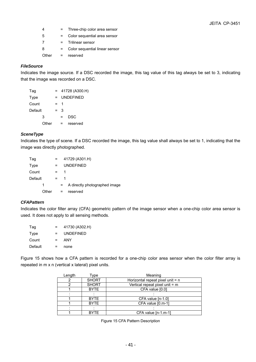- 4 = Three-chip color area sensor 5 = Color sequential area sensor 7 = Trilinear sensor 8 = Color sequential linear sensor
- Other = reserved

# *FileSource*

Indicates the image source. If a DSC recorded the image, this tag value of this tag always be set to 3, indicating that the image was recorded on a DSC.

| Tag     |       |     |   | $= 41728 (A300.H)$ |
|---------|-------|-----|---|--------------------|
| Type    |       | $=$ |   | UNDEFINED          |
| Count   |       | =   | 1 |                    |
| Default |       | $=$ | 3 |                    |
|         | 3     |     | = | DSC                |
|         | Other |     | = | reserved           |

## *SceneType*

Indicates the type of scene. If a DSC recorded the image, this tag value shall always be set to 1, indicating that the image was directly photographed.

| Tag     |       | $=$ |     | 41729 (A301.H)                |
|---------|-------|-----|-----|-------------------------------|
| Type    |       | =   |     | <b>UNDEFINED</b>              |
| Count   |       | =   | 1   |                               |
| Default |       | =   | 1   |                               |
|         | 1     |     | $=$ | A directly photographed image |
|         | Other |     |     | reserved                      |

## *CFAPattern*

Indicates the color filter array (CFA) geometric pattern of the image sensor when a one-chip color area sensor is used. It does not apply to all sensing methods.

| Tag     | $=$ | 41730 (A302.H)   |
|---------|-----|------------------|
| Type    | $=$ | <b>UNDEFINED</b> |
| Count   | $=$ | ANY              |
| Default | $=$ | none             |

Figure 15 shows how a CFA pattern is recorded for a one-chip color area sensor when the color filter array is repeated in m x n (vertical x lateral) pixel units.

| Length | Туре         | Meaning                          |
|--------|--------------|----------------------------------|
|        | <b>SHORT</b> | Horizontal repeat pixel unit = n |
|        | <b>SHORT</b> | Vertical repeat pixel unit = m   |
|        | <b>BYTE</b>  | CFA value [0.0]                  |
|        |              |                                  |
|        | <b>BYTE</b>  | CFA value [n-1.0]                |
|        | <b>BYTE</b>  | CFA value [0.m-1]                |
|        |              |                                  |
|        | <b>BYTE</b>  | CFA value $[n-1.m-1]$            |

Figure 15 CFA Pattern Description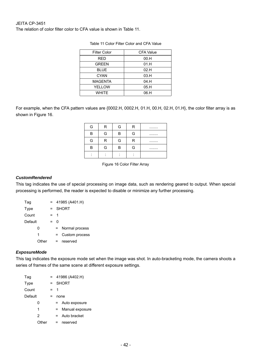The relation of color filter color to CFA value is shown in Table 11.

| <b>Filter Color</b> | <b>CFA Value</b> |
|---------------------|------------------|
| RED                 | 00.H             |
| <b>GREEN</b>        | 01.H             |
| <b>BLUE</b>         | 02.H             |
| <b>CYAN</b>         | 03.H             |
| <b>MAGENTA</b>      | 04.H             |
| <b>YELLOW</b>       | 05.H             |
| WHITF               | 06.H             |

| Table 11 Color Filter Color and CFA Value |  |  |  |
|-------------------------------------------|--|--|--|
|                                           |  |  |  |

For example, when the CFA pattern values are {0002.H, 0002.H, 01.H, 00.H, 02.H, 01.H}, the color filter array is as shown in Figure 16.

| G | R      | G | R | . |
|---|--------|---|---|---|
| в | G      | B | G | . |
| G | R      | G | R | . |
| B | G      | B | G | . |
| ٠ | ۰<br>٠ | ٠ |   |   |

Figure 16 Color Filter Array

#### *CustomRendered*

This tag indicates the use of special processing on image data, such as rendering geared to output. When special processing is performed, the reader is expected to disable or minimize any further processing.

| Tag     |       |     |    | $= 41985 (A401.H)$ |
|---------|-------|-----|----|--------------------|
| Type    |       | $=$ |    | <b>SHORT</b>       |
| Count   |       | $=$ | -1 |                    |
| Default |       | $=$ | ŋ  |                    |
|         | ŋ     |     | =  | Normal process     |
|         | 1     |     | =  | Custom process     |
|         | Other |     | =  | reserved           |

### *ExposureMode*

This tag indicates the exposure mode set when the image was shot. In auto-bracketing mode, the camera shoots a series of frames of the same scene at different exposure settings.

| Tag     |       | $=$     |     | 41986 (A402.H)  |
|---------|-------|---------|-----|-----------------|
| Type    |       | $=$ $-$ |     | <b>SHORT</b>    |
| Count   |       | $=$ 1   |     |                 |
| Default |       |         |     | none            |
|         | O     |         | $=$ | Auto exposure   |
|         | 1     |         | $=$ | Manual exposure |
|         | 2     |         | $=$ | Auto bracket    |
|         | Other |         | =   | reserved        |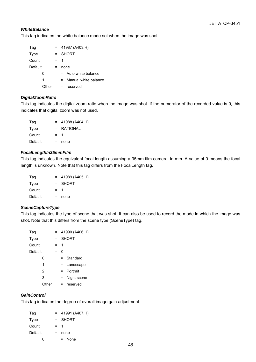## *WhiteBalance*

This tag indicates the white balance mode set when the image was shot.

| Tag     | $=$   |     | 41987 (A403.H)         |
|---------|-------|-----|------------------------|
| Type    | $=$   |     | <b>SHORT</b>           |
| Count   | $=$ 1 |     |                        |
| Default |       |     | none                   |
| O       |       |     | $=$ Auto white balance |
| 1       |       | $=$ | Manual white balance   |
| Other   |       | $=$ | reserved               |

## *DigitalZoomRatio*

This tag indicates the digital zoom ratio when the image was shot. If the numerator of the recorded value is 0, this indicates that digital zoom was not used.

| Tag     |         | $= 41988 (A404.H)$ |
|---------|---------|--------------------|
| Type    | $=$ $-$ | RATIONAL           |
| Count   | $=$ 1   |                    |
| Default | =       | none               |

## *FocalLengthIn35mmFilm*

This tag indicates the equivalent focal length assuming a 35mm film camera, in mm. A value of 0 means the focal length is unknown. Note that this tag differs from the FocalLength tag.

| Tag     |       | $= 41989 (A405.H)$ |
|---------|-------|--------------------|
| Type    | $=$   | SHORT              |
| Count   | $=$ 1 |                    |
| Default | =     | none               |

### *SceneCaptureType*

This tag indicates the type of scene that was shot. It can also be used to record the mode in which the image was shot. Note that this differs from the scene type (SceneType) tag.

| Tag     |      |         |     | $= 41990 (A406.H)$ |
|---------|------|---------|-----|--------------------|
| Type    |      | $=$ $-$ |     | <b>SHORT</b>       |
| Count   |      | $=$     | 1   |                    |
| Default |      | =       | O   |                    |
|         | 0    |         | $=$ | Standard           |
|         | 1    |         | $=$ | Landscape          |
|         | 2    |         | $=$ | Portrait           |
|         | 3    |         | =   | Night scene        |
|         | ther |         | $=$ | reserved           |

# *GainControl*

This tag indicates the degree of overall image gain adjustment.

| Tag     | $= 41991 (A407.H)$ |
|---------|--------------------|
| Type    | = SHORT            |
| Count   | $=$ 1              |
| Default | =<br>none          |
| 0       | <b>None</b><br>$=$ |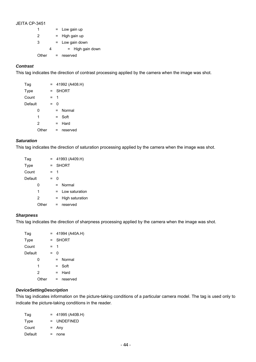| 1     | $=$        | Low gain up           |  |  |  |  |
|-------|------------|-----------------------|--|--|--|--|
| 2     | $\equiv$ . | High gain up          |  |  |  |  |
| 3     |            | Low gain down         |  |  |  |  |
| 4     |            | High gain down<br>$=$ |  |  |  |  |
| Other | =          | reserved              |  |  |  |  |

## *Contrast*

This tag indicates the direction of contrast processing applied by the camera when the image was shot.

| Tag         |     | $=$     |         | 41992 (A408.H) |
|-------------|-----|---------|---------|----------------|
| <b>Type</b> | $=$ |         |         | <b>SHORT</b>   |
| Count       |     | $=$ $-$ | -1      |                |
| Default     | =   |         | U       |                |
| O           |     |         | $=$ $-$ | Normal         |
| 1           |     |         | $=$     | Soft           |
| 2           |     |         | $=$     | Hard           |
| Other       |     |         | =       | reserved       |

#### *Saturation*

This tag indicates the direction of saturation processing applied by the camera when the image was shot.

| Tag     |              | $=$ |     | 41993 (A409.H)  |
|---------|--------------|-----|-----|-----------------|
| Type    |              | $=$ |     | <b>SHORT</b>    |
| Count   |              | $=$ | -1  |                 |
| Default |              | $=$ | 0   |                 |
|         | 0            |     | $=$ | Normal          |
|         | 1            |     | $=$ | Low saturation  |
|         | $\mathbf{2}$ |     | $=$ | High saturation |
|         | Other        |     | $=$ | reserved        |

### *Sharpness*

This tag indicates the direction of sharpness processing applied by the camera when the image was shot.

| Tag         |       | $=$ |     | 41994 (A40A.H) |
|-------------|-------|-----|-----|----------------|
| <b>Type</b> |       | $=$ |     | <b>SHORT</b>   |
| Count       |       | $=$ | -1  |                |
| Default     |       | $=$ | O   |                |
|             | O     |     | =   | Normal         |
|             | 1     |     | $=$ | Soft           |
|             | 2     |     | $=$ | Hard           |
|             | Other |     | =   | reserved       |

## *DeviceSettingDescription*

This tag indicates information on the picture-taking conditions of a particular camera model. The tag is used only to indicate the picture-taking conditions in the reader.

| Tag     |   | $= 41995 (A40B.H)$ |
|---------|---|--------------------|
| Type    |   | $=$ UNDEFINED      |
| Count   |   | $=$ Any            |
| Default | = | none               |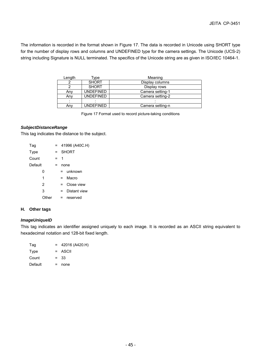The information is recorded in the format shown in Figure 17. The data is recorded in Unicode using SHORT type for the number of display rows and columns and UNDEFINED type for the camera settings. The Unicode (UCS-2) string including Signature is NULL terminated. The specifics of the Unicode string are as given in ISO/IEC 10464-1.

| Length | vpe:             | Meaning          |
|--------|------------------|------------------|
|        | <b>SHORT</b>     | Display columns  |
|        | <b>SHORT</b>     | Display rows     |
| Anv    | <b>UNDEFINED</b> | Camera setting-1 |
| Any    | <b>UNDEFINED</b> | Camera setting-2 |
|        |                  |                  |
| Any    | <b>UNDEFINED</b> | Camera setting-n |

Figure 17 Format used to record picture-taking conditions

## *SubjectDistanceRange*

This tag indicates the distance to the subject.

| Tag     |      | $=$ |     | 41996 (A40C.H) |
|---------|------|-----|-----|----------------|
| Type    |      | $=$ |     | SHORT          |
| Count   |      | =   | 1   |                |
| Default |      | =   |     | none           |
|         | 0    |     | $=$ | unknown        |
|         | 1    |     | $=$ | Macro          |
|         | 2    |     | $=$ | Close view     |
|         | 3    |     | =   | Distant view   |
|         | ther |     | =   | reserved       |

## **H. Other tags**

### *ImageUniqueID*

This tag indicates an identifier assigned uniquely to each image. It is recorded as an ASCII string equivalent to hexadecimal notation and 128-bit fixed length.

| Tag     |   | $= 42016 (A420.H)$ |
|---------|---|--------------------|
| Type    |   | $=$ ASCII          |
| Count   |   | $= 33$             |
| Default | = | none               |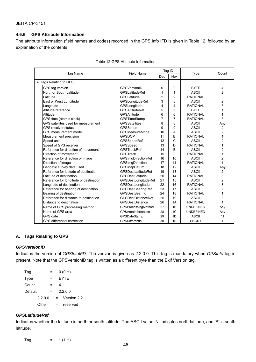### **4.6.6 GPS Attribute Information**

The attribute information (field names and codes) recorded in the GPS Info IFD is given in Table 12, followed by an explanation of the contents.

| <b>Tag Name</b>          |                                        | <b>Field Name</b>          | Tag ID |                |                  | Count          |
|--------------------------|----------------------------------------|----------------------------|--------|----------------|------------------|----------------|
|                          |                                        |                            | Dec    | Hex            | <b>Type</b>      |                |
| A. Tags Relating to GPS  |                                        |                            |        |                |                  |                |
| GPS tag version          |                                        | GPSVersionID               | 0      | 0              | <b>BYTE</b>      | 4              |
| North or South Latitude  |                                        | <b>GPSLatitudeRef</b>      | 1      | 1              | <b>ASCII</b>     | $\overline{2}$ |
| Latitude                 |                                        | GPSLatitude                | 2      | 2              | <b>RATIONAL</b>  | 3              |
| East or West Longitude   |                                        | GPSLongitudeRef            | 3      | 3              | <b>ASCII</b>     | $\overline{c}$ |
| Longitude                |                                        | GPSLongitude               | 4      | 4              | <b>RATIONAL</b>  | 3              |
| Altitude reference       |                                        | <b>GPSAltitudeRef</b>      | 5      | 5              | <b>BYTE</b>      | 1              |
| Altitude                 |                                        | <b>GPSAltitude</b>         | 6      | 6              | <b>RATIONAL</b>  | 1              |
| GPS time (atomic clock)  |                                        | <b>GPSTimeStamp</b>        | 7      | $\overline{7}$ | <b>RATIONAL</b>  | 3              |
|                          | GPS satellites used for measurement    | <b>GPSSatellites</b>       | 8      | 8              | <b>ASCII</b>     | Any            |
| GPS receiver status      |                                        | <b>GPSStatus</b>           | 9      | 9              | <b>ASCII</b>     | 2              |
|                          | GPS measurement mode                   | <b>GPSMeasureMode</b>      | 10     | A              | <b>ASCII</b>     | $\overline{2}$ |
| Measurement precision    |                                        | <b>GPSDOP</b>              | 11     | B              | <b>RATIONAL</b>  | 1              |
| Speed unit               |                                        | GPSSpeedRef                | 12     | C              | <b>ASCII</b>     | 2              |
| Speed of GPS receiver    |                                        | GPSSpeed                   | 13     | D              | <b>RATIONAL</b>  | 1              |
|                          | Reference for direction of movement    | <b>GPSTrackRef</b>         | 14     | E              | <b>ASCII</b>     | $\overline{2}$ |
| Direction of movement    |                                        | <b>GPSTrack</b>            | 15     | F              | <b>RATIONAL</b>  | 1              |
|                          | Reference for direction of image       | <b>GPSImgDirectionRef</b>  | 16     | 10             | <b>ASCII</b>     | 2              |
| Direction of image       |                                        | GPSImgDirection            | 17     | 11             | <b>RATIONAL</b>  | 1              |
|                          | Geodetic survey data used              | GPSMapDatum                | 18     | 12             | <b>ASCII</b>     | Any            |
|                          | Reference for latitude of destination  | <b>GPSDestLatitudeRef</b>  | 19     | 13             | <b>ASCII</b>     | 2              |
| Latitude of destination  |                                        | GPSDestLatitude            | 20     | 14             | <b>RATIONAL</b>  | 3              |
|                          | Reference for longitude of destination | GPSDestLongitudeRef        | 21     | 15             | <b>ASCII</b>     | 2              |
| Longitude of destination |                                        | GPSDestLongitude           | 22     | 16             | <b>RATIONAL</b>  | 3              |
|                          | Reference for bearing of destination   | GPSDestBearingRef          | 23     | 17             | <b>ASCII</b>     | $\overline{c}$ |
| Bearing of destination   |                                        | GPSDestBearing             | 24     | 18             | <b>RATIONAL</b>  | 1              |
|                          | Reference for distance to destination  | <b>GPSDestDistanceRef</b>  | 25     | 19             | <b>ASCII</b>     | $\overline{c}$ |
| Distance to destination  |                                        | <b>GPSDestDistance</b>     | 26     | 1A             | <b>RATIONAL</b>  | 1              |
|                          | Name of GPS processing method          | <b>GPSProcessingMethod</b> | 27     | 1B             | <b>UNDEFINED</b> | Any            |
| Name of GPS area         |                                        | GPSAreaInformation         | 28     | 1C             | <b>UNDEFINED</b> | Any            |
| GPS date                 |                                        | GPSDateStamp               | 29     | 1D             | <b>ASCII</b>     | 11             |
|                          | <b>GPS differential correction</b>     | GPSDifferential            | 30     | 1E             | <b>SHORT</b>     | $\mathbf{1}$   |

| Table 12 GPS Attribute Information |  |
|------------------------------------|--|
|------------------------------------|--|

### **A. Tags Relating to GPS**

### *GPSVersionID*

Indicates the version of *GPSInfoIFD*. The version is given as 2.2.0.0. This tag is mandatory when *GPSInfo* tag is present. Note that the GPSVersionID tag is written as a different byte than the Exif Version tag.

| Tag     |         |   | 0(0.H)      |
|---------|---------|---|-------------|
| Type    |         |   | <b>BYTE</b> |
| Count   |         |   | 4           |
| Default |         |   | 2.2.0.0     |
|         | 2.2.0.0 | = | Version 2.2 |
|         | Other   |   | reserved    |

### *GPSLatitudeRef*

Indicates whether the latitude is north or south latitude. The ASCII value 'N' indicates north latitude, and 'S' is south latitude.

Tag  $= 1 (1.H)$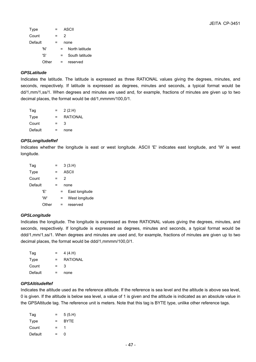| <b>Type</b> |       |      | ASCII          |
|-------------|-------|------|----------------|
| Count       |       |      | 2              |
| Default     |       | none |                |
|             | 'N'   |      | North latitude |
|             | ירי   | =    | South latitude |
|             | Other | =    | reserved       |
|             |       |      |                |

### *GPSLatitude*

Indicates the latitude. The latitude is expressed as three RATIONAL values giving the degrees, minutes, and seconds, respectively. If latitude is expressed as degrees, minutes and seconds, a typical format would be dd/1,mm/1,ss/1. When degrees and minutes are used and, for example, fractions of minutes are given up to two decimal places, the format would be dd/1,mmmm/100,0/1.

| Tag     | =   | 2(2.H)   |
|---------|-----|----------|
| Type    | $=$ | RATIONAL |
| Count   | $=$ | 3        |
| Default | =   | none     |

## *GPSLongitudeRef*

Indicates whether the longitude is east or west longitude. ASCII 'E' indicates east longitude, and 'W' is west longitude.

| Tag     |   |   | 3(3.H)         |
|---------|---|---|----------------|
| Type    |   |   | <b>ASCII</b>   |
| Count   | = | 2 |                |
| Default | = |   | none           |
| 'F'     |   |   | East longitude |
| 'W'     |   | = | West longitude |
| Other   |   |   | reserved       |

### *GPSLongitude*

Indicates the longitude. The longitude is expressed as three RATIONAL values giving the degrees, minutes, and seconds, respectively. If longitude is expressed as degrees, minutes and seconds, a typical format would be ddd/1,mm/1,ss/1. When degrees and minutes are used and, for example, fractions of minutes are given up to two decimal places, the format would be ddd/1,mmmm/100,0/1.

| Tag     | $=$ | 4 (4.H)  |
|---------|-----|----------|
| Type    | $=$ | RATIONAL |
| Count   | $=$ | 3        |
| Default | =   | none     |

### *GPSAltitudeRef*

Indicates the altitude used as the reference altitude. If the reference is sea level and the altitude is above sea level, 0 is given. If the altitude is below sea level, a value of 1 is given and the altitude is indicated as an absolute value in the GPSAltitude tag. The reference unit is meters. Note that this tag is BYTE type, unlike other reference tags.

| Tag     | = | 5(5.H)      |
|---------|---|-------------|
| Type    | = | <b>BYTE</b> |
| Count   | = |             |
| Default | = | n           |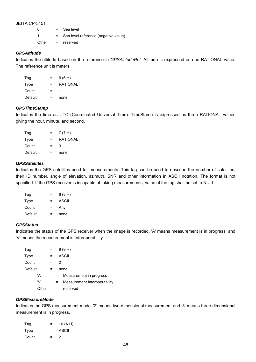| 0     | $=$ $-$ | Sea level                            |
|-------|---------|--------------------------------------|
| 1     | $=$ $-$ | Sea level reference (negative value) |
| Other |         | = reserved                           |

### *GPSAltitude*

Indicates the altitude based on the reference in *GPSAltitudeRef*. Altitude is expressed as one RATIONAL value. The reference unit is meters.

| Tag     | $=$ | 6(6.H)          |
|---------|-----|-----------------|
| Type    | $=$ | <b>RATIONAL</b> |
| Count   | $=$ |                 |
| Default | $=$ | none            |

### *GPSTimeStamp*

Indicates the time as UTC (Coordinated Universal Time). TimeStamp is expressed as three RATIONAL values giving the hour, minute, and second.

| Tag     | $=$ | 7(7.H)          |
|---------|-----|-----------------|
| Type    | $=$ | <b>RATIONAL</b> |
| Count   | $=$ | 3               |
| Default | $=$ | none            |

#### *GPSSatellites*

Indicates the GPS satellites used for measurements. This tag can be used to describe the number of satellites, their ID number, angle of elevation, azimuth, SNR and other information in ASCII notation. The format is not specified. If the GPS receiver is incapable of taking measurements, value of the tag shall be set to NULL.

| Tag     | = | 8(8.H) |
|---------|---|--------|
| Type    | = | ASCII  |
| Count   | = | Any    |
| Default | = | none   |

### *GPSStatus*

Indicates the status of the GPS receiver when the image is recorded. 'A' means measurement is in progress, and 'V' means the measurement is Interoperability.

| Tag     | $=$ |   | 9(9.H)                       |
|---------|-----|---|------------------------------|
| Type    | $=$ |   | ASCII                        |
| Count   | =   | 2 |                              |
| Default |     |   | none                         |
| 'A'     |     | = | Measurement in progress      |
| "/\     |     | = | Measurement Interoperability |
| )ther   |     |   | reserved                     |

## *GPSMeasureMode*

Indicates the GPS measurement mode. '2' means two-dimensional measurement and '3' means three-dimensional measurement is in progress.

| Tag   | = | 10 (A.H) |
|-------|---|----------|
| Type  | = | ASCII    |
| Count | = | 2        |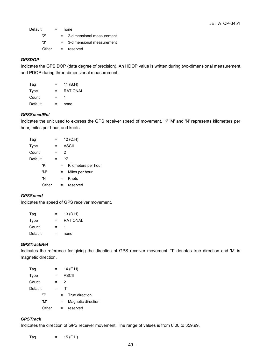Default  $=$  none

'2' = 2-dimensional measurement

'3' = 3-dimensional measurement

Other = reserved

# *GPSDOP*

Indicates the GPS DOP (data degree of precision). An HDOP value is written during two-dimensional measurement, and PDOP during three-dimensional measurement.

| Taq     | $=$ | 11 (B.H) |
|---------|-----|----------|
| Type    | =   | RATIONAL |
| Count   | $=$ |          |
| Default | =   | none     |

## *GPSSpeedRef*

Indicates the unit used to express the GPS receiver speed of movement. 'K' 'M' and 'N' represents kilometers per hour, miles per hour, and knots.

| Tag     |       |   | 12 (C.H)     |                     |  |
|---------|-------|---|--------------|---------------------|--|
| Type    |       | = | <b>ASCII</b> |                     |  |
| Count   |       | = | 2            |                     |  |
| Default |       | = | 'K'          |                     |  |
|         | 'K'   |   |              | Kilometers per hour |  |
|         | 'M'   |   | $=$          | Miles per hour      |  |
|         | 'N'   |   | =            | Knots               |  |
|         | Other |   |              | reserved            |  |

## *GPSSpeed*

Indicates the speed of GPS receiver movement.

| Tag     | =   | 13 (D.H)        |
|---------|-----|-----------------|
| Type    | $=$ | <b>RATIONAL</b> |
| Count   | $=$ |                 |
| Default | =   | none            |

## *GPSTrackRef*

Indicates the reference for giving the direction of GPS receiver movement. 'T' denotes true direction and 'M' is magnetic direction.

| Tag     |       |   | 14 (E.H)     |     |                    |
|---------|-------|---|--------------|-----|--------------------|
| Type    |       | = | <b>ASCII</b> |     |                    |
| Count   |       | = |              | 2   |                    |
| Default |       |   |              | ידי |                    |
|         | 'T'   |   | $=$          |     | True direction     |
|         | 'M'   |   | $=$          |     | Magnetic direction |
|         | Other |   |              |     | reserved           |

# *GPSTrack*

Indicates the direction of GPS receiver movement. The range of values is from 0.00 to 359.99.

 $Tag = 15 (F.H)$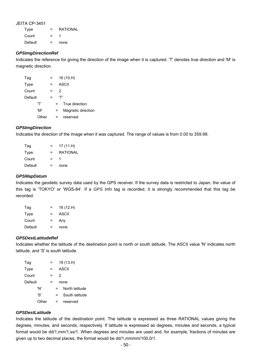Type = RATIONAL Count  $= 1$ Default = none

#### *GPSImgDirectionRef*

Indicates the reference for giving the direction of the image when it is captured. 'T' denotes true direction and 'M' is magnetic direction.

| Tag     |       |   | 16 (10.H)    |                    |  |
|---------|-------|---|--------------|--------------------|--|
| Type    |       |   | <b>ASCII</b> |                    |  |
| Count   |       | = | 2            |                    |  |
| Default |       |   | ידי          |                    |  |
|         | 'T'   |   | =            | True direction     |  |
|         | 'M'   |   | $=$          | Magnetic direction |  |
|         | Other |   | =            | reserved           |  |

### *GPSImgDirection*

Indicates the direction of the image when it was captured. The range of values is from 0.00 to 359.99.

| Tag     | = | 17(11.H)        |
|---------|---|-----------------|
| Type    | = | <b>RATIONAL</b> |
| Count   | = |                 |
| Default | = | none            |

#### *GPSMapDatum*

Indicates the geodetic survey data used by the GPS receiver. If the survey data is restricted to Japan, the value of this tag is 'TOKYO' or 'WGS-84'. If a *GPS Info* tag is recorded, it is strongly recommended that this tag be recorded.

| Tag     | ⋍   | 18 (12.H) |
|---------|-----|-----------|
| Type    | $=$ | ASCII     |
| Count   | $=$ | Any       |
| Default | =   | none      |

#### *GPSDestLatitudeRef*

Indicates whether the latitude of the destination point is north or south latitude. The ASCII value 'N' indicates north latitude, and 'S' is south latitude.

| Tag     | = |      | 19 (13.H)      |
|---------|---|------|----------------|
| Type    | ⋍ |      | ASCII          |
| Count   | ⋍ | 2    |                |
| Default |   | none |                |
| 'N'     |   |      | North latitude |
| ירי     |   | =    | South latitude |
| Other   |   |      | reserved       |

### *GPSDestLatitude*

Indicates the latitude of the destination point. The latitude is expressed as three RATIONAL values giving the degrees, minutes, and seconds, respectively. If latitude is expressed as degrees, minutes and seconds, a typical format would be dd/1,mm/1,ss/1. When degrees and minutes are used and, for example, fractions of minutes are given up to two decimal places, the format would be dd/1,mmmm/100,0/1.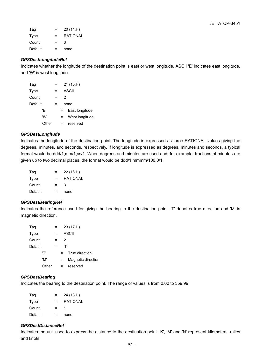| Tag     | =   | 20 (14.H)       |
|---------|-----|-----------------|
| Type    | $=$ | <b>RATIONAL</b> |
| Count   | $=$ | 3               |
| Default | =   | none            |

## *GPSDestLongitudeRef*

Indicates whether the longitude of the destination point is east or west longitude. ASCII 'E' indicates east longitude, and 'W' is west longitude.

| Tag         |       |   |   |   | 21 (15.H)      |
|-------------|-------|---|---|---|----------------|
| <b>Type</b> |       | = |   |   | ASCII          |
| Count       |       | = |   | 2 |                |
| Default     |       |   |   |   | none           |
|             | 'F'   |   | = |   | East longitude |
|             | 'W'   |   | = |   | West longitude |
|             | Other |   |   |   | reserved       |

### *GPSDestLongitude*

Indicates the longitude of the destination point. The longitude is expressed as three RATIONAL values giving the degrees, minutes, and seconds, respectively. If longitude is expressed as degrees, minutes and seconds, a typical format would be ddd/1,mm/1,ss/1. When degrees and minutes are used and, for example, fractions of minutes are given up to two decimal places, the format would be ddd/1,mmmm/100,0/1.

| Tag     | = | 22 (16.H)       |
|---------|---|-----------------|
| Type    | = | <b>RATIONAL</b> |
| Count   | = | З               |
| Default | = | none            |

### *GPSDestBearingRef*

Indicates the reference used for giving the bearing to the destination point. 'T' denotes true direction and 'M' is magnetic direction.

| Tag     |       | = | 23 (17.H) |     |                    |  |
|---------|-------|---|-----------|-----|--------------------|--|
| Type    |       | = | ASCII     |     |                    |  |
| Count   |       | = |           | 2   |                    |  |
| Default |       |   |           | 'T' |                    |  |
|         | ידי   |   | $=$       |     | True direction     |  |
|         | 'M'   |   | =         |     | Magnetic direction |  |
|         | Other |   | =         |     | reserved           |  |

### *GPSDestBearing*

Indicates the bearing to the destination point. The range of values is from 0.00 to 359.99.

| Tag     | $=$ | 24 (18.H) |
|---------|-----|-----------|
| Type    | $=$ | RATIONAL  |
| Count   | $=$ |           |
| Default | =   | none      |

### *GPSDestDistanceRef*

Indicates the unit used to express the distance to the destination point. 'K', 'M' and 'N' represent kilometers, miles and knots.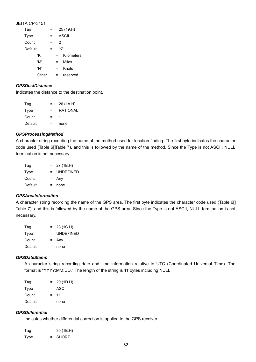| JEITA CP-3451 |  |
|---------------|--|
|---------------|--|

| Tag     | ≕ |   | 25 (19.H)  |
|---------|---|---|------------|
| Type    | ⋍ |   | ASCII      |
| Count   | = | 2 |            |
| Default | ⋍ |   | 'K'        |
| 'K'     |   | = | Kilometers |
| 'M'     |   | = | Miles      |
| 'N'     |   | = | Knots      |
| ∩ther   |   |   | reserved   |

#### *GPSDestDistance*

Indicates the distance to the destination point.

| Tag     | $=$ | 26 (1A.H) |
|---------|-----|-----------|
| Type    | $=$ | RATIONAL  |
| Count   | =   |           |
| Default | =   | none      |

#### *GPSProcessingMethod*

A character string recording the name of the method used for location finding. The first byte indicates the character code used (Table 6 Table 7), and this is followed by the name of the method. Since the Type is not ASCII, NULL termination is not necessary.

| Tag     | $=$ | 27 (1B.H)        |
|---------|-----|------------------|
| Type    | $=$ | <b>UNDEFINED</b> |
| Count   |     | $=$ Any          |
| Default | =   | none             |

#### *GPSAreaInformation*

A character string recording the name of the GPS area. The first byte indicates the character code used (Table 6 Table 7), and this is followed by the name of the GPS area. Since the Type is not ASCII, NULL termination is not necessary.

| Tag     | $=$ | 28 (1C.H)        |
|---------|-----|------------------|
| Type    | $=$ | <b>UNDEFINED</b> |
| Count   |     | $=$ Any          |
| Default | =   | none             |

#### *GPSDateStamp*

A character string recording date and time information relative to UTC (Coordinated Universal Time). The format is "YYYY:MM:DD." The length of the string is 11 bytes including NULL.

| Tag     | $=$ | 29 (1D.H) |
|---------|-----|-----------|
| Type    |     | $=$ ASCII |
| Count   | $=$ | -11       |
| Default | =   | none      |

## *GPSDifferential*

Indicates whether differential correction is applied to the GPS receiver.

| Tag  | a a s | 30 (1E.H) |
|------|-------|-----------|
| Type | $=$   | SHORT     |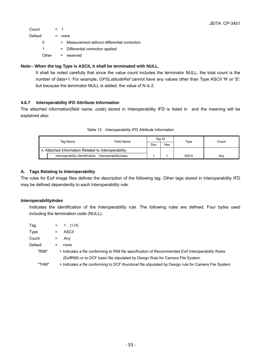| Count   |       | $=$ 1 |                                               |
|---------|-------|-------|-----------------------------------------------|
| Default |       | =     | none                                          |
|         | 0     |       | = Measurement without differential correction |
|         | 1.    |       | - Differential correction applied             |
|         | Other |       | = reserved                                    |
|         |       |       |                                               |

## **Note**-**When the tag Type is ASCII, it shall be terminated with NULL.**

It shall be noted carefully that since the value count includes the terminator NULL, the total count is the number of data+1. For example, *GPSLatitudeRef* cannot have any values other than Type ASCII 'N' or 'S'; but because the terminator NULL is added, the value of N is 2.

# **4.6.7 Interoperability IFD Attribute Information**

The attached information(field name, code) stored in Interoperability IFD is listed in and the meaning will be explained also.

| Tag Name                                            |                                                        | Field Name | Tag ID |     | Type  | Count |
|-----------------------------------------------------|--------------------------------------------------------|------------|--------|-----|-------|-------|
|                                                     |                                                        |            | Dec    | Hex |       |       |
| A. Attached Information Related to Interoperability |                                                        |            |        |     |       |       |
|                                                     | Interoperability Identification Interoperability Index |            |        |     | ASCII | Any   |

### Table 13 Interoperability IFD Attribute Information

## **A. Tags Relating to Interoperability**

The rules for Exif image files defines the description of the following tag. Other tags stored in Interoperability IFD may be defined dependently to each Interoperability rule.

## *InteroperabilityIndex*

Indicates the identification of the Interoperability rule. The following rules are defined. Four bytes used including the termination code (NULL).

| Tag     | $=$ $-$ | (1.H)                                                                                                 |
|---------|---------|-------------------------------------------------------------------------------------------------------|
| Type    |         | ASCII                                                                                                 |
| Count   | =       | Anv                                                                                                   |
| Default | =       | none                                                                                                  |
| "R98"   |         | = Indicates a file conforming to R98 file specification of Recommended Exif Interoperability Rules    |
|         |         | (ExifR98) or to DCF basic file stipulated by Design Rule for Camera File System.                      |
| "THM"   |         | = Indicates a file conforming to DCF thumbnail file stipulated by Design rule for Camera File System. |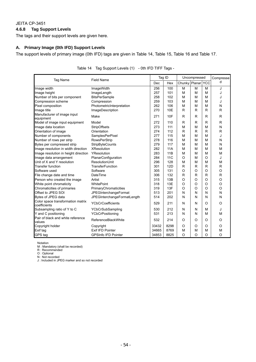## **4.6.8 Tag Support Levels**

The tags and their support levels are given here.

## **A. Primary Image (0th IFD) Support Levels**

The support levels of primary image (0th IFD) tags are given in Table 14, Table 15, Table 16 and Table 17.

| Tag Name                                          | <b>Field Name</b>            | Tag ID |            |                   | Uncompressed |          | Compresse    |
|---------------------------------------------------|------------------------------|--------|------------|-------------------|--------------|----------|--------------|
|                                                   |                              | Dec    | Hex        | Chunky Planar YCC |              |          | d            |
| Image width                                       | ImageWidth                   | 256    | 100        | M                 | M            | M        | J            |
| Image height                                      | ImageLength                  | 257    | 101        | M                 | M            | M        | J            |
| Number of bits per component                      | <b>BitsPerSample</b>         | 258    | 102        | M                 | M            | M        | J            |
| Compression scheme                                | Compression                  | 259    | 103        | M                 | M            | м        | J            |
| Pixel composition                                 | PhotometricInterpretation    | 262    | 106        | M                 | M            | M        | N            |
| Image title                                       | ImageDescription             | 270    | <b>10E</b> | R                 | R            | R        | R            |
| Manufacturer of image input<br>equipment          | Make                         | 271    | 10F        | R                 | R            | R        | R            |
| Model of image input equipment                    | Model                        | 272    | 110        | $\mathsf{R}$      | $\mathsf{R}$ | R        | $\mathsf{R}$ |
| Image data location                               | StripOffsets                 | 273    | 111        | M                 | M            | M        | N            |
| Orientation of image                              | Orientation                  | 274    | 112        | R                 | $\mathsf{R}$ | R        | $\mathsf{R}$ |
| Number of components                              | <b>SamplesPerPixel</b>       | 277    | 115        | M                 | M            | M        | J            |
| Number of rows per strip                          | <b>RowsPerStrip</b>          | 278    | 116        | M                 | M            | M        | N            |
| Bytes per compressed strip                        | <b>StripByteCounts</b>       | 279    | 117        | M                 | M            | M        | N            |
| Image resolution in width direction               | <b>XResolution</b>           | 282    | 11A        | M                 | M            | M        | M            |
| Image resolution in height direction              | YResolution                  | 283    | 11B        | M                 | M            | M        | M            |
| Image data arrangement                            | PlanarConfiguration          | 284    | <b>11C</b> | O                 | M            | $\circ$  | J            |
| Unit of X and Y resolution                        | <b>ResolutionUnit</b>        | 296    | 128        | M                 | M            | M        | M            |
| <b>Transfer function</b>                          | <b>TransferFunction</b>      | 301    | 12D        | $\mathsf{R}$      | $\mathsf{R}$ | R        | $\mathsf{R}$ |
| Software used                                     | Software                     | 305    | 131        | O                 | O            | $\Omega$ | O            |
| File change date and time                         | <b>DateTime</b>              | 306    | 132        | $\mathsf{R}$      | $\mathsf{R}$ | R        | $\mathsf R$  |
| Person who created the image                      | Artist                       | 315    | 13B        | O                 | O            | $\circ$  | O            |
| White point chromaticity                          | WhitePoint                   | 318    | 13E        | $\circ$           | O            | $\Omega$ | O            |
| Chromaticities of primaries                       | PrimaryChromaticities        | 319    | 13F        | $\circ$           | $\circ$      | $\Omega$ | $\circ$      |
| Offset to JPEG SOI                                | <b>JPEGInterchangeFormat</b> | 513    | 201        | N                 | N            | N        | N            |
| Bytes of JPEG data                                | JPEGInterchangeFormatLength  | 514    | 202        | N                 | N            | N        | N            |
| Color space transformation matrix<br>coefficients | <b>YCbCrCoefficients</b>     | 529    | 211        | N                 | N            | O        | O            |
| Subsampling ratio of Y to C                       | YCbCrSubSampling             | 530    | 212        | N                 | N            | м        | J            |
| Y and C positioning                               | <b>YCbCrPositioning</b>      | 531    | 213        | N                 | N            | м        | M            |
| Pair of black and white reference<br>values       | ReferenceBlackWhite          | 532    | 214        | $\circ$           | $\circ$      | O        | O            |
| Copyright holder                                  | Copyright                    | 33432  | 8298       | O                 | O            | $\circ$  | O            |
| Exif tag                                          | Exif IFD Pointer             | 34665  | 8769       | M                 | M            | M        | M            |
| GPS tag                                           | <b>GPSInfo IFD Pointer</b>   | 34853  | 8825       | $\Omega$          | $\Omega$     | $\Omega$ | $\Omega$     |

Notation

M : Mandatory (shall be recorded)

R : Recommended

O : Optional

N : Not recorded

J : Included in JPEG marker and so not recorded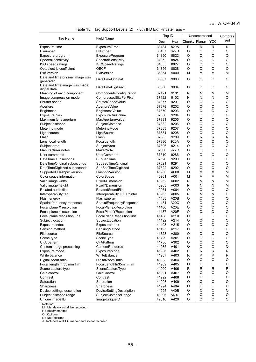|  |  |  | Table 15 Tag Support Levels (2) - 0th IFD Exif Private Tags - |
|--|--|--|---------------------------------------------------------------|
|--|--|--|---------------------------------------------------------------|

|                                           |                              |       | Tag ID |               | Uncompressed |             | Compres      |  |
|-------------------------------------------|------------------------------|-------|--------|---------------|--------------|-------------|--------------|--|
| Tag Name                                  | <b>Field Name</b>            | Dec   | Hex    | Chunky Planar |              | <b>YCC</b>  | sed          |  |
| Exposure time                             | ExposureTime                 | 33434 | 829A   | R             | R            | R           | $\mathsf{R}$ |  |
| F number                                  | FNumber                      | 33437 | 829D   | O             | O            | O           | O            |  |
| Exposure program                          | <b>ExposureProgram</b>       | 34850 | 8822   | O             | O            | O           | O            |  |
| Spectral sensitivity                      | SpectralSensitivity          | 34852 | 8824   | O             | O            | O           | O            |  |
| ISO speed ratings                         | <b>ISOSpeedRatings</b>       | 34855 | 8827   | O             | O            | O           | O            |  |
| Optoelectric coefficient                  | <b>OECF</b>                  | 34856 | 8828   | O             | O            | O           | O            |  |
| <b>Exif Version</b>                       | <b>ExifVersion</b>           | 36864 | 9000   | М             | М            | М           | M            |  |
| Date and time original image was          | DateTimeOriginal             | 36867 | 9003   | O             | O            | O           | O            |  |
| generated<br>Date and time image was made |                              |       |        |               |              |             |              |  |
| digital data                              | DateTimeDigitized            | 36868 | 9004   | O             | O            | O           | O            |  |
| Meaning of each component                 | ComponentsConfiguration      | 37121 | 9101   | N             | N            | N           | M            |  |
| Image compression mode                    | CompressedBitsPerPixel       | 37122 | 9102   | N             | N            | N           | O            |  |
| Shutter speed                             | ShutterSpeedValue            | 37377 | 9201   | O             | O            | O           | O            |  |
| Aperture                                  | ApertureValue                | 37378 | 9202   | O             | O            | O           | O            |  |
| <b>Brightness</b>                         | <b>BrightnessValue</b>       | 37379 | 9203   | O             | O            | O           | O            |  |
| Exposure bias                             | ExposureBiasValue            | 37380 | 9204   | O             | O            | O           | O            |  |
| Maximum lens aperture                     | MaxApertureValue             | 37381 | 9205   | O             | O            | O           | O            |  |
| Subject distance                          | SubjectDistance              | 37382 | 9206   | O             | O            | O           | O            |  |
| Metering mode                             | MeteringMode                 | 37383 | 9207   | O             | O            | O           | O            |  |
| Light source                              | LightSource                  | 37384 | 9208   | O             | O            | O           | O            |  |
| Flash                                     | Flash                        | 37385 | 9209   | R             | $\mathsf{R}$ | R           | R            |  |
| Lens focal length                         | FocalLength                  | 37386 | 920A   | O             | O            | O           | O            |  |
| Subject area                              | SubjectArea                  | 37396 | 9214   | O             | O            | O           | O            |  |
| Manufacturer notes                        | <b>MakerNote</b>             | 37500 | 927C   | O             | $\circ$      | O           | O            |  |
| User comments                             | <b>UserComment</b>           | 37510 | 9286   | O             | O            | O           | O            |  |
| DateTime subseconds                       | SubSecTime                   | 37520 | 9290   | O             | O            | O           | O            |  |
| DateTimeOriginal subseconds               | SubSecTimeOriginal           | 37521 | 9291   | O             | O            | O           | O            |  |
| DateTimeDigitized subseconds              | SubSecTimeDigitized          | 37522 | 9292   | O             | O            | O           | $\mathsf O$  |  |
| Supported Flashpix version                | FlashpixVersion              | 40960 | A000   | М             | М            | М           | M            |  |
| Color space information                   | ColorSpace                   | 40961 | A001   | М             | М            | M           | M            |  |
| Valid image width                         | PixelXDimension              | 40962 | A002   | Ν             | N            | N           | M            |  |
| Valid image height                        | PixelYDimension              | 40963 | A003   | N             | N            | N           | M            |  |
| Related audio file                        | RelatedSoundFile             | 40964 | A004   | O             | O            | O           | O            |  |
| Interoperability tag                      | Interoperability IFD Pointer | 40965 | A005   | N             | Ν            | N           | O            |  |
| Flash energy                              | FlashEnergy                  | 41483 | A20B   | O             | O            | O           | O            |  |
| Spatial frequency response                | SpatialFrequencyResponse     | 41484 | A20C   | O             | O            | O           | O            |  |
| Focal plane X resolution                  | FocalPlaneXResolution        | 41486 | A20E   | O             | O            | O           | O            |  |
| Focal plane Y resolution                  | <b>FocalPlaneYResolution</b> | 41487 | A20F   | O             | O            | O           | O            |  |
| Focal plane resolution unit               | FocalPlaneResolutionUnit     | 41488 | A210   | O             | O            | O           | O            |  |
| Subject location                          | SubjectLocation              | 41492 | A214   | O             | O            | O           | O            |  |
| Exposure index                            | ExposureIndex                | 41493 | A215   | $\circ$       | O            | O           | O            |  |
| Sensing method                            | SensingMethod                | 41495 | A217   | O             | O            | O           | O            |  |
| File source                               | FileSource                   | 41728 | A300   | O             | O            | O           | O            |  |
| Scene type                                | SceneType                    | 41729 | A301   | O             | O            | O           | O            |  |
| CFA pattern                               | CFAPattern                   | 41730 | A302   | O             | O            | O           | O            |  |
| Custom image processing                   | CustomRendered               | 41985 | A401   | O             | O            | O           | O            |  |
| Exposure mode                             | ExposureMode                 | 41986 | A402   | R             | $\mathsf{R}$ | $\mathsf R$ | R            |  |
| White balance                             | WhiteBalance                 | 41987 | A403   | R             | R            | R           | R            |  |
| Digital zoom ratio                        | DigitalZoomRatio             | 41988 | A404   | O             | O            | O           | O            |  |
| Focal length in 35 mm film                | FocalLengthIn35mmFilm        | 41989 | A405   | O             | O            | O           | O            |  |
| Scene capture type                        | SceneCaptureType             | 41990 | A406   | R             | R            | $\mathsf R$ | R            |  |
| Gain control                              | GainControl                  | 41991 | A407   | O             | O            | O           | O            |  |
| Contrast                                  | Contrast                     | 41992 | A408   | O             | O            | O           | O            |  |
| Saturation                                | Saturation                   | 41993 | A409   | O             | O            | O           | O            |  |
| Sharpness                                 | Sharpness                    | 41994 | A40A   | O             | O            | O           | O            |  |
| Device settings description               | DeviceSettingDescription     | 41995 | A40B   | O             | O            | O           | O            |  |
| Subject distance range                    | SubjectDistanceRange         | 41996 | A40C   | O             | O            | O           | $\mathsf O$  |  |
| Unique image ID                           | ImageUniqueID                | 42016 | A420   | O             | O            | O           | O            |  |
| Notation                                  |                              |       |        |               |              |             |              |  |

M : Mandatory (shall be recorded)

R : Recommended

O : Optional

N : Not recorded

J : Included in JPEG marker and so not recorded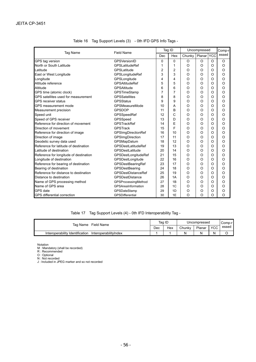| <b>Tag Name</b>                        | <b>Field Name</b>         | Tag ID |                | Uncompressed | Comp-r   |            |          |
|----------------------------------------|---------------------------|--------|----------------|--------------|----------|------------|----------|
|                                        |                           | Dec    | Hex            | Chunky       | Planar   | <b>YCC</b> | essed    |
| GPS tag version                        | GPSVersionID              | 0      | 0              | O            | O        | O          | $\circ$  |
| North or South Latitude                | <b>GPSLatitudeRef</b>     | 1      | 1              | $\Omega$     | $\circ$  | O          | $\circ$  |
| Latitude                               | GPSLatitude               | 2      | $\overline{2}$ | O            | $\circ$  | $\circ$    | $\circ$  |
| East or West Longitude                 | GPSLongitudeRef           | 3      | 3              | $\circ$      | $\circ$  | $\circ$    | $\circ$  |
| Longitude                              | GPSLongitude              | 4      | 4              | O            | O        | $\circ$    | $\circ$  |
| Altitude reference                     | <b>GPSAltitudeRef</b>     | 5      | 5              | O            | $\circ$  | O          | $\circ$  |
| Altitude                               | <b>GPSAltitude</b>        | 6      | 6              | O            | O        | O          | $\circ$  |
| GPS time (atomic clock)                | GPSTimeStamp              | 7      | 7              | O            | $\circ$  | O          | $\circ$  |
| GPS satellites used for measurement    | <b>GPSSatellites</b>      | 8      | 8              | O            | $\Omega$ | O          | $\circ$  |
| <b>GPS</b> receiver status             | <b>GPSStatus</b>          | 9      | 9              | O            | $\Omega$ | $\circ$    | $\circ$  |
| GPS measurement mode                   | GPSMeasureMode            | 10     | A              | O            | $\circ$  | O          | $\circ$  |
| Measurement precision                  | <b>GPSDOP</b>             | 11     | B              | O            | $\circ$  | O          | $\circ$  |
| Speed unit                             | GPSSpeedRef               | 12     | Ć              | O            | $\circ$  | O          | $\circ$  |
| Speed of GPS receiver                  | GPSSpeed                  | 13     | D              | O            | $\circ$  | $\circ$    | $\circ$  |
| Reference for direction of movement    | <b>GPSTrackRef</b>        | 14     | E              | O            | $\Omega$ | $\circ$    | $\circ$  |
| Direction of movement                  | <b>GPSTrack</b>           | 15     | F              | O            | $\circ$  | O          | $\circ$  |
| Reference for direction of image       | <b>GPSImgDirectionRef</b> | 16     | 10             | O            | $\circ$  | O          | $\circ$  |
| Direction of image                     | GPSImgDirection           | 17     | 11             | O            | $\circ$  | O          | $\circ$  |
| Geodetic survey data used              | GPSMapDatum               | 18     | 12             | O            | $\circ$  | $\circ$    | $\circ$  |
| Reference for latitude of destination  | <b>GPSDestLatitudeRef</b> | 19     | 13             | O            | $\circ$  | $\circ$    | $\circ$  |
| Latitude of destination                | GPSDestLatitude           | 20     | 14             | $\Omega$     | $\circ$  | O          | $\circ$  |
| Reference for longitude of destination | GPSDestLongitudeRef       | 21     | 15             | $\circ$      | $\circ$  | O          | $\Omega$ |
| Longitude of destination               | GPSDestLongitude          | 22     | 16             | O            | $\circ$  | O          | $\circ$  |
| Reference for bearing of destination   | GPSDestBearingRef         | 23     | 17             | O            | $\circ$  | O          | $\circ$  |
| Bearing of destination                 | GPSDestBearing            | 24     | 18             | O            | O        | O          | $\circ$  |
| Reference for distance to destination  | <b>GPSDestDistanceRef</b> | 25     | 19             | $\circ$      | $\circ$  | O          | $\circ$  |
| Distance to destination                | <b>GPSDestDistance</b>    | 26     | 1A             | $\circ$      | O        | $\circ$    | $\circ$  |
| Name of GPS processing method          | GPSProcessingMethod       | 27     | 1B             | O            | $\circ$  | O          | $\circ$  |
| Name of GPS area                       | GPSAreaInformation        | 28     | 1 <sup>C</sup> | O            | O        | O          | $\circ$  |
| GPS date                               | GPSDateStamp              | 29     | 1D             | O            | $\circ$  | O          | O        |
| <b>GPS</b> differential correction     | <b>GPSDifferential</b>    | 30     | 1E             | O            | $\circ$  | O          | $\Omega$ |

|  | Table 16 Tag Support Levels (3) - 0th IFD GPS Info Tags - |
|--|-----------------------------------------------------------|
|  |                                                           |

Table 17 Tag Support Levels (4) - 0th IFD Interoperability Tag -

| Field Name<br>Tag Name                                   |     | Tag ID | Uncompressed |        |                  | Comp-r |  |
|----------------------------------------------------------|-----|--------|--------------|--------|------------------|--------|--|
|                                                          | Dec | Hex    | Chunky       | Planar | <b>VCC</b><br>◡◡ | essed  |  |
| Interoperability Identification<br>InteroperabilityIndex |     |        |              |        | N                |        |  |

Notation

M : Mandatory (shall be recorded)

R : Recommended

O : Optional

N : Not recorded

J : Included in JPEG marker and so not recorded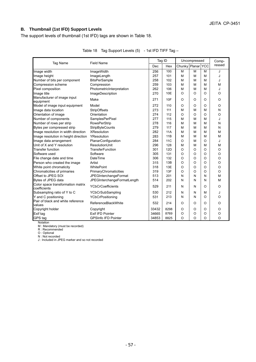## **B. Thumbnail (1st IFD) Support Levels**

The support levels of thumbnail (1st IFD) tags are shown in Table 18.

| Tag Name                                          | <b>Field Name</b>           | Tag ID |            |                   | Uncompressed |         | Comp-    |
|---------------------------------------------------|-----------------------------|--------|------------|-------------------|--------------|---------|----------|
|                                                   |                             | Dec    | Hex        | Chunky Planar YCC |              |         | ressed   |
| Image width                                       | ImageWidth                  | 256    | 100        | M                 | M            | M       | J        |
| Image height                                      | ImageLength                 | 257    | 101        | М                 | M            | М       | J        |
| Number of bits per component                      | <b>BitsPerSample</b>        | 258    | 102        | М                 | M            | M       | J        |
| Compression scheme                                | Compression                 | 259    | 103        | М                 | М            | M       | M        |
| Pixel composition                                 | PhotometricInterpretation   | 262    | 106        | М                 | M            | M       | J        |
| Image title                                       | ImageDescription            | 270    | 10E        | O                 | $\circ$      | $\circ$ | $\Omega$ |
| Manufacturer of image input<br>equipment          | Make                        | 271    | 10F        | O                 | O            | O       | O        |
| Model of image input equipment                    | Model                       | 272    | 110        | $\circ$           | $\circ$      | O       | $\circ$  |
| Image data location                               | <b>StripOffsets</b>         | 273    | 111        | M                 | M            | M       | N        |
| Orientation of image                              | Orientation                 | 274    | 112        | $\circ$           | $\circ$      | $\circ$ | $\circ$  |
| Number of components                              | SamplesPerPixel             | 277    | 115        | M                 | M            | M       | J        |
| Number of rows per strip                          | <b>RowsPerStrip</b>         | 278    | 116        | M                 | M            | M       | N        |
| Bytes per compressed strip                        | <b>StripByteCounts</b>      | 279    | 117        | м                 | M            | M       | N        |
| Image resolution in width direction               | <b>XResolution</b>          | 282    | 11A        | M                 | M            | M       | M        |
| Image resolution in height direction              | YResolution                 | 283    | 11B        | M                 | M            | M       | M        |
| Image data arrangement                            | PlanarConfiguration         | 284    | <b>11C</b> | $\circ$           | M            | O       | J        |
| Unit of X and Y resolution                        | <b>ResolutionUnit</b>       | 296    | 128        | M                 | M            | M       | M        |
| <b>Transfer function</b>                          | TransferFunction            | 301    | <b>12D</b> | $\circ$           | $\circ$      | $\circ$ | $\circ$  |
| Software used                                     | Software                    | 305    | 131        | $\circ$           | $\circ$      | $\circ$ | $\circ$  |
| File change date and time                         | DateTime                    | 306    | 132        | $\circ$           | $\circ$      | $\circ$ | $\circ$  |
| Person who created the image                      | Artist                      | 315    | 13B        | $\circ$           | $\circ$      | O       | $\circ$  |
| White point chromaticity                          | WhitePoint                  | 318    | 13E        | $\circ$           | $\circ$      | $\circ$ | $\circ$  |
| Chromaticities of primaries                       | PrimaryChromaticities       | 319    | 13F        | $\circ$           | $\circ$      | $\circ$ | $\circ$  |
| Offset to JPEG SOI                                | JPEGInterchangeFormat       | 513    | 201        | N                 | N            | N       | M        |
| Bytes of JPEG data                                | JPEGInterchangeFormatLength | 514    | 202        | N                 | N            | N       | M        |
| Color space transformation matrix<br>coefficients | <b>YCbCrCoefficients</b>    | 529    | 211        | N                 | N            | O       | $\Omega$ |
| Subsampling ratio of Y to C                       | YCbCrSubSampling            | 530    | 212        | N                 | N            | M       | J        |
| Y and C positioning                               | YCbCrPositioning            | 531    | 213        | N                 | N            | $\circ$ | $\circ$  |
| Pair of black and white reference                 | ReferenceBlackWhite         | 532    | 214        | O                 | $\circ$      | O       | $\Omega$ |
| values                                            |                             |        |            |                   |              |         |          |
| Copyright holder                                  | Copyright                   | 33432  | 8298       | $\circ$           | $\circ$      | $\circ$ | O        |
| Exif tag                                          | Exif IFD Pointer            | 34665  | 8769       | $\circ$           | $\circ$      | $\circ$ | $\circ$  |
| GPS tag                                           | <b>GPSInfo IFD Pointer</b>  | 34853  | 8825       | $\Omega$          | $\circ$      | O       | $\Omega$ |

Table 18 Tag Support Levels (5) - 1st IFD TIFF Tag -

Notation M : Mandatory (must be recorded)

R : Recommended

O : Optional

N : Not recorded J : Included in JPEG marker and so not recorded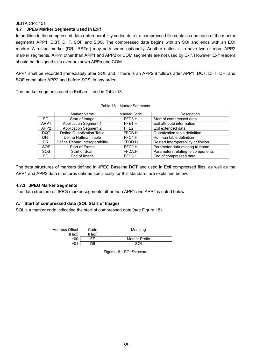## **4.7 JPEG Marker Segments Used in Exif**

In addition to the compressed data (Interoperability coded data), a compressed file contains one each of the marker segments APP1, DQT, DHT, SOF and SOS. The compressed data begins with an SOI and ends with an EOI marker. A restart marker (DRI, RSTm) may be inserted optionally. Another option is to have two or more APP2 marker segments. APPn other than APP1 and APP2 or COM segments are not used by Exif. However Exif readers should be designed skip over unknown APPn and COM.

APP1 shall be recorded immediately after SOI, and if there is an APP2 it follows after APP1. DQT, DHT, DRI and SOF come after APP2 and before SOS, in any order.

The marker segments used in Exif are listed in Table 18.

|                  | Marker Name                     | Marker Code | Description                         |
|------------------|---------------------------------|-------------|-------------------------------------|
| SOI              | Start of Image                  | FFD8.H      | Start of compressed data            |
| APP1             | <b>Application Segment 1</b>    | FFE1.H      | Exif attribute information          |
| APP <sub>2</sub> | <b>Application Segment 2</b>    | FFE2.H      | Exif extended data                  |
| <b>DQT</b>       | Define Quantization Table       | FFDB.H      | Quantization table definition       |
| <b>DHT</b>       | Define Huffman Table            | FFC4.H      | Huffman table definition            |
| <b>DRI</b>       | Define Restart Interoperability | FFDD.H      | Restart Interoperability definition |
| <b>SOF</b>       | Start of Frame                  | FFC0.H      | Parameter data relating to frame    |
| <b>SOS</b>       | Start of Scan                   | FFDA.H      | Parameters relating to components   |
| <b>EOI</b>       | End of Image                    | FFD9.H      | End of compressed data              |

| Table 18 Marker Segments |  |  |
|--------------------------|--|--|
|--------------------------|--|--|

The data structures of markers defined in JPEG Baseline DCT and used in Exif compressed files, as well as the APP1 and APP2 data structures defined specifically for this standard, are explained below.

### **4.7.1 JPEG Marker Segments**

The data structure of JPEG marker segments other than APP1 and APP2 is noted below.

### **A. Start of compressed data (SOI: Start of Image)**

SOI is a marker code indicating the start of compressed data (see Figure 18).

| Address Offset | Code  | Meaning              |
|----------------|-------|----------------------|
| (Hex)          | (Hex) |                      |
| +00            | FF    | <b>Marker Prefix</b> |
| +01            | D8    | ടവ                   |

Figure 18 SOI Structure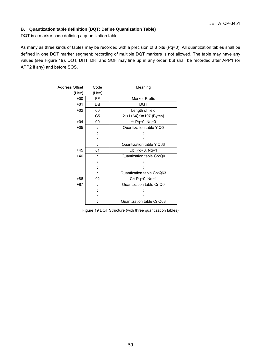## **B. Quantization table definition (DQT: Define Quantization Table)**

DQT is a marker code defining a quantization table.

As many as three kinds of tables may be recorded with a precision of 8 bits (Pq=0). All quantization tables shall be defined in one DQT marker segment; recording of multiple DQT markers is not allowed. The table may have any values (see Figure 19). DQT, DHT, DRI and SOF may line up in any order, but shall be recorded after APP1 (or APP2 if any) and before SOS.

| <b>Address Offset</b> | Code           | Meaning                   |
|-----------------------|----------------|---------------------------|
| (Hex)                 | (Hex)          |                           |
| $+00$                 | FF.            | Marker Prefix             |
| $+01$                 | DB             | DQT                       |
| $+02$                 | 00             | Length of field           |
|                       | C <sub>5</sub> | 2+(1+64)*3=197 (Bytes)    |
| $+04$                 | 00             | $Y:$ Pq=0, Nq=0           |
| $+05$                 |                | Quantization table Y:Q0   |
|                       |                |                           |
|                       |                |                           |
|                       |                | Quantization table Y:Q63  |
| $+45$                 | 01             | Cb: Pq=0, Nq=1            |
| $+46$                 |                | Quantization table Cb:Q0  |
|                       |                |                           |
|                       |                |                           |
|                       |                | Quantization table Cb:Q63 |
| +86                   | 02             | Cr: Pq=0, Nq=1            |
| $+87$                 |                | Quantization table Cr:Q0  |
|                       |                |                           |
|                       |                |                           |
|                       |                | Quantization table Cr:Q63 |

Figure 19 DQT Structure (with three quantization tables)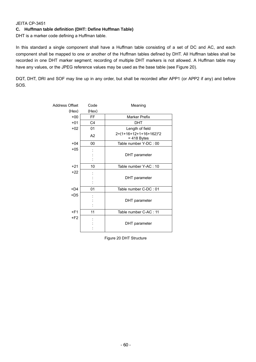## **C. Huffman table definition (DHT: Define Huffman Table)**

DHT is a marker code defining a Huffman table.

In this standard a single component shall have a Huffman table consisting of a set of DC and AC, and each component shall be mapped to one or another of the Huffman tables defined by DHT. All Huffman tables shall be recorded in one DHT marker segment; recording of multiple DHT markers is not allowed. A Huffman table may have any values, or the JPEG reference values may be used as the base table (see Figure 20).

DQT, DHT, DRI and SOF may line up in any order, but shall be recorded after APP1 (or APP2 if any) and before SOS.

| Address Offset | Code           | Meaning                                 |
|----------------|----------------|-----------------------------------------|
| (Hex)          | (Hex)          |                                         |
| $+00$          | <b>FF</b>      | <b>Marker Prefix</b>                    |
| $+01$          | C <sub>4</sub> | <b>DHT</b>                              |
| $+02$          | 01             | Length of field                         |
|                | A <sub>2</sub> | 2+(1+16+12+1+16+162)*2<br>$= 418$ Bytes |
| $+04$          | 00             | Table number Y-DC: 00                   |
| $+05$          |                | DHT parameter                           |
| $+21$          | 10             | Table number Y-AC : 10                  |
| $+22$          |                | DHT parameter                           |
| $+D4$          | 01             | Table number C-DC: 01                   |
| $+D5$          |                | DHT parameter                           |
| $+F1$          | 11             | Table number C-AC : 11                  |
| $+F2$          |                | DHT parameter                           |

Figure 20 DHT Structure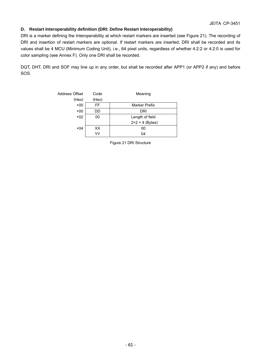## **D. Restart Interoperability definition (DRI: Define Restart Interoperability)**

DRI is a marker defining the Interoperability at which restart markers are inserted (see Figure 21). The recording of DRI and insertion of restart markers are optional. If restart markers are inserted, DRI shall be recorded and its values shall be 4 MCU (Minimum Coding Unit), i.e., 64 pixel units, regardless of whether 4:2:2 or 4:2:0 is used for color sampling (see Annex F). Only one DRI shall be recorded.

DQT, DHT, DRI and SOF may line up in any order, but shall be recorded after APP1 (or APP2 if any) and before SOS.

| Address Offset | Code  | Meaning           |
|----------------|-------|-------------------|
| (Hex)          | (Hex) |                   |
| $+00$          | FF    | Marker Prefix     |
| $+00$          | DD    | <b>DRI</b>        |
| $+02$          | 00    | Length of field   |
|                |       | $2+2 = 4$ (Bytes) |
| $+04$          | XX    | 00                |
|                | YY    | 04                |

Figure 21 DRI Structure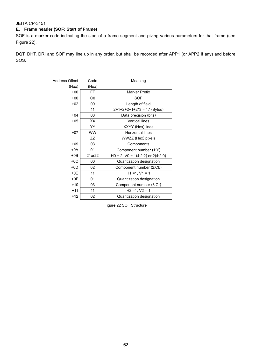## **E. Frame header (SOF: Start of Frame)**

SOF is a marker code indicating the start of a frame segment and giving various parameters for that frame (see Figure 22).

DQT, DHT, DRI and SOF may line up in any order, but shall be recorded after APP1 (or APP2 if any) and before SOS.

| Address Offset | Code      | Meaning                                  |  |
|----------------|-----------|------------------------------------------|--|
| (Hex)          | (Hex)     |                                          |  |
| $+00$          | <b>FF</b> | Marker Prefix                            |  |
| $+00$          | C0        | <b>SOF</b>                               |  |
| $+02$          | 00        | Length of field                          |  |
|                | 11        | $2+1+2+2+1+2*3 = 17$ (Bytes)             |  |
| $+04$          | 08        | Data precision (bits)                    |  |
| $+05$          | XX        | <b>Vertical lines</b>                    |  |
|                | YY        | XXYY (Hex) lines                         |  |
| $+07$          | <b>WW</b> | <b>Horizontal lines</b>                  |  |
|                | ZΖ        | WWZZ (Hex) pixels                        |  |
| $+09$          | 03        | Components                               |  |
| +0A            | 01        | Component number (1:Y)                   |  |
| $+0B$          | 21or22    | $H0 = 2$ , $V0 = 1(4:2:2)$ or $2(4:2:0)$ |  |
| $+0C$          | 00        | Quantization designation                 |  |
| $+0D$          | 02        | Component number (2:Cb)                  |  |
| $+0E$          | 11        | $H1 = 1, V1 = 1$                         |  |
| $+0F$          | 01        | Quantization designation                 |  |
| $+10$          | 03        | Component number (3:Cr)                  |  |
| $+11$          | 11        | $H2 = 1, V2 = 1$                         |  |
| $+12$          | 02        | Quantization designation                 |  |

Figure 22 SOF Structure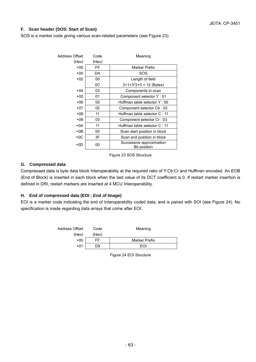## **F. Scan header (SOS: Start of Scan)**

SOS is a marker code giving various scan-related parameters (see Figure 23).

| Address Offset | Code  | Meaning                                  |
|----------------|-------|------------------------------------------|
| (Hex)          | (Hex) |                                          |
| $+00$          | FF    | Marker Prefix                            |
| $+00$          | DA    | SOS                                      |
| $+02$          | 00    | Length of field                          |
|                | 0C    | $2+1+3+2+3 = 12$ (Bytes)                 |
| $+04$          | 03    | Components in scan                       |
| $+05$          | 01    | Component selector Y: 01                 |
| $+06$          | 00    | Huffman table selector Y: 00             |
| +07            | 02    | Component selector Cb: 02                |
| +08            | 11    | Huffman table selector C: 11             |
| $+09$          | 03    | Component selector Cr: 03                |
| $+0A$          | 11    | Huffman table selector C: 11             |
| $+0B$          | 00    | Scan start position in block             |
| $+0C$          | 3F    | Scan end position in block               |
| +0D            | 00    | Successive approximation<br>Bit position |

Figure 23 SOS Structure

### **G. Compressed data**

Compressed data is byte data block Interoperability at the required ratio of Y:Cb:Cr and Huffman encoded. An EOB (End of Block) is inserted in each block when the last value of its DCT coefficient is 0. If restart marker insertion is defined in DRI, restart markers are inserted at 4 MCU Interoperability.

### **H. End of compressed data (EOI : End of Image)**

EOI is a marker code indicating the end of Interoperability coded data, and is paired with SOI (see Figure 24). No specification is made regarding data arrays that come after EOI.

| Address Offset | Code  | Meaning              |
|----------------|-------|----------------------|
| (Hex)          | (Hex) |                      |
| $+00$          | FF    | <b>Marker Prefix</b> |
| $+01$          | D9    | FOI                  |

Figure 24 EOI Structure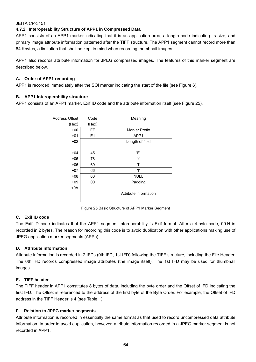## **4.7.2 Interoperability Structure of APP1 in Compressed Data**

APP1 consists of an APP1 marker indicating that it is an application area, a length code indicating its size, and primary image attribute information patterned after the TIFF structure. The APP1 segment cannot record more than 64 Kbytes, a limitation that shall be kept in mind when recording thumbnail images.

APP1 also records attribute information for JPEG compressed images. The features of this marker segment are described below.

## **A. Order of APP1 recording**

APP1 is recorded immediately after the SOI marker indicating the start of the file (see Figure 6).

## **B. APP1 Interoperability structure**

APP1 consists of an APP1 marker, Exif ID code and the attribute information itself (see Figure 25).

| Address Offset | Code      | Meaning               |
|----------------|-----------|-----------------------|
| (Hex)          | (Hex)     |                       |
| $+00$          | <b>FF</b> | <b>Marker Prefix</b>  |
| $+01$          | E1        | APP1                  |
| $+02$          |           | Length of field       |
|                |           |                       |
| $+04$          | 45        | Έ'                    |
| $+05$          | 78        | 'x'                   |
| $+06$          | 69        | 'i'                   |
| $+07$          | 66        | ١f                    |
| $+08$          | 00        | <b>NULL</b>           |
| $+09$          | 00        | Padding               |
| $+0A$          |           |                       |
|                |           | Attribute information |
|                |           |                       |

Figure 25 Basic Structure of APP1 Marker Segment

## **C. Exif ID code**

The Exif ID code indicates that the APP1 segment Interoperability is Exif format. After a 4-byte code, 00.H is recorded in 2 bytes. The reason for recording this code is to avoid duplication with other applications making use of JPEG application marker segments (APPn).

## **D. Attribute information**

Attribute information is recorded in 2 IFDs (0th IFD, 1st IFD) following the TIFF structure, including the File Header. The 0th IFD records compressed image attributes (the image itself). The 1st IFD may be used for thumbnail images.

## **E. TIFF header**

The TIFF header in APP1 constitutes 8 bytes of data, including the byte order and the Offset of IFD indicating the first IFD. The Offset is referenced to the address of the first byte of the Byte Order. For example, the Offset of IFD address in the TIFF Header is 4 (see Table 1).

## **F. Relation to JPEG marker segments**

Attribute information is recorded in essentially the same format as that used to record uncompressed data attribute information. In order to avoid duplication, however, attribute information recorded in a JPEG marker segment is not recorded in APP1.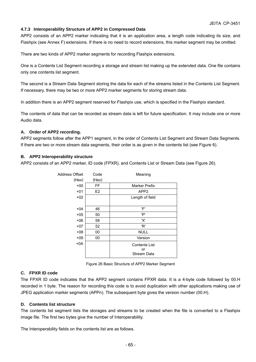## **4.7.3 Interoperability Structure of APP2 in Compressed Data**

APP2 consists of an APP2 marker indicating that it is an application area, a length code indicating its size, and Flashpix (see Annex F) extensions. If there is no need to record extensions, this marker segment may be omitted.

There are two kinds of APP2 marker segments for recording Flashpix extensions.

One is a Contents List Segment recording a storage and stream list making up the extended data. One file contains only one contents list segment.

The second is a Stream Data Segment storing the data for each of the streams listed in the Contents List Segment. If necessary, there may be two or more APP2 marker segments for storing stream data.

In addition there is an APP2 segment reserved for Flashpix use, which is specified in the Flashpix standard.

The contents of data that can be recorded as stream data is left for future specification. It may include one or more Audio data.

## **A. Order of APP2 recording.**

APP2 segments follow after the APP1 segment, in the order of Contents List Segment and Stream Data Segments. If there are two or more stream data segments, their order is as given in the contents list (see Figure 6).

## **B. APP2 Interoperability structure**

APP2 consists of an APP2 marker, ID code (FPXR), and Contents List or Stream Data (see Figure 26).

| Address Offset | Code  | Meaning              |
|----------------|-------|----------------------|
| (Hex)          | (Hex) |                      |
| $+00$          | FF    | Marker Prefix        |
| $+01$          | E2    | APP <sub>2</sub>     |
| $+02$          |       | Length of field      |
|                |       |                      |
| $+04$          | 46    | 'F'                  |
| $+05$          | 50    | 'P'                  |
| $+06$          | 58    | 'X'                  |
| $+07$          | 52    | 'R'                  |
| $+08$          | 00    | <b>NULL</b>          |
| $+09$          | 00    | Version              |
| $+0A$          |       | <b>Contents List</b> |
|                |       | or                   |
|                |       | <b>Stream Data</b>   |

Figure 26 Basic Structure of APP2 Marker Segment

## **C. FPXR ID code**

The FPXR ID code indicates that the APP2 segment contains FPXR data. It is a 4-byte code followed by 00.H recorded in 1 byte. The reason for recording this code is to avoid duplication with other applications making use of JPEG application marker segments (APPn). The subsequent byte gives the version number (00.H).

## **D. Contents list structure**

The contents list segment lists the storages and streams to be created when the file is converted to a Flashpix image file. The first two bytes give the number of Interoperability.

The Interoperability fields on the contents list are as follows.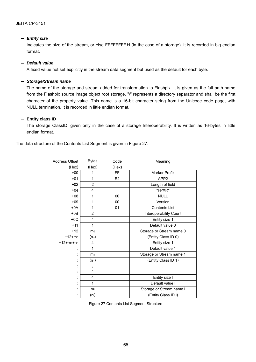## - *Entity size*

Indicates the size of the stream, or else FFFFFFFF.H (in the case of a storage). It is recorded in big endian format.

## - *Default value*

A fixed value not set explicitly in the stream data segment but used as the default for each byte.

### - *Storage/Stream name*

The name of the storage and stream added for transformation to Flashpix. It is given as the full path name from the Flashpix source image object root storage. "/" represents a directory separator and shall be the first character of the property value. This name is a 16-bit character string from the Unicode code page, with NULL termination. It is recorded in little endian format.

## **Entity class ID**

The storage ClassID, given only in the case of a storage Interoperability. It is written as 16-bytes in little endian format.

The data structure of the Contents List Segment is given in Figure 27.

| Address Offset    | <b>Bytes</b>      | Code           | Meaning                  |
|-------------------|-------------------|----------------|--------------------------|
| (Hex)             | (Hex)             | (Hex)          |                          |
| $+00$             | 1                 | FF.            | <b>Marker Prefix</b>     |
| $+01$             | 1                 | E <sub>2</sub> | APP <sub>2</sub>         |
| $+02$             | $\overline{2}$    |                | Length of field          |
| $+04$             | 4                 |                | "FPXR"                   |
| $+08$             | 1                 | 00             | <b>NULL</b>              |
| $+09$             | 1                 | 00             | Version                  |
| $+0A$             | 1                 | 01             | <b>Contents List</b>     |
| $+0B$             | 2                 |                | Interoperability Count   |
| $+0C$             | 4                 |                | Entity size 1            |
| $+11$             | 1                 |                | Default value 0          |
| $+12$             | mo                |                | Storage or Stream name 0 |
| $+12 + m_0$       | (n <sub>o</sub> ) |                | (Entity Class ID 0)      |
| $+12 + m_0 + n_0$ | 4                 |                | Entity size 1            |
|                   | 1                 |                | Default value 1          |
|                   | m <sub>1</sub>    |                | Storage or Stream name 1 |
|                   | $(n_1)$           |                | (Entity Class ID 1)      |
|                   |                   |                |                          |
|                   |                   |                |                          |
|                   | 4                 |                | Entity size I            |
|                   | 1                 |                | Default value I          |
|                   | m                 |                | Storage or Stream name I |
|                   | (nı)              |                | (Entity Class ID I)      |

Figure 27 Contents List Segment Structure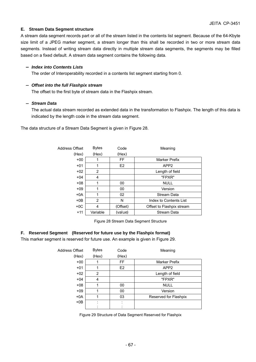### **E. Stream Data Segment structure**

A stream data segment records part or all of the stream listed in the contents list segment. Because of the 64-Kbyte size limit of a JPEG marker segment, a stream longer than this shall be recorded in two or more stream data segments. Instead of writing stream data directly in multiple stream data segments, the segments may be filled based on a fixed default. A stream data segment contains the following data.

### - *Index into Contents Lists*

The order of Interoperability recorded in a contents list segment starting from 0.

### - *Offset into the full Flashpix stream*

The offset to the first byte of stream data in the Flashpix stream.

### - *Stream Data*

The actual data stream recorded as extended data in the transformation to Flashpix. The length of this data is indicated by the length code in the stream data segment.

The data structure of a Stream Data Segment is given in Figure 28.

| Address Offset | <b>Bytes</b> | Code           | Meaning                   |
|----------------|--------------|----------------|---------------------------|
| (Hex)          | (Hex)        | (Hex)          |                           |
| $+00$          |              | FF.            | <b>Marker Prefix</b>      |
| $+01$          | 1            | E <sub>2</sub> | APP <sub>2</sub>          |
| $+02$          | 2            |                | Length of field           |
| $+04$          | 4            |                | "FPXR"                    |
| $+08$          | 1            | 00             | <b>NULL</b>               |
| $+09$          | 1            | 00             | Version                   |
| $+0A$          | 1            | 02             | <b>Stream Data</b>        |
| $+0B$          | 2            | N              | Index to Contents List    |
| $+0C$          | 4            | (Offset)       | Offset to Flashpix stream |
| $+11$          | Variable     | (value)        | <b>Stream Data</b>        |

Figure 28 Stream Data Segment Structure

### **F. Reserved Segment (Reserved for future use by the Flashpix format)**

This marker segment is reserved for future use. An example is given in Figure 29.

| Address Offset | <b>Bytes</b> | Code      | Meaning               |
|----------------|--------------|-----------|-----------------------|
| (Hex)          | (Hex)        | (Hex)     |                       |
| $+00$          |              | <b>FF</b> | <b>Marker Prefix</b>  |
| $+01$          |              | E2        | APP <sub>2</sub>      |
| $+02$          | 2            |           | Length of field       |
| $+04$          | 4            |           | "FPXR"                |
| $+08$          |              | 00        | <b>NULL</b>           |
| $+09$          |              | 00        | Version               |
| $+0A$          |              | 03        | Reserved for Flashpix |
| $+0B$          |              |           |                       |
|                |              |           |                       |

Figure 29 Structure of Data Segment Reserved for Flashpix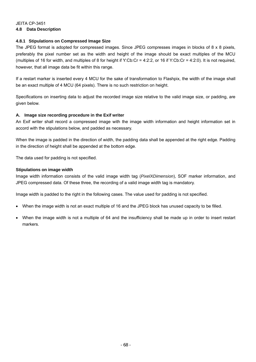## JEITA CP-3451 **4.8 Data Description**

## **4.8.1 Stipulations on Compressed Image Size**

The JPEG format is adopted for compressed images. Since JPEG compresses images in blocks of 8 x 8 pixels, preferably the pixel number set as the width and height of the image should be exact multiples of the MCU (multiples of 16 for width, and multiples of 8 for height if Y:Cb:Cr = 4:2:2, or 16 if Y:Cb:Cr = 4:2:0). It is not required, however, that all image data be fit within this range.

If a restart marker is inserted every 4 MCU for the sake of transformation to Flashpix, the width of the image shall be an exact multiple of 4 MCU (64 pixels). There is no such restriction on height.

Specifications on inserting data to adjust the recorded image size relative to the valid image size, or padding, are given below.

### **A. Image size recording procedure in the Exif writer**

An Exif writer shall record a compressed image with the image width information and height information set in accord with the stipulations below, and padded as necessary.

When the image is padded in the direction of width, the padding data shall be appended at the right edge. Padding in the direction of height shall be appended at the bottom edge.

The data used for padding is not specified.

### **Stipulations on image width**

Image width information consists of the valid image width tag (*PixelXDimension*), SOF marker information, and JPEG compressed data. Of these three, the recording of a valid image width tag is mandatory.

Image width is padded to the right in the following cases. The value used for padding is not specified.

- When the image width is not an exact multiple of 16 and the JPEG block has unused capacity to be filled.
- When the image width is not a multiple of 64 and the insufficiency shall be made up in order to insert restart markers.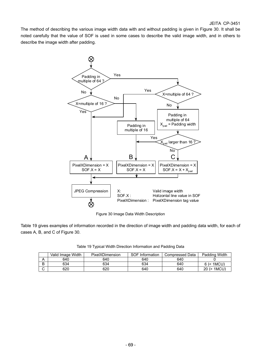The method of describing the various image width data with and without padding is given in Figure 30. It shall be noted carefully that the value of SOF is used in some cases to describe the valid image width, and in others to describe the image width after padding.



Figure 30 Image Data Width Description

Table 19 gives examples of information recorded in the direction of image width and padding data width, for each of cases A, B, and C of Figure 30.

|   | Valid Image Width | PixelXDimension | <b>SOF Information</b> | Compressed Data | Padding Width |
|---|-------------------|-----------------|------------------------|-----------------|---------------|
|   | 640               | 640             | 640                    | 640             |               |
| B | 634               | 634             | 634                    | 640             | 1MCU)<br>6(2) |

C 620 620 620 640 640 20 (> 1MCU)

Table 19 Typical Width Direction Information and Padding Data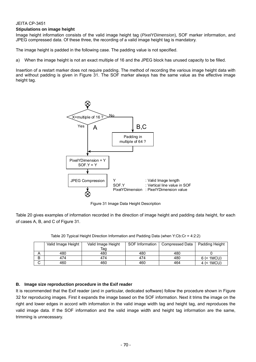### **Stipulations on image height**

Image height information consists of the valid image height tag (*PixelYDimension*), SOF marker information, and JPEG compressed data. Of these three, the recording of a valid image height tag is mandatory.

The image height is padded in the following case. The padding value is not specified.

a) When the image height is not an exact multiple of 16 and the JPEG block has unused capacity to be filled.

Insertion of a restart marker does not require padding. The method of recording the various image height data with and without padding is given in Figure 31. The SOF marker always has the same value as the effective image height tag.



Figure 31 Image Data Height Description

Table 20 gives examples of information recorded in the direction of image height and padding data height, for each of cases A, B, and C of Figure 31.

|   | Valid Image Height | Valid Image Height | SOF Information | Compressed Data | Padding Height |
|---|--------------------|--------------------|-----------------|-----------------|----------------|
|   |                    | Tag                |                 |                 |                |
|   | 480                | 480                | 480             | 480             |                |
| B | 474                | 474                | 474             | 480             | $6$ (< 1MCU)   |
|   | 460                | 460                | 460             | 464             | 4 (< 1MCU)     |

Table 20 Typical Height Direction Information and Padding Data (when Y:Cb:Cr = 4:2:2)

### **B. Image size reproduction procedure in the Exif reader**

It is recommended that the Exif reader (and in particular, dedicated software) follow the procedure shown in Figure 32 for reproducing images. First it expands the image based on the SOF information. Next it trims the image on the right and lower edges in accord with information in the valid image width tag and height tag, and reproduces the valid image data. If the SOF information and the valid image width and height tag information are the same, trimming is unnecessary.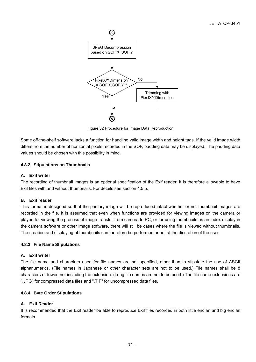

Figure 32 Procedure for Image Data Reproduction

Some off-the-shelf software lacks a function for handling valid image width and height tags. If the valid image width differs from the number of horizontal pixels recorded in the SOF, padding data may be displayed. The padding data values should be chosen with this possibility in mind.

## **4.8.2 Stipulations on Thumbnails**

### **A. Exif writer**

The recording of thumbnail images is an optional specification of the Exif reader. It is therefore allowable to have Exif files with and without thumbnails. For details see section 4.5.5.

### **B. Exif reader**

This format is designed so that the primary image will be reproduced intact whether or not thumbnail images are recorded in the file. It is assumed that even when functions are provided for viewing images on the camera or player, for viewing the process of image transfer from camera to PC, or for using thumbnails as an index display in the camera software or other image software, there will still be cases where the file is viewed without thumbnails. The creation and displaying of thumbnails can therefore be performed or not at the discretion of the user.

### **4.8.3 File Name Stipulations**

### **A. Exif writer**

The file name and characters used for file names are not specified, other than to stipulate the use of ASCII alphanumerics. (File names in Japanese or other character sets are not to be used.) File names shall be 8 characters or fewer, not including the extension. (Long file names are not to be used.) The file name extensions are ".JPG" for compressed data files and ".TIF" for uncompressed data files.

### **4.8.4 Byte Order Stipulations**

### **A. Exif Reader**

It is recommended that the Exif reader be able to reproduce Exif files recorded in both little endian and big endian formats.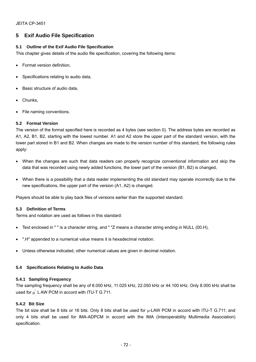## **5 Exif Audio File Specification**

## **5.1 Outline of the Exif Audio File Specification**

This chapter gives details of the audio file specification, covering the following items:

- Format version definition,
- Specifications relating to audio data,
- Basic structure of audio data,
- Chunks.
- File naming conventions.

## **5.2 Format Version**

The version of the format specified here is recorded as 4 bytes (see section 0). The address bytes are recorded as A1, A2, B1, B2, starting with the lowest number. A1 and A2 store the upper part of the standard version, with the lower part stored in B1 and B2. When changes are made to the version number of this standard, the following rules apply:

- When the changes are such that data readers can properly recognize conventional information and skip the data that was recorded using newly added functions, the lower part of the version (B1, B2) is changed,
- When there is a possibility that a data reader implementing the old standard may operate incorrectly due to the new specifications, the upper part of the version (A1, A2) is changed.

Players should be able to play back files of versions earlier than the supported standard.

### **5.3 Definition of Terms**

Terms and notation are used as follows in this standard:

- Text enclosed in " " is a character string, and " "Z means a character string ending in NULL (00.H),
- ".H" appended to a numerical value means it is hexadecimal notation.
- Unless otherwise indicated, other numerical values are given in decimal notation.

### **5.4 Specifications Relating to Audio Data**

### **5.4.1 Sampling Frequency**

The sampling frequency shall be any of 8.000 kHz, 11.025 kHz, 22.050 kHz or 44.100 kHz. Only 8.000 kHz shall be used for  $\mu$ <sup> $\tilde{}$ </sup> L AW PCM in accord with ITU-T G.711.

### **5.4.2 Bit Size**

The bit size shall be 8 bits or 16 bits. Only 8 bits shall be used for  $\mu$ -LAW PCM in accord with ITU-T G.711; and only 4 bits shall be used for IMA-ADPCM in accord with the IMA (Interoperability Multimedia Association) specification.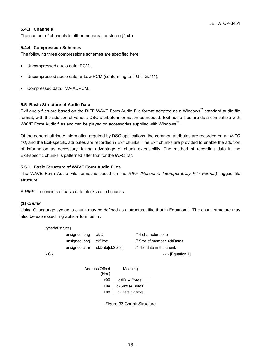## **5.4.3 Channels**

The number of channels is either monaural or stereo (2 ch).

### **5.4.4 Compression Schemes**

The following three compressions schemes are specified here:

- Uncompressed audio data: PCM ,
- Uncompressed audio data:  $\mu$ -Law PCM (conforming to ITU-T G.711),
- Compressed data: IMA-ADPCM.

### **5.5 Basic Structure of Audio Data**

Exif audio files are based on the RIFF WAVE Form Audio File format adopted as a Windows™ standard audio file format, with the addition of various DSC attribute information as needed. Exif audio files are data-compatible with WAVE Form Audio files and can be played on accessories supplied with Windows<sup>™</sup>.

Of the general attribute information required by DSC applications, the common attributes are recorded on an *INFO list*, and the Exif-specific attributes are recorded in Exif chunks. The Exif chunks are provided to enable the addition of information as necessary, taking advantage of chunk extensibility. The method of recording data in the Exif-specific chunks is patterned after that for the *INFO list*.

### **5.5.1 Basic Structure of WAVE Form Audio Files**

The WAVE Form Audio File format is based on the *RIFF (Resource Interoperability File Format)* tagged file structure.

A *RIFF* file consists of basic data blocks called chunks.

## **(1)** *Chunk*

Using C language syntax, a chunk may be defined as a structure, like that in Equation 1. The chunk structure may also be expressed in graphical form as in .

| typedef struct $\{$ |               |                 |                                     |
|---------------------|---------------|-----------------|-------------------------------------|
|                     | unsigned long | ckID:           | // 4-character code                 |
|                     | unsigned long | ckSize:         | // Size of member <ckdata></ckdata> |
|                     | unsigned char | ckData[ckSize]; | // The data in the chunk            |
| $}$ CK:             |               |                 | $--$ [Equation 1]                   |

| Address Offset | Meaning |
|----------------|---------|
|                |         |



Figure 33 Chunk Structure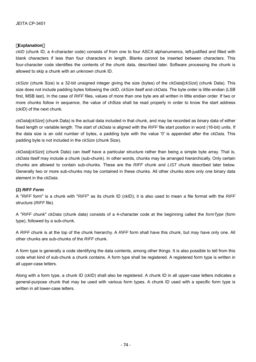### **Explanation**

*ckID* (chunk ID, a 4-character code) consists of from one to four ASCII alphanumerics, left-justified and filled with blank characters if less than four characters in length. Blanks cannot be inserted between characters. This four-character code identifies the contents of the chunk data, described later. Software processing the chunk is allowed to skip a chunk with an unknown chunk ID.

*ckSize* (chunk Size) is a 32-bit unsigned integer giving the size (bytes) of the *ckData*[*ckSize*] (chunk Data). This size does not include padding bytes following the ckID, *ckSize* itself and *ckData*. The byte order is little endian (LSB first, MSB last). In the case of *RIFF* files, values of more than one byte are all written in little endian order. If two or more chunks follow in sequence, the value of chSize shall be read properly in order to know the start address (ckID) of the next chunk.

*ckData*[*ckSize*] (chunk Data) is the actual data included in that chunk, and may be recorded as binary data of either fixed length or variable length. The start of *ckData* is aligned with the *RIFF* file start position in word (16-bit) units. If the data size is an odd number of bytes, a padding byte with the value '0' is appended after the *ckData*. This padding byte is not included in the *ckSize* (chunk Size).

*ckData*[*ckSize*] (chunk Data) can itself have a particular structure rather than being a simple byte array. That is, *ckData* itself may include a chunk (sub-chunk). In other words, chunks may be arranged hierarchically. Only certain chunks are allowed to contain sub-chunks. These are the *RIFF* chunk and *LIST* chunk described later below. Generally two or more sub-chunks may be contained in these chunks. All other chunks store only one binary data element in the *ckData*.

### **(2)** *RIFF Form*

A "*RIFF* form" is a chunk with "*RIFF*" as its chunk ID (ckID); it is also used to mean a file format with the *RIFF* structure (*RIFF* file).

A "*RIFF* chunk" *ckData* (chunk data) consists of a 4-character code at the beginning called the *formType* (form type), followed by a sub-chunk.

A *RIFF* chunk is at the top of the chunk hierarchy. A *RIFF* form shall have this chunk, but may have only one. All other chunks are sub-chunks of the *RIFF* chunk.

A form type is generally a code identifying the data contents, among other things. It is also possible to tell from this code what kind of sub-chunk a chunk contains. A form type shall be registered. A registered form type is written in all upper-case letters.

Along with a form type, a chunk ID (ckID) shall also be registered. A chunk ID in all upper-case letters indicates a general-purpose chunk that may be used with various form types. A chunk ID used with a specific form type is written in all lower-case letters.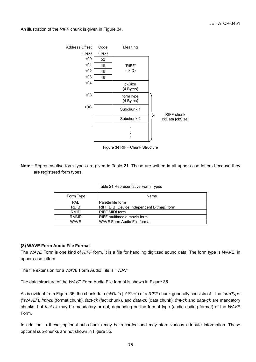An illustration of the *RIFF* chunk is given in Figure 34.



Figure 34 RIFF Chunk Structure

**Note** Representative form types are given in Table 21. These are written in all upper-case letters because they are registered form types.

| Form Type   | Name                                      |
|-------------|-------------------------------------------|
| <b>PAL</b>  | Palette file form                         |
| <b>RDIB</b> | RIFF DIB (Device Independent Bitmap) form |
| RMID        | <b>RIFF MIDI form</b>                     |
| <b>RMMP</b> | RIFF multimedia movie form                |
| <b>WAVF</b> | WAVE Form Audio File format               |

|  | Table 21 Representative Form Types |  |  |
|--|------------------------------------|--|--|
|--|------------------------------------|--|--|

### **(3) WAVE Form Audio File Format**

The *WAVE* Form is one kind of *RIFF* form. It is a file for handling digitized sound data. The form type is *WAVE*, in upper-case letters.

The file extension for a *WAVE* Form Audio File is ".WAV".

The data structure of the *WAVE* Form Audio File format is shown in Figure 35.

As is evident from Figure 35, the chunk data (*ckData* [*ckSize*]) of a *RIFF* chunk generally consists of the *formType* ("*WAVE*"), *fmt-ck* (format chunk), *fact-ck* (fact chunk), and *data-ck* (data chunk). *fmt-ck* and *data-ck* are mandatory chunks, but *fact-ck* may be mandatory or not, depending on the format type (audio coding format) of the *WAVE* Form.

In addition to these, optional sub-chunks may be recorded and may store various attribute information. These optional sub-chunks are not shown in Figure 35.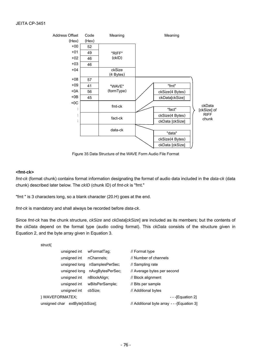

Figure 35 Data Structure of the WAVE Form Audio File Format

### **<fmt-ck>**

*fmt-ck* (format chunk) contains format information designating the format of audio data included in the *data-ck* (data chunk) described later below. The *ckID* (chunk ID) of *fmt-ck* is "fmt."

"fmt " is 3 characters long, so a blank character (20.H) goes at the end.

*fmt-ck* is mandatory and shall always be recorded before *data-ck*.

Since *fmt-ck* has the chunk structure, *ckSize* and *ckData*[*ckSize*] are included as its members; but the contents of the *ckData* depend on the format type (audio coding format). This *ckData* consists of the structure given in Equation 2, and the byte array given in Equation 3.

| wFormatTag;                           | // Format type                             |  |
|---------------------------------------|--------------------------------------------|--|
| nChannels:                            | // Number of channels                      |  |
| nSamplesPerSec:                       | // Sampling rate                           |  |
| nAvgBytesPerSec;                      | // Average bytes per second                |  |
| nBlockAlign;                          | // Block alignment                         |  |
| wBitsPerSample;                       | // Bits per sample                         |  |
| cbSize:                               | // Additional bytes                        |  |
| } WAVEFORMATEX;<br>$-$ - [Equation 2] |                                            |  |
| unsigned char extBytelcbSize];        | // Additional byte array - -- [Equation 3] |  |
|                                       |                                            |  |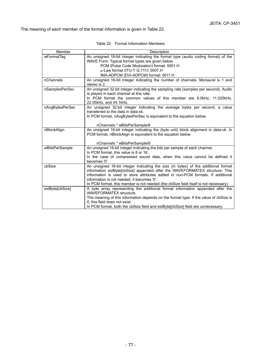The meaning of each member of the format information is given in Table 22.

| Member          | Description                                                                                                                                                       |
|-----------------|-------------------------------------------------------------------------------------------------------------------------------------------------------------------|
| wFormatTag      | An unsigned 16-bit integer indicating the format type (audio coding format) of the                                                                                |
|                 | WAVE Form. Typical format types are given below.                                                                                                                  |
|                 | PCM (Pulse Code Modulation) format: 0001.H                                                                                                                        |
|                 | µ-Law format (ITU-T G.711): 0007.H                                                                                                                                |
|                 | IMA-ADPCM (DVI-ADPCM) format: 0011.H                                                                                                                              |
| nChannels       | An unsigned 16-bit integer indicating the number of channels. Monaural is 1 and<br>stereo is 2.                                                                   |
| nSamplesPerSec  | An unsigned 32-bit integer indicating the sampling rate (samples per second). Audio<br>is played in each channel at this rate.                                    |
|                 | In PCM format the common values of this member are 8.0kHz, 11.025kHz,<br>22.05kHz, and 44.1kHz.                                                                   |
| nAvgBytesPerSec | An unsigned 32-bit integer indicating the average bytes per second, a value<br>transferred to the data in data-ck.                                                |
|                 | In PCM format, nAvgBytesPerSec is equivalent to the equation below.                                                                                               |
|                 | nChannels * wBitsPerSample/8                                                                                                                                      |
| nBlockAlign     | An unsigned 16-bit integer indicating the (byte unit) block alignment in data-ck. In<br>PCM format, nBlockAlign is equivalent to the equation below.              |
|                 | nChannels * wBitsPerSample/8                                                                                                                                      |
| wBitsPerSample  | An unsigned 16-bit integer indicating the bits per sample of each channel.<br>In PCM format, this value is 8 or 16.                                               |
|                 | In the case of compressed sound data, when this value cannot be defined it<br>becomes '0'.                                                                        |
| cbSize          | An unsigned 16-bit integer indicating the size (in bytes) of the additional format<br>information extByte[cbSize] appended after the WAVEFORMATEX structure. This |
|                 | information is used to store attributes added in non-PCM formats. If additional                                                                                   |
|                 | information is not needed, it becomes '0'.                                                                                                                        |
|                 | In PCM format, this member is not needed (the cbSize field itself is not necessary).                                                                              |
| extByte[cbSize] | A byte array representing the additional format information appended after the                                                                                    |
|                 | WAVEFORMATEX structure.                                                                                                                                           |
|                 | The meaning of this information depends on the format type. If the value of cbSize is                                                                             |
|                 | 0, this field does not exist.                                                                                                                                     |
|                 | In PCM format, both the cbSize field and extByte[cbSize] field are unnecessary.                                                                                   |

Table 22 Format Information Members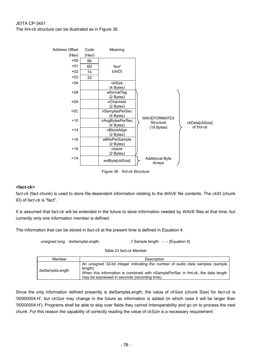The *fmt-ck* structure can be illustrated as in Figure 36.



### **<fact-ck>**

*fact-ck* (fact chunk) is used to store file-dependent information relating to the *WAVE* file contents. The *ckID* (chunk ID) of *fact-ck* is "fact".

It is assumed that *fact-ck* will be extended in the future to store information needed by *WAVE* files at that time, but currently only one information member is defined.

The information that can be stored in *fact-ck* at the present time is defined in Equation 4.

unsigned long dwSampleLength; // Sample length --- [Equation 4]

Table 23 fact-ck Member

| Member         | Description                                                                                                                                                                                                                    |
|----------------|--------------------------------------------------------------------------------------------------------------------------------------------------------------------------------------------------------------------------------|
| dwSampleLength | An unsigned 32-bit integer indicating the number of audio data samples (sample<br>length).<br>When this information is combined with nSamplePerSec in fmt-ck, the data length<br>may be expressed in seconds (recording time). |

Since the only information defined presently is dwSampleLength, the value of *ckSize* (chunk Size) for *fact-ck* is '00000004.H'; but *ckSize* may change in the future as information is added (in which case it will be larger than '00000004.H'). Programs shall be able to skip over fields they cannot Interoperability and go on to process the next chunk. For this reason the capability of correctly reading the value of *ckSize* is a necessary requirement.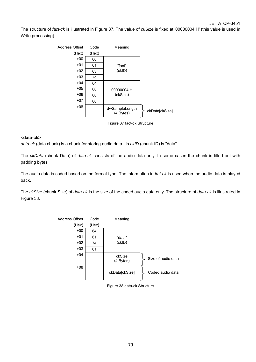The structure of *fact-ck* is illustrated in Figure 37. The value of *ckSize* is fixed at '00000004.H' (this value is used in Write processing).



Figure 37 fact-ck Structure

### **<data-ck>**

*data-ck* (data chunk) is a chunk for storing audio data. Its *ckID* (chunk ID) is "data".

The *ckData* (chunk Data) of *data-ck* consists of the audio data only. In some cases the chunk is filled out with padding bytes.

The audio data is coded based on the format type. The information in *fmt-ck* is used when the audio data is played back.

The *ckSize* (chunk Size) of *data-ck* is the size of the coded audio data only. The structure of *data-ck* is illustrated in Figure 38.



Figure 38 data-ck Structure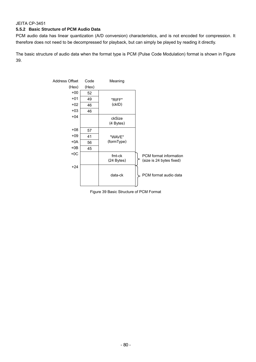## **5.5.2 Basic Structure of PCM Audio Data**

PCM audio data has linear quantization (A/D conversion) characteristics, and is not encoded for compression. It therefore does not need to be decompressed for playback, but can simply be played by reading it directly.

The basic structure of audio data when the format type is PCM (Pulse Code Modulation) format is shown in Figure 39.



Figure 39 Basic Structure of PCM Format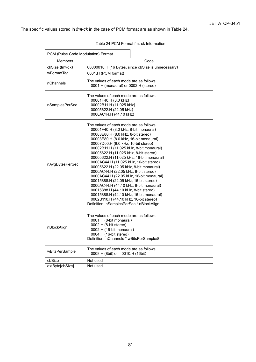The specific values stored in *fmt-ck* in the case of PCM format are as shown in Table 24.

 $\mathbf{r}$ 

#### Table 24 PCM Format fmt-ck Information

| PCM (Pulse Code Modulation) Format |                                                                                                                                                                                                                                                                                                                                                                                                                                                                                                                                                                                                                                                                                                                                                                         |  |
|------------------------------------|-------------------------------------------------------------------------------------------------------------------------------------------------------------------------------------------------------------------------------------------------------------------------------------------------------------------------------------------------------------------------------------------------------------------------------------------------------------------------------------------------------------------------------------------------------------------------------------------------------------------------------------------------------------------------------------------------------------------------------------------------------------------------|--|
| Members                            | Code                                                                                                                                                                                                                                                                                                                                                                                                                                                                                                                                                                                                                                                                                                                                                                    |  |
| ckSize (fmt-ck)                    | 00000010.H (16 Bytes, since cbSize is unnecessary)                                                                                                                                                                                                                                                                                                                                                                                                                                                                                                                                                                                                                                                                                                                      |  |
| wFormatTag                         | 0001.H (PCM format)                                                                                                                                                                                                                                                                                                                                                                                                                                                                                                                                                                                                                                                                                                                                                     |  |
| nChannels                          | The values of each mode are as follows.<br>0001.H (monaural) or 0002.H (stereo)                                                                                                                                                                                                                                                                                                                                                                                                                                                                                                                                                                                                                                                                                         |  |
| nSamplesPerSec                     | The values of each mode are as follows.<br>00001F40.H (8.0 kHz)<br>00002B11.H (11.025 kHz)<br>00005622.H (22.05 kHz)<br>0000AC44.H (44.10 kHz)                                                                                                                                                                                                                                                                                                                                                                                                                                                                                                                                                                                                                          |  |
| nAvgBytesPerSec                    | The values of each mode are as follows.<br>00001F40.H (8.0 kHz, 8-bit monaural)<br>00003E80.H (8.0 kHz, 8-bit stereo)<br>00003E80.H (8.0 kHz, 16-bit monaural)<br>00007D00.H (8.0 kHz, 16-bit stereo)<br>00002B11.H (11.025 kHz, 8-bit monaural)<br>00005622.H (11.025 kHz, 8-bit stereo)<br>00005622.H (11.025 kHz, 16-bit monaural)<br>0000AC44.H (11.025 kHz, 16-bit stereo)<br>00005622.H (22.05 kHz, 8-bit monaural)<br>0000AC44.H (22.05 kHz, 8-bit stereo)<br>0000AC44.H (22.05 kHz, 16-bit monaural)<br>00015888.H (22.05 kHz, 16-bit stereo)<br>0000AC44.H (44.10 kHz, 8-bit monaural)<br>00015888.H (44.10 kHz, 8-bit stereo)<br>00015888.H (44.10 kHz, 16-bit monaural)<br>0002B110.H (44.10 kHz, 16-bit stereo)<br>Definition: nSamplesPerSec * nBlockAlign |  |
| nBlockAlign                        | The values of each mode are as follows.<br>0001.H (8-bit monaural)<br>0002.H (8-bit stereo)<br>0002.H (16-bit monaural)<br>0004.H (16-bit stereo)<br>Definition: nChannels * wBitsPerSample/8                                                                                                                                                                                                                                                                                                                                                                                                                                                                                                                                                                           |  |
| wBitsPerSample                     | The values of each mode are as follows.<br>0008.H (8bit) or 0010.H (16bit)                                                                                                                                                                                                                                                                                                                                                                                                                                                                                                                                                                                                                                                                                              |  |
| cbSize                             | Not used                                                                                                                                                                                                                                                                                                                                                                                                                                                                                                                                                                                                                                                                                                                                                                |  |
| extBytelcbSizel                    | Not used                                                                                                                                                                                                                                                                                                                                                                                                                                                                                                                                                                                                                                                                                                                                                                |  |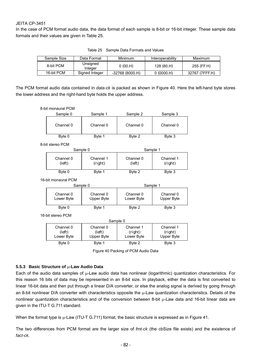In the case of PCM format audio data, the data format of each sample is 8-bit or 16-bit integer. These sample data formats and their values are given in Table 25.

| Sample Size | Data Format         | Minimum          | Interoperability | Maximum        |
|-------------|---------------------|------------------|------------------|----------------|
| 8-bit PCM   | Unsigned<br>Integer | 0(00.H)          | 128 (80.H)       | 255 (FF.H)     |
| 16-bit PCM  | Signed Integer      | $-32768(8000.H)$ | 0(0000.H)        | 32767 (7FFF.H) |

Table 25 Sample Data Formats and Values

The PCM format audio data contained in *data-ck* is packed as shown in Figure 40. Here the left-hand byte stores the lower address and the right-hand byte holds the upper address.

| 8-bit monaural PCM                |                                   |                                    |                                           |
|-----------------------------------|-----------------------------------|------------------------------------|-------------------------------------------|
| Sample 0                          | Sample 1                          | Sample 2                           | Sample 3                                  |
| Channel 0                         | Channel 0                         | Channel 0                          | Channel 0                                 |
| Byte 0                            | Byte 1                            | Byte 2                             | Byte 3                                    |
| 8-bit stereo PCM                  |                                   |                                    |                                           |
|                                   | Sample 0                          | Sample 1                           |                                           |
| Channel 0<br>(left)               | Channel 1<br>(right)              | Channel 0<br>(left)                | Channel 1<br>(right)                      |
| Byte 0                            | Byte 1                            | Byte 2                             | Byte 3                                    |
| 16-bit monaural PCM               |                                   |                                    |                                           |
|                                   | Sample 0                          | Sample 1                           |                                           |
| Channel 0<br>Lower Byte           | Channel 0<br>Upper Byte           | Channel 0<br>Lower Byte            | Channel 0<br>Upper Byte                   |
| Byte 0                            | Byte 1                            | Byte 2                             | Byte 3                                    |
| 16-bit stereo PCM                 |                                   |                                    |                                           |
|                                   |                                   | Sample 0                           |                                           |
| Channel 0<br>(left)<br>Lower Byte | Channel 0<br>(left)<br>Upper Byte | Channel 1<br>(right)<br>Lower Byte | Channel 1<br>(right)<br><b>Upper Byte</b> |
| Byte 0                            | Byte 1                            | Byte 2                             | Byte 3                                    |

Figure 40 Packing of PCM Audio Data

## **5.5.3 Basic Structure of** µ**-Law Audio Data**

Each of the audio data samples of  $\mu$ -Law audio data has nonlinear (logarithmic) quantization characteristics. For this reason 16 bits of data may be represented in an 8-bit size. In playback, either the data is first converted to linear 16-bit data and then put through a linear D/A converter, or else the analog signal is derived by going through an 8-bit nonlinear D/A converter with characteristics opposite the  $\mu$ -Law quantization characteristics. Details of the nonlinear quantization characteristics and of the conversion between 8-bit µ-Law data and 16-bit linear data are given in the ITU-T G.711 standard.

When the format type is  $\mu$ -Law (ITU-T G.711) format, the basic structure is expressed as in Figure 41.

The two differences from PCM format are the larger size of *fmt-ck* (the cbSize file exists) and the existence of *fact-ck*.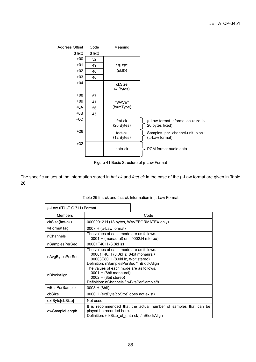

Figure 41 Basic Structure of µ-Law Format

The specific values of the information stored in *fmt-ck* and *fact-ck* in the case of the µ-Law format are given in Table 26.

| µ-Law (ITU-T G.711) Format |                                                                                                                                                                 |  |  |
|----------------------------|-----------------------------------------------------------------------------------------------------------------------------------------------------------------|--|--|
| <b>Members</b>             | Code                                                                                                                                                            |  |  |
| ckSize(fmt-ck)             | 00000012.H (18 bytes, WAVEFORMATEX only)                                                                                                                        |  |  |
| wFormatTag                 | 0007.H ( $\mu$ -Law format)                                                                                                                                     |  |  |
| nChannels                  | The values of each mode are as follows.<br>0001.H (monaural) or 0002.H (stereo)                                                                                 |  |  |
| nSamplesPerSec             | 00001F40.H (8.0kHz)                                                                                                                                             |  |  |
| nAvgBytesPerSec            | The values of each mode are as follows.<br>00001F40.H (8.0kHz, 8-bit monaural)<br>00003E80.H (8.0kHz, 8-bit stereo)<br>Definition: nSamplesPerSec * nBlockAlign |  |  |
| nBlockAlign                | The values of each mode are as follows.<br>0001.H (8bit monaural)<br>0002.H (8bit stereo)<br>Definition: nChannels * wBitsPerSample/8                           |  |  |
| wBitsPerSample             | 0008.H (8bit)                                                                                                                                                   |  |  |
| cbSize                     | 0000.H (extByte[cbSize] does not exist)                                                                                                                         |  |  |
| extByte[cbSize]            | Not used                                                                                                                                                        |  |  |
| dwSampleLength             | It is recommended that the actual number of samples that can be<br>played be recorded here.<br>Definition: (ckSize_of_data-ck) / nBlockAlign                    |  |  |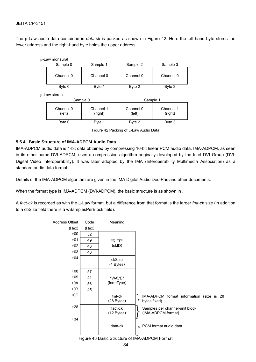The µ-Law audio data contained in *data-ck* is packed as shown in Figure 42. Here the left-hand byte stores the lower address and the right-hand byte holds the upper address.



Figure 42 Packing of µ-Law Audio Data

### **5.5.4 Basic Structure of IMA-ADPCM Audio Data**

IMA-ADPCM audio data is 4-bit data obtained by compressing 16-bit linear PCM audio data. IMA-ADPCM, as seen in its other name DVI-ADPCM, uses a compression algorithm originally developed by the Intel DVI Group (DVI: Digital Video Interoperability). It was later adopted by the IMA (Interoperability Multimedia Association) as a standard audio data format.

Details of the IMA-ADPCM algorithm are given in the IMA Digital Audio Doc-Pac and other documents.

When the format type is IMA-ADPCM (DVI-ADPCM), the basic structure is as shown in .

A *fact-ck* is recorded as with the µ-Law format, but a difference from that format is the larger *fmt-ck* size (in addition to a cbSize field there is a wSamplesPerBlock field).

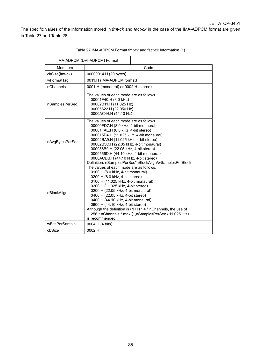The specific values of the information stored in *fmt-ck* and *fact-ck* in the case of the IMA-ADPCM format are given in Table 27 and Table 28.

|                 | IMA-ADPCM (DVI-ADPCM) Format                                                                                                                                                                                                                                                                                                                                                                                                                                                                |
|-----------------|---------------------------------------------------------------------------------------------------------------------------------------------------------------------------------------------------------------------------------------------------------------------------------------------------------------------------------------------------------------------------------------------------------------------------------------------------------------------------------------------|
| Members         | Code                                                                                                                                                                                                                                                                                                                                                                                                                                                                                        |
| ckSize(fmt-ck)  | 00000014.H (20 bytes)                                                                                                                                                                                                                                                                                                                                                                                                                                                                       |
| wFormatTag      | 0011.H (IMA-ADPCM format)                                                                                                                                                                                                                                                                                                                                                                                                                                                                   |
| nChannels       | 0001.H (monaural) or 0002.H (stereo)                                                                                                                                                                                                                                                                                                                                                                                                                                                        |
| nSamplesPerSec  | The values of each mode are as follows.<br>00001F40.H (8.0 kHz)<br>00002B11.H (11.025 Hz)<br>00005622.H (22.050 Hz)<br>0000AC44.H (44.10 Hz)                                                                                                                                                                                                                                                                                                                                                |
| nAvgBytesPerSec | The values of each mode are as follows.<br>00000FD7.H (8.0 kHz, 4-bit monaural)<br>00001FAE.H (8.0 kHz, 4-bit stereo)<br>000015D4.H (11.025 kHz, 4-bit monaural)<br>00002BA9.H (11.025 kHz, 4-bit stereo)<br>00002B5C.H (22.05 kHz, 4-bit monaural)<br>000056B9.H (22.05 kHz, 4-bit stereo)<br>0000566D.H (44.10 kHz, 4-bit monaural)<br>0000ACDB.H (44.10 kHz, 4-bit stereo)<br>Definition: nSamplesPerSec*nBlockAlign/wSamplesPerBlock                                                    |
| nBlockAlign     | The values of each mode are as follows.<br>0100.H (8.0 kHz, 4-bit monaural)<br>0200.H (8.0 kHz, 4-bit stereo)<br>0100.H (11.025 kHz, 4-bit monaural)<br>0200.H (11.025 kHz, 4-bit stereo)<br>0200.H (22.05 kHz, 4-bit monaural)<br>0400.H (22.05 kHz, 4-bit stereo)<br>0400.H (44.10 kHz, 4-bit monaural)<br>0800.H (44.10 kHz, 4-bit stereo)<br>Although the definition is $(N+1) * 4 * n$ Channels, the use of<br>256 * nChannels * max (1,nSamplesPerSec / 11.025kHz)<br>is recommended. |
| wBitsPerSample  | 0004.H (4 bits)                                                                                                                                                                                                                                                                                                                                                                                                                                                                             |
| cbSize          | 0002.H                                                                                                                                                                                                                                                                                                                                                                                                                                                                                      |

Table 27 IMA-ADPCM Format fmt-ck and fact-ck Information (1)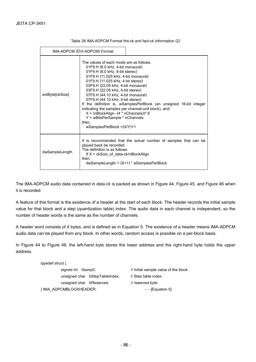|                 | IMA-ADPCM (DVI-ADPCM) Format                                                                                                                                                                                                                                                                                                                                                                                                                                                                                                   |                                                                    |  |
|-----------------|--------------------------------------------------------------------------------------------------------------------------------------------------------------------------------------------------------------------------------------------------------------------------------------------------------------------------------------------------------------------------------------------------------------------------------------------------------------------------------------------------------------------------------|--------------------------------------------------------------------|--|
| extByte[cbSize] | The values of each mode are as follows.<br>01F9.H (8.0 kHz, 4-bit monaural)<br>01F9.H (8.0 kHz, 4-bit stereo)<br>01F9.H (11.025 kHz, 4-bit monaural)<br>01F9.H (11.025 kHz, 4 bit stereo)<br>03F9.H (22.05 kHz, 4-bit monaural)<br>03F9.H (22.05 kHz, 4-bit stereo)<br>07F9.H (44.10 kHz, 4-bit monaural)<br>07F9.H (44.10 kHz, 4-bit stereo)<br>indicating the samples per channel-unit block), and<br>$X = (nBlock{align} -(4 * nChannels))^*$ 8<br>$Y = wBitsPerSample * nChannels$<br>then.<br>wSamplesPerBlock $=(X/Y)+1$ | If the definition is, wSamplesPerBlock (an unsigned 16-bit integer |  |
| dwSampleLength  | played back be recorded.<br>The definition is as follows.<br>If $X = c kSize$ of data-ck/nBlockAlign<br>then,<br>$d$ wSampleLength = $(X+1)$ * wSamplesPerBlock                                                                                                                                                                                                                                                                                                                                                                | It is recommended that the actual number of samples that can be    |  |

Table 28 IMA-ADPCM Format fmt-ck and fact-ck Information (2)

The IMA-ADPCM audio data contained in *data-ck* is packed as shown in Figure 44, Figure 45, and Figure 46 when it is recorded.

A feature of this format is the existence of a header at the start of each block. The header records the initial sample value for that block and a step (quantization table) index. The audio data in each channel is independent, so the number of header words is the same as the number of channels.

A header word consists of 4 bytes, and is defined as in Equation 5. The existence of a header means IMA-ADPCM audio data can be played from any block. In other words, random access is possible on a per-block basis.

In Figure 44 to Figure 46, the left-hand byte stores the lower address and the right-hand byte holds the upper address.

| typedef struct $\{$                           |                                      |  |  |  |
|-----------------------------------------------|--------------------------------------|--|--|--|
| signed int iSamp0;                            | // Initial sample value of the block |  |  |  |
| unsigned char bStepTableIndex;                | // Step table index                  |  |  |  |
| unsigned char bReserved;                      | // reserved byte                     |  |  |  |
| } IMA ADPCMBLOCKHEADER;<br>$-$ - [Equation 5] |                                      |  |  |  |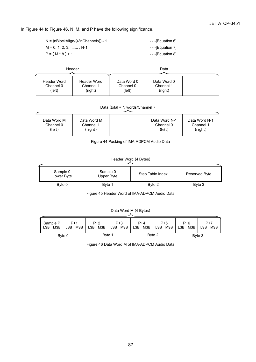In Figure 44 to Figure 46, N, M, and P have the following significance.

| $N = (nBlockAliqn/(4*nChannels)) - 1$ | - - - [Equation 6] |
|---------------------------------------|--------------------|
| $M = 0, 1, 2, 3, \dots, N-1$          | ---[Equation 7]    |
| $P = (M * 8) + 1$                     | $-$ - [Equation 8] |

|                                    | Header                                     |                                    | Data                                |   |
|------------------------------------|--------------------------------------------|------------------------------------|-------------------------------------|---|
| Header Word<br>Channel 0<br>(left) | <b>Header Word</b><br>Channel 1<br>(right) | Data Word 0<br>Channel 0<br>(left) | Data Word 0<br>Channel 1<br>(right) | . |

Data (total = N words/Channel )

| Data Word M | Data Word M | . | Data Word N-1 | Data Word N-1 |
|-------------|-------------|---|---------------|---------------|
| Channel 0   | Channel 1   |   | Channel 0     | Channel 1     |
| (left)      | (right)     |   | (left)        | (right)       |

Figure 44 Packing of IMA-ADPCM Audio Data

### Header Word (4 Bytes)

| Sample 0<br>Lower Byte | Sample 0<br>Upper Byte | Step Table Index | Reserved Byte |
|------------------------|------------------------|------------------|---------------|
| Byte 0                 | Byte 1                 | Byte 2           | Byte 3        |

Figure 45 Header Word of IMA-ADPCM Audio Data

### Data Word M (4 Bytes)

| Sample P                 | $P+1$                    | $P+2$      | $P + 3$           | $P+4$                    | $P+5$                    | $P + 6$                  | $P+7$             |
|--------------------------|--------------------------|------------|-------------------|--------------------------|--------------------------|--------------------------|-------------------|
| <b>LSB</b><br><b>MSB</b> | <b>MSB</b><br><b>LSB</b> | LSB<br>MSB | MSB<br><b>LSB</b> | <b>MSB</b><br><b>LSB</b> | <b>LSB</b><br><b>MSB</b> | <b>LSB</b><br><b>MSB</b> | <b>LSB</b><br>MSB |
|                          | Byte 0                   | Byte 1     |                   |                          | Byte 2                   |                          | Byte 3            |

Figure 46 Data Word M of IMA-ADPCM Audio Data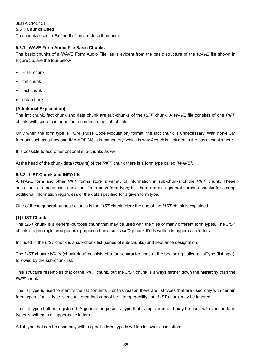**5.6 Chunks Used** 

The chunks used in Exif audio files are described here.

## **5.6.1 WAVE Form Audio File Basic Chunks**

The basic chunks of a WAVE Form Audio File, as is evident from the basic structure of the *WAVE* file shown in Figure 35, are the four below.

- RIFF chunk
- fmt chunk
- fact chunk
- data chunk

## **[Additional Explanation]**

The fmt chunk, fact chunk and data chunk are sub-chunks of the *RIFF* chunk. A *WAVE* file consists of one *RIFF* chunk, with specific information recorded in the sub-chunks.

Only when the form type is PCM (Pulse Code Modulation) format, the fact chunk is unnecessary. With non-PCM formats such as µ-Law and IMA-ADPCM, it is mandatory, which is why *fact-ck* is included in the basic chunks here.

It is possible to add other optional sub-chunks as well.

At the head of the chunk data (*ckData*) of the *RIFF* chunk there is a form type called "*WAVE*".

## **5.6.2 LIST Chunk and INFO List**

A *WAVE* form and other *RIFF* forms store a variety of information in sub-chunks of the *RIFF* chunk. These sub-chunks in many cases are specific to each form type; but there are also general-purpose chunks for storing additional information regardless of the data specified for a given form type.

One of these general-purpose chunks is the *LIST* chunk. Here the use of the *LIST* chunk is explained.

## **(1) LIST Chunk**

The *LIST* chunk is a general-purpose chunk that may be used with the files of many different form types. The *LIST* chunk is a pre-registered general-purpose chunk, so its *ckID* (chunk ID) is written in upper-case letters.

Included in the *LIST* chunk is a sub-chunk list (series of sub-chunks) and sequence designation.

The *LIST* chunk *ckData* (chunk data) consists of a four-character code at the beginning called a listType (list type), followed by the sub-chunk list.

This structure resembles that of the *RIFF* chunk, but the *LIST* chunk is always farther down the hierarchy than the *RIFF* chunk.

The list type is used to identify the list contents. For this reason there are list types that are used only with certain form types. If a list type is encountered that cannot be Interoperability, that *LIST* chunk may be ignored.

The list type shall be registered. A general-purpose list type that is registered and may be used with various form types is written in all upper-case letters.

A list type that can be used only with a specific form type is written in lower-case letters.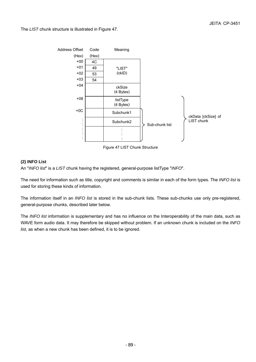The *LIST* chunk structure is illustrated in Figure 47.



Figure 47 LIST Chunk Structure

### **(2) INFO List**

An "*INFO list*" is a *LIST* chunk having the registered, general-purpose listType "*INFO*".

The need for information such as title, copyright and comments is similar in each of the form types. The *INFO list* is used for storing these kinds of information.

The information itself in an *INFO list* is stored in the sub-chunk lists. These sub-chunks use only pre-registered, general-purpose chunks, described later below.

The *INFO list* information is supplementary and has no influence on the Interoperability of the main data, such as WAVE form audio data. It may therefore be skipped without problem. If an unknown chunk is included on the *INFO list*, as when a new chunk has been defined, it is to be ignored.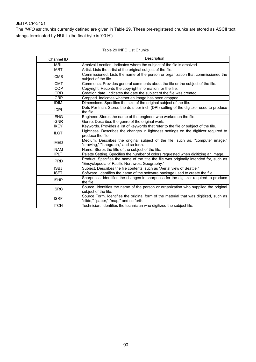The *INFO list* chunks currently defined are given in Table 29. These pre-registered chunks are stored as ASCII text strings terminated by NULL (the final byte is '00.H').

| Channel ID  | Description                                                                                                                              |
|-------------|------------------------------------------------------------------------------------------------------------------------------------------|
| <b>IARL</b> | Archival Location. Indicates where the subject of the file is archived.                                                                  |
| <b>IART</b> | Artist. Lists the artist of the original subject of the file.                                                                            |
| <b>ICMS</b> | Commissioned. Lists the name of the person or organization that commissioned the<br>subject of the file.                                 |
| <b>ICMT</b> | Comments. Provides general comments about the file or the subject of the file.                                                           |
| <b>ICOP</b> | Copyright. Records the copyright information for the file.                                                                               |
| <b>ICRD</b> | Creation date. Indicates the date the subject of the file was created.                                                                   |
| <b>ICRP</b> | Cropped. Indicates whether an image has been cropped                                                                                     |
| <b>IDIM</b> | Dimensions. Specifies the size of the original subject of the file.                                                                      |
| <b>IDPI</b> | Dots Per Inch. Stores the dots per inch (DPI) setting of the digitizer used to produce<br>the file.                                      |
| <b>IENG</b> | Engineer. Stores the name of the engineer who worked on the file.                                                                        |
| <b>IGNR</b> | Genre. Describes the genre of the original work.                                                                                         |
| <b>IKEY</b> | Keywords. Provides a list of keywords that refer to the file or subject of the file.                                                     |
| <b>ILGT</b> | Lightness. Describes the changes in lightness settings on the digitizer required to<br>produce the file.                                 |
| <b>IMED</b> | Medium. Describes the original subject of the file, such as, "computer image,"<br>"drawing," "lithograph," and so forth.                 |
| <b>INAM</b> | Name. Stores the title of the subject of the file.                                                                                       |
| <b>IPLT</b> | Palette Setting. Specifies the number of colors requested when digitizing an image.                                                      |
| <b>IPRD</b> | Product. Specifies the name of the title the file was originally intended for, such as<br>"Encyclopedia of Pacific Northwest Geography." |
| <b>ISBJ</b> | Subject. Describes the file contents, such as "Aerial view of Seattle."                                                                  |
| <b>ISFT</b> | Software. Identifies the name of the software package used to create the file.                                                           |
| <b>ISHP</b> | Sharpness. Identifies the changes in sharpness for the digitizer required to produce<br>the file.                                        |
| <b>ISRC</b> | Source. Identifies the name of the person or organization who supplied the original<br>subject of the file.                              |
| <b>ISRF</b> | Source Form. Identifies the original form of the material that was digitized, such as<br>"slide," "paper," "map," and so forth.          |
| <b>ITCH</b> | Technician. Identifies the technician who digitized the subject file.                                                                    |

### Table 29 INFO List Chunks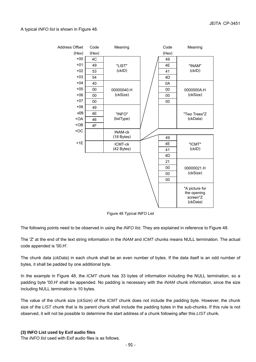A typical *INFO list* is shown in Figure 48.



Figure 48 Typical INFO List

The following points need to be observed in using the *INFO list*. They are explained in reference to Figure 48.

The 'Z' at the end of the text string information in the *INAM* and *ICMT* chunks means NULL termination. The actual code appended is '00.H'.

The chunk data (*ckData*) in each chunk shall be an even number of bytes. If the data itself is an odd number of bytes, it shall be padded by one additional byte.

In the example in Figure 48, the *ICMT* chunk has 33 bytes of information including the NULL termination, so a padding byte '00.H' shall be appended. No padding is necessary with the *INAM* chunk information, since the size including NULL termination is 10 bytes.

The value of the chunk size (*ckSize*) of the *ICMT* chunk does not include the padding byte. However, the chunk size of the *LIST* chunk that is its parent chunk shall include the padding bytes in the sub-chunks. If this rule is not observed, it will not be possible to determine the start address of a chunk following after this *LIST* chunk.

### **(3) INFO List used by Exif audio files**

The *INFO list* used with Exif audio files is as follows.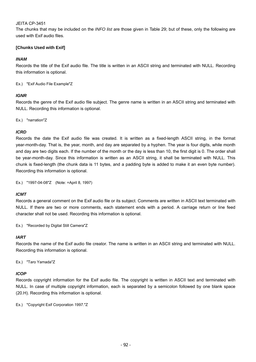The chunks that may be included on the *INFO list* are those given in Table 29; but of these, only the following are used with Exif audio files.

## **[Chunks Used with Exif]**

### *INAM*

Records the title of the Exif audio file. The title is written in an ASCII string and terminated with NULL. Recording this information is optional.

Ex.) "Exif Audio File Example"Z

### *IGNR*

Records the genre of the Exif audio file subject. The genre name is written in an ASCII string and terminated with NULL. Recording this information is optional.

Ex.) "narration"Z

### *ICRD*

Records the date the Exif audio file was created. It is written as a fixed-length ASCII string, in the format year-month-day. That is, the year, month, and day are separated by a hyphen. The year is four digits, while month and day are two digits each. If the number of the month or the day is less than 10, the first digit is 0. The order shall be year-month-day. Since this information is written as an ASCII string, it shall be terminated with NULL. This chunk is fixed-length (the chunk data is 11 bytes, and a padding byte is added to make it an even byte number). Recording this information is optional.

Ex.) "1997-04-08"Z (Note: =April 8, 1997)

### *ICMT*

Records a general comment on the Exif audio file or its subject. Comments are written in ASCII text terminated with NULL. If there are two or more comments, each statement ends with a period. A carriage return or line feed character shall not be used. Recording this information is optional.

Ex.) "Recorded by Digital Still Camera"Z

### *IART*

Records the name of the Exif audio file creator. The name is written in an ASCII string and terminated with NULL. Recording this information is optional.

Ex.) "Taro Yamada"Z

### *ICOP*

Records copyright information for the Exif audio file. The copyright is written in ASCII text and terminated with NULL. In case of multiple copyright information, each is separated by a semicolon followed by one blank space (20.H). Recording this information is optional.

Ex.) "Copyright Exif Corporation 1997."Z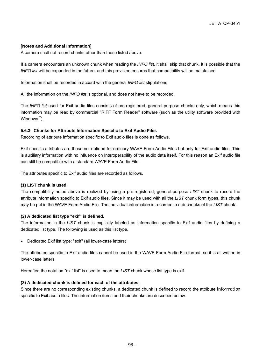### **[Notes and Additional Information]**

A camera shall not record chunks other than those listed above.

If a camera encounters an unknown chunk when reading the *INFO list*, it shall skip that chunk. It is possible that the *INFO list* will be expanded in the future, and this provision ensures that compatibility will be maintained.

Information shall be recorded in accord with the general *INFO list* stipulations.

All the information on the *INFO list* is optional, and does not have to be recorded.

The *INFO list* used for Exif audio files consists of pre-registered, general-purpose chunks only, which means this information may be read by commercial "RIFF Form Reader" software (such as the utility software provided with Windows™).

### **5.6.3 Chunks for Attribute Information Specific to Exif Audio Files**

Recording of attribute information specific to Exif audio files is done as follows.

Exif-specific attributes are those not defined for ordinary WAVE Form Audio Files but only for Exif audio files. This is auxiliary information with no influence on Interoperability of the audio data itself. For this reason an Exif audio file can still be compatible with a standard WAVE Form Audio File.

The attributes specific to Exif audio files are recorded as follows.

### **(1) LIST chunk is used.**

The compatibility noted above is realized by using a pre-registered, general-purpose *LIST* chunk to record the attribute information specific to Exif audio files. Since it may be used with all the *LIST* chunk form types, this chunk may be put in the WAVE Form Audio File. The individual information is recorded in sub-chunks of the *LIST* chunk.

## **(2) A dedicated list type "exif" is defined.**

The information in the *LIST* chunk is explicitly labeled as information specific to Exif audio files by defining a dedicated list type. The following is used as this list type.

• Dedicated Exif list type: "exif" (all lower-case letters)

The attributes specific to Exif audio files cannot be used in the WAVE Form Audio File format, so it is all written in lower-case letters.

Hereafter, the notation "exif list" is used to mean the *LIST* chunk whose list type is exif.

## **(3) A dedicated chunk is defined for each of the attributes.**

Since there are no corresponding existing chunks, a dedicated chunk is defined to record the attribute information specific to Exif audio files. The information items and their chunks are described below.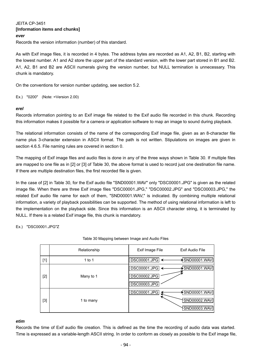## JEITA CP-3451 **[Information items and chunks]**  *ever*  Records the version information (number) of this standard.

As with Exif image files, it is recorded in 4 bytes. The address bytes are recorded as A1, A2, B1, B2, starting with the lowest number. A1 and A2 store the upper part of the standard version, with the lower part stored in B1 and B2. A1, A2, B1 and B2 are ASCII numerals giving the version number, but NULL termination is unnecessary. This chunk is mandatory.

On the conventions for version number updating, see section 5.2.

Ex.) "0200" (Note: =Version 2.00)

### *erel*

Records information pointing to an Exif image file related to the Exif audio file recorded in this chunk. Recording this information makes it possible for a camera or application software to map an image to sound during playback.

The relational information consists of the name of the corresponding Exif image file, given as an 8-character file name plus 3-character extension in ASCII format. The path is not written. Stipulations on images are given in section 4.6.5. File naming rules are covered in section 0.

The mapping of Exif image files and audio files is done in any of the three ways shown in Table 30. If multiple files are mapped to one file as in [2] or [3] of Table 30, the above format is used to record just one destination file name. If there are multiple destination files, the first recorded file is given.

In the case of [2] in Table 30, for the Exif audio file "SND00001.WAV" only "DSC00001.JPG" is given as the related image file. When there are three Exif image files "DSC00001.JPG," "DSC00002.JPG" and "DSC00003.JPG," the related Exif audio file name for each of them, "SND00001.WAV," is indicated. By combining multiple relational information, a variety of playback possibilities can be supported. The method of using relational information is left to the implementation on the playback side. Since this information is an ASCII character string, it is terminated by NULL. If there is a related Exif image file, this chunk is mandatory.

Ex.) "DSC00001.JPG"Z

|       | Relationship | Exif Audio File<br>Exif Image File      |
|-------|--------------|-----------------------------------------|
| $[1]$ | 1 to 1       | $\bigstar$ SND00001.WAV<br>DSC00001.JPG |
|       |              | SND00001.WAV<br>DSC00001.JPG            |
| $[2]$ | Many to 1    | <b>DSC00002.JPG</b>                     |
|       |              | <b>DSC00003.JPG</b>                     |
|       |              | DSC00001.JPG<br>$\star$ SND00001.WAV    |
| $[3]$ | 1 to many    | SND00002.WAV                            |
|       |              | SND00003.WAV                            |

### Table 30 Mapping between Image and Audio Files

## *etim*

Records the time of Exif audio file creation. This is defined as the time the recording of audio data was started. Time is expressed as a variable-length ASCII string. In order to conform as closely as possible to the Exif image file,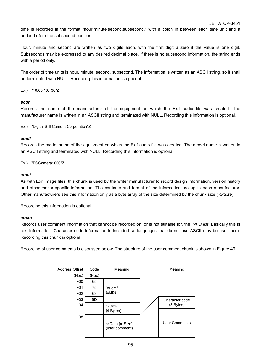time is recorded in the format "hour:minute:second.subsecond," with a colon in between each time unit and a period before the subsecond position.

Hour, minute and second are written as two digits each, with the first digit a zero if the value is one digit. Subseconds may be expressed to any desired decimal place. If there is no subsecond information, the string ends with a period only.

The order of time units is hour, minute, second, subsecond. The information is written as an ASCII string, so it shall be terminated with NULL. Recording this information is optional.

Ex.) "10:05:10.130"Z

### *ecor*

Records the name of the manufacturer of the equipment on which the Exif audio file was created. The manufacturer name is written in an ASCII string and terminated with NULL. Recording this information is optional.

Ex.) "Digital Still Camera Corporation"Z

### *emdl*

Records the model name of the equipment on which the Exif audio file was created. The model name is written in an ASCII string and terminated with NULL. Recording this information is optional.

Ex.) "DSCamera1000"Z

### *emnt*

As with Exif image files, this chunk is used by the writer manufacturer to record design information, version history and other maker-specific information. The contents and format of the information are up to each manufacturer. Other manufacturers see this information only as a byte array of the size determined by the chunk size ( *ckSize*).

Recording this information is optional.

### *eucm*

Records user comment information that cannot be recorded on, or is not suitable for, the *INFO list*. Basically this is text information. Character code information is included so languages that do not use ASCII may be used here. Recording this chunk is optional.

Recording of user comments is discussed below. The structure of the user comment chunk is shown in Figure 49.

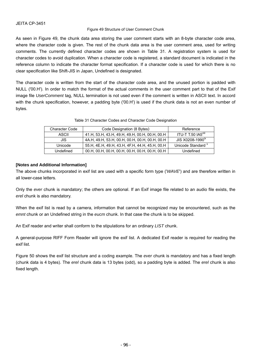### Figure 49 Structure of User Comment Chunk

As seen in Figure 49, the chunk data area storing the user comment starts with an 8-byte character code area, where the character code is given. The rest of the chunk data area is the user comment area, used for writing comments. The currently defined character codes are shown in Table 31. A registration system is used for character codes to avoid duplication. When a character code is registered, a standard document is indicated in the reference column to indicate the character format specification. If a character code is used for which there is no clear specification like Shift-JIS in Japan, Undefined is designated.

The character code is written from the start of the character code area, and the unused portion is padded with NULL ('00.H'). In order to match the format of the actual comments in the user comment part to that of the Exif image file *UserComment* tag, NULL termination is not used even if the comment is written in ASCII text. In accord with the chunk specification, however, a padding byte ('00.H') is used if the chunk data is not an even number of bytes.

|  | Table 31 Character Codes and Character Code Designation |
|--|---------------------------------------------------------|
|--|---------------------------------------------------------|

| <b>Character Code</b> | Code Designation (8 Bytes)                     | Reference                      |
|-----------------------|------------------------------------------------|--------------------------------|
| ASCII                 | 41.H, 53.H, 43.H, 49.H, 49.H, 00.H, 00.H, 00.H | ITU-T T.50 IA5 <sup>viii</sup> |
| JIS                   | 4A.H, 49.H, 53.H, 00.H, 00.H, 00.H, 00.H, 00.H | JIS X0208-1990 <sup>1X</sup>   |
| Unicode               | 55.H, 4E.H, 49.H, 43.H, 4F.H, 44.H, 45.H, 00.H | Unicode Standard <sup>x</sup>  |
| Undefined             | 00.Н, 00.Н, 00.Н, 00.Н, 00.Н, 00.Н, 00.Н, 00.Н | Undefined                      |

### **[Notes and Additional Information]**

The above chunks incorporated in exif list are used with a specific form type ('*WAVE*') and are therefore written in all lower-case letters.

Only the *ever* chunk is mandatory; the others are optional. If an Exif image file related to an audio file exists, the *erel* chunk is also mandatory.

When the exif list is read by a camera, information that cannot be recognized may be encountered, such as the *emnt* chunk or an Undefined string in the *eucm* chunk. In that case the chunk is to be skipped.

An Exif reader and writer shall conform to the stipulations for an ordinary *LIST* chunk.

A general-purpose RIFF Form Reader will ignore the exif list. A dedicated Exif reader is required for reading the exif list.

Figure 50 shows the exif list structure and a coding example. The *ever* chunk is mandatory and has a fixed length (chunk data is 4 bytes). The *erel* chunk data is 13 bytes (odd), so a padding byte is added. The *erel* chunk is also fixed length.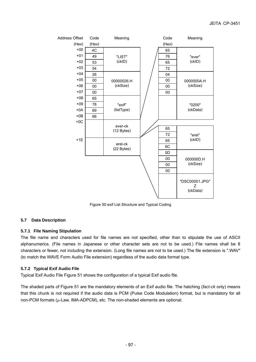

Figure 50 exif List Structure and Typical Coding

## **5.7 Data Description**

### **5.7.1 File Naming Stipulation**

The file name and characters used for file names are not specified, other than to stipulate the use of ASCII alphanumerics. (File names in Japanese or other character sets are not to be used.) File names shall be 8 characters or fewer, not including the extension. (Long file names are not to be used.) The file extension is ".WAV" (to match the WAVE Form Audio File extension) regardless of the audio data format type.

### **5.7.2 Typical Exif Audio File**

Typical Exif Audio File Figure 51 shows the configuration of a typical Exif audio file.

The shaded parts of Figure 51 are the mandatory elements of an Exif audio file. The hatching (*fact-ck* only) means that this chunk is not required if the audio data is PCM (Pulse Code Modulation) format, but is mandatory for all non-PCM formats  $(\mu$ -Law, IMA-ADPCM), etc. The non-shaded elements are optional.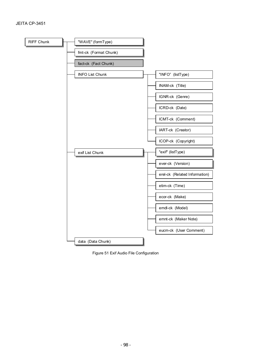

Figure 51 Exif Audio File Configuration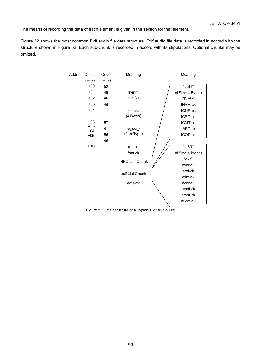The means of recording the data of each element is given in the section for that element.

Figure 52 shows the most common Exif audio file data structure. Exif audio file data is recorded in accord with the structure shown in Figure 52. Each sub-chunk is recorded in accord with its stipulations. Optional chunks may be omitted.



Figure 52 Data Structure of a Typical Exif Audio File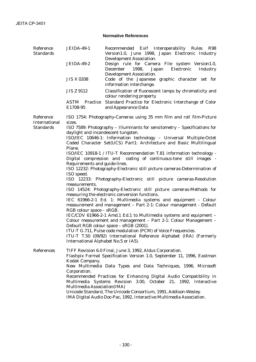## **Normative References**

| Reference<br><b>Standards</b>     | <b>JEIDA-49-1</b>                                                                                                                                                         | Recommended Exif Interoperability Rules R98<br>Version1.0, June 1998, Japan Electronic Industry                                                                                    |  |  |
|-----------------------------------|---------------------------------------------------------------------------------------------------------------------------------------------------------------------------|------------------------------------------------------------------------------------------------------------------------------------------------------------------------------------|--|--|
|                                   | <b>JEIDA-49-2</b>                                                                                                                                                         | <b>Development Association.</b><br>Design rule for Camera File system Version1.0,<br>1998,<br>December<br>Japan Electronic<br><b>Industry</b><br><b>Development Association.</b>   |  |  |
|                                   | <b>JIS X 0208</b>                                                                                                                                                         | Code of the Japanese graphic character set for<br>information interchange.                                                                                                         |  |  |
|                                   | <b>JIS Z 9112</b>                                                                                                                                                         | Classification of fluorescent lamps by chromaticity and<br>colour rendering property                                                                                               |  |  |
|                                   | <b>ASTM</b> Practice<br>E1708-95                                                                                                                                          | Standard Practice for Electronic Interchange of Color<br>and Appearance Data                                                                                                       |  |  |
| Reference<br><b>International</b> | sizes.                                                                                                                                                                    | ISO 1754: Photography-Cameras using 35 mm film and roll film-Picture                                                                                                               |  |  |
| <b>Standards</b>                  |                                                                                                                                                                           | ISO 7589: Photography - Illuminants for sensitometry - Specifications for<br>daylight and incandescent tungsten.                                                                   |  |  |
|                                   | Plane.                                                                                                                                                                    | ISO/IEC 10646-1: Information technology - Universal Multiple-Octet<br>Coded Character Set(UCS) Part1: Architecture and Basic Multilingual                                          |  |  |
|                                   | ISO/IEC 10918-1 / ITU-T Recommendation T.81 information technology -<br>Digital compression and coding of continuous-tone still images -<br>Requirements and guide-lines. |                                                                                                                                                                                    |  |  |
|                                   | ISO speed.                                                                                                                                                                | ISO 12232: Photography-Electronic still picture cameras-Determination of                                                                                                           |  |  |
|                                   |                                                                                                                                                                           | ISO 12233: Photography-Electronic still picture cameras-Resolution                                                                                                                 |  |  |
|                                   | measurements.                                                                                                                                                             | ISO 14524: Photography-Electronic still picture cameras-Methods for<br>measuring the electronic conversion functions.                                                              |  |  |
|                                   |                                                                                                                                                                           | IEC 61966-2-1 Ed. 1: Multimedia systems and equipment - Colour<br>measurement and management - Part 2-1: Colour management - Default                                               |  |  |
|                                   | RGB colour space - sRGB.                                                                                                                                                  | IEC/CDV 61966-2-1 Amd.1 Ed.1 to Multimedia systems and equipment -<br>Colour measurement and management - Part 2-1: Colour Management -<br>Default RGB colour space - sRGB (2001). |  |  |
|                                   |                                                                                                                                                                           | ITU-T G.711, Pulse code modulation (PCM) of Voice Frequencies.<br>ITU-T T.50 (09/92) International Reference Alphabet (IRA) (Formerly<br>International Alphabet No.5 or IA5).      |  |  |
| <b>References</b>                 | Kodak Company.                                                                                                                                                            | TIFF Revision 6.0 Final, June 3, 1992, Aldus Corporation.<br>Flashpix Format Specification Version 1.0, September 11, 1996, Eastman                                                |  |  |
|                                   |                                                                                                                                                                           | New Multimedia Data Types and Data Techniques, 1996, Microsoft                                                                                                                     |  |  |
|                                   | Corporation.<br>Multimedia Association(IMA)                                                                                                                               | Recommended Practices for Enhancing Digital Audio Compatibility in<br>Multimedia Systems Revision 3.00, October 21, 1992, Interactive                                              |  |  |
|                                   |                                                                                                                                                                           | Unicode Standard, The Unicode Consortium, 1991, Addison-Wesley.<br>IMA Digital Audio Doc-Pac, 1992, Interactive Multimedia Association.                                            |  |  |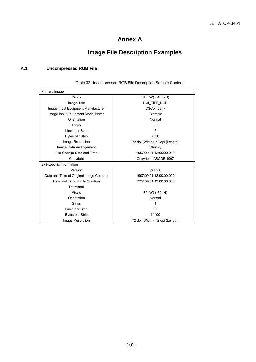## **Annex A**

# **Image File Description Examples**

## **A.1 Uncompressed RGB File**

| Primary Image                            |                                 |
|------------------------------------------|---------------------------------|
| Pixels                                   | 640 (W) x 480 (H)               |
| Image Title                              | Exif TIFF RGB                   |
| Image Input Equipment Manufacturer       | <b>DSCompany</b>                |
| Image Input Equipment Model Name         | Example                         |
| Orientation                              | Normal                          |
| <b>Strips</b>                            | 96                              |
| Lines per Strip                          | 5                               |
| <b>Bytes per Strip</b>                   | 9600                            |
| Image Resolution                         | 72 dpi (Width), 72 dpi (Length) |
| Image Data Arrangement                   | Chunky                          |
| File Change Date and Time                | 1997:09:01 12:00:00.000         |
| Copyright                                | Copyright, ABCDE, 1997          |
| Exif-specific Information                |                                 |
| Version                                  | Ver. 2.0                        |
| Date and Time of Original Image Creation | 1997:09:01 12:00:00.000         |
| Date and Time of File Creation           | 1997:09:01 12:00:00.000         |
| Thumbnail                                |                                 |
| Pixels                                   | 80 (W) x 60 (H)                 |
| Orientation                              | Normal                          |
| <b>Strips</b>                            | 1                               |
| Lines per Strip                          | 60                              |
| <b>Bytes per Strip</b>                   | 14400                           |
| Image Resolution                         | 72 dpi (Width), 72 dpi (Length) |

Table 32 Uncompressed RGB File Description Sample Contents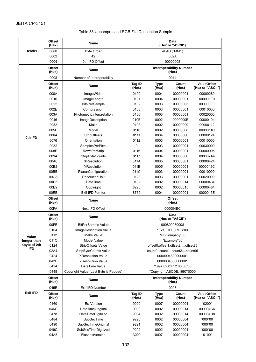| Table 33 Uncompressed RGB File Description Sample |  |  |
|---------------------------------------------------|--|--|
|                                                   |  |  |

|                      | <b>Offset</b><br>(Hex)    | Name                                      | Data<br>(Hex or "ASCII")                  |                                                                              |                                 |                                        |
|----------------------|---------------------------|-------------------------------------------|-------------------------------------------|------------------------------------------------------------------------------|---------------------------------|----------------------------------------|
| Header               | 0000<br><b>Byte Order</b> |                                           |                                           |                                                                              | 4D4D ("MM")                     |                                        |
|                      | 0002                      | 42                                        | 002A                                      |                                                                              |                                 |                                        |
|                      | 0004                      | 0th IFD Offset                            |                                           |                                                                              | 00000008                        |                                        |
|                      | Offset<br>(Hex)           | Name                                      | <b>Interoperability Number</b><br>(Hex)   |                                                                              |                                 |                                        |
|                      | 0008                      | Number of Interoperability                |                                           |                                                                              | 0014                            |                                        |
|                      | <b>Offset</b><br>(Hex)    | Name                                      | <b>Tag ID</b><br>(Hex)                    | <b>Type</b><br>(Hex)                                                         | Count<br>(Hex)                  | <b>ValueOffset</b><br>(Hex or "ASCII") |
|                      | 000A                      | ImageWidth                                | 0100                                      | 0004                                                                         | 00000001                        | 00000280                               |
|                      | 0016                      | ImageLength                               | 0101                                      | 0004                                                                         | 00000001                        | 000001E0                               |
|                      | 0022                      | <b>BitsPerSample</b>                      | 0102                                      | 0003                                                                         | 00000003                        | 000000FE                               |
|                      | 002E                      | Compression                               | 0103                                      | 0003                                                                         | 00000001                        | 00010000                               |
|                      | 003A                      | PhotometricInterpretation                 | 0106                                      | 0003                                                                         | 00000001                        | 00020000                               |
|                      | 0046                      | ImageDescription                          | 010E                                      | 0002<br>0000000E<br>0002<br>00000009<br>0002<br>00000008<br>0004<br>00000060 |                                 | 00000104                               |
|                      | 0052                      | Make                                      | 010F                                      |                                                                              |                                 | 00000112                               |
|                      | 005E                      | Model                                     | 0110                                      |                                                                              |                                 | 0000011C                               |
|                      | 006A                      | <b>StripOffsets</b>                       | 0111                                      |                                                                              |                                 | 00000124                               |
| 0th IFD              | 0076                      | Orientation                               | 0112                                      | 0003                                                                         | 00000001                        | 00010000                               |
|                      | 0082                      | SamplesPerPixel                           | 0                                         | 0003                                                                         | 00000001                        | 00030000                               |
|                      | 008E                      | <b>RowsPerStrip</b>                       | 0116                                      | 0004                                                                         | 00000001                        | 00000005                               |
|                      | 009A                      | StripByteCounts                           | 0117                                      | 0004                                                                         | 00000060                        | 000002A4                               |
|                      | 00A6                      | <b>XResolution</b>                        | 011A                                      | 0005                                                                         | 00000001                        | 00000424                               |
|                      | 00B2                      | YResolution                               | 011B                                      | 0005                                                                         | 00000001                        | 0000042C                               |
|                      | 00BE                      | PlanarConfiguration                       | 011C                                      | 0003                                                                         | 00000001                        | 00010000                               |
|                      | 00CA                      | ResolutionUnit                            | 0128                                      | 0003                                                                         | 00000001                        | 00020000                               |
|                      |                           |                                           |                                           |                                                                              |                                 |                                        |
|                      | 00D6                      | DateTime                                  | 0132                                      | 0002                                                                         | 00000014                        | 00000434                               |
|                      | 00E2                      | Copyright                                 | 8298                                      | 0002                                                                         | 00000015                        | 00000484                               |
|                      | 00EE                      | Exif IFD Pointer                          | 0004<br>00000001<br>8769<br><b>Offset</b> |                                                                              | 0000045E                        |                                        |
|                      | <b>Offset</b><br>(Hex)    | Name                                      |                                           |                                                                              | (Hex)                           |                                        |
|                      | 00FA                      | Next IFD Offset                           |                                           |                                                                              | 000004EC                        |                                        |
|                      | Offset<br>(Hex)           | <b>Name</b>                               | Data<br>(Hex or "ASCII")                  |                                                                              |                                 |                                        |
|                      | 00FE                      | <b>BitPerSample Value</b>                 | 000800080008                              |                                                                              |                                 |                                        |
|                      | 0104                      | ImageDescription Value                    | "Exif TIFF RGB"00                         |                                                                              |                                 |                                        |
|                      | 0112                      | Make Value                                |                                           |                                                                              | "DSCompany"00                   |                                        |
| Value<br>longer than | 011C                      | Model Value                               |                                           |                                                                              | "Example"00                     |                                        |
| 4byte of 0th         | 0124                      | StripOffsets Value                        |                                           |                                                                              | offset0,offset1,offset2offset95 |                                        |
| IFD                  | 02A4                      | StripByteCounts Value                     |                                           | count0, count1, count2count95                                                |                                 |                                        |
|                      | 0424                      | <b>XResolution Value</b>                  | 0000004800000001                          |                                                                              |                                 |                                        |
|                      | 042C                      | <b>YResolution Value</b>                  | 0000004800000001                          |                                                                              |                                 |                                        |
|                      | 0434                      | DateTime Value                            |                                           |                                                                              | "1997:09:01 12:00:00"00         |                                        |
|                      | 0448                      | Copyright Value (Last Byte is Padded)     |                                           |                                                                              | "Copyright,ABCDE,1997"0000      |                                        |
|                      | <b>Offset</b><br>(Hex)    | <b>Name</b>                               | <b>Interoperability Number</b><br>(Hex)   |                                                                              |                                 |                                        |
|                      | 045E                      | Exif IFD Number                           | 0008                                      |                                                                              |                                 |                                        |
| <b>Exif IFD</b>      | Offset<br>(Hex)           | Name                                      | Tag ID<br>(Hex)                           | <b>Type</b><br>(Hex)                                                         | Count<br>(Hex)                  | <b>ValueOffset</b><br>(Hex or "ASCII") |
|                      | 0460                      | <b>ExifVersion</b>                        | 9000                                      | 0007                                                                         | 00000004                        | "0200"                                 |
|                      | 046C                      | DateTimeOriginal                          | 9003                                      | 0002                                                                         | 00000014                        | 000004C4                               |
|                      | 0478                      | DateTimeDigitized                         | 9004                                      | 0002                                                                         | 00000014                        | 000004D8                               |
|                      |                           |                                           | 9290                                      | 0002                                                                         | 00000004                        | "000"00                                |
|                      |                           |                                           |                                           |                                                                              |                                 |                                        |
|                      | 0484                      | SubSecTime                                |                                           |                                                                              |                                 |                                        |
|                      | 0490<br>049C              | SubSecTimeOriginal<br>SubSecTimeDigitized | 9291<br>9292                              | 0002<br>0002                                                                 | 00000004<br>00000004            | "000"00<br>"000"00                     |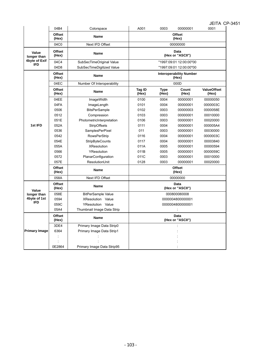|                             |                        |                            |                          |                      |                                         | 9 LITT                      |  |
|-----------------------------|------------------------|----------------------------|--------------------------|----------------------|-----------------------------------------|-----------------------------|--|
|                             | 04B4                   | Colorspace                 | A001                     | 0003                 | 00000001                                | 0001                        |  |
|                             | <b>Offset</b><br>(Hex) | <b>Name</b>                |                          |                      | <b>Offset</b><br>(Hex)                  |                             |  |
|                             | 04C0                   | Next IFD Offset            |                          |                      | 00000000                                |                             |  |
| Value<br>longer than        | <b>Offset</b><br>(Hex) | Name                       | Data<br>(Hex or "ASCII") |                      |                                         |                             |  |
| 4byte of Exif<br><b>IFD</b> | 04C4                   | SubSecTimeOriginal Value   |                          |                      | "1997:09:01 12:00:00"00                 |                             |  |
|                             | 04D8                   | SubSecTimeDigitized Value  |                          |                      | "1997:09:01 12:00:00"00                 |                             |  |
|                             | <b>Offset</b><br>(Hex) | <b>Name</b>                |                          |                      | <b>Interoperability Number</b><br>(Hex) |                             |  |
|                             | 04EC                   | Number Of Interoperability |                          |                      | 000D                                    |                             |  |
| 1st IFD                     | <b>Offset</b><br>(Hex) | <b>Name</b>                | Tag ID<br>(Hex)          | <b>Type</b><br>(Hex) | Count<br>(Hex)                          | <b>ValueOffset</b><br>(Hex) |  |
|                             | 04EE                   | ImageWidth                 | 0100                     | 0004                 | 00000001                                | 00000050                    |  |
|                             | 04FA                   | ImageLength                | 0101                     | 0004                 | 00000001                                | 0000003C                    |  |
|                             | 0506                   | <b>BitsPerSample</b>       | 0102                     | 0003                 | 00000003                                | 0000058E                    |  |
|                             | 0512                   | Compression                | 0103                     | 0003                 | 00000001                                | 00010000                    |  |
|                             | 051E                   | PhotometricInterpretation  | 0106                     | 0003                 | 00000001                                | 00020000                    |  |
|                             | 052A                   | <b>StripOffsets</b>        | 0111                     | 0004                 | 00000001                                | 000005A4                    |  |
|                             | 0536                   | SamplesPerPixel            | 011                      | 0003                 | 00000001                                | 00030000                    |  |
|                             | 0542                   | <b>RowsPerStrip</b>        | 0116                     | 0004                 | 00000001                                | 0000003C                    |  |
|                             | 054E                   | <b>StripByteCounts</b>     | 0117                     | 0004                 | 00000001                                | 00003840                    |  |
|                             | 055A                   | <b>XResolution</b>         | 011A                     | 0005                 | 00000001                                | 00000594                    |  |
|                             | 0566                   | YResolution                | 011B                     | 0005                 | 00000001                                | 0000059C                    |  |
|                             | 0572                   | PlanarConfiguration        | 011C                     | 0003                 | 00000001                                | 00010000                    |  |
|                             | 057E                   | ResolutionUnit             | 0128                     | 0003                 | 00000001                                | 00020000                    |  |
|                             | <b>Offset</b><br>(Hex) | Name                       | <b>Offset</b><br>(Hex)   |                      |                                         |                             |  |
|                             | 058A                   | Next IFD Offset            |                          |                      | 00000000                                |                             |  |
| Value                       | <b>Offset</b><br>(Hex) | <b>Name</b>                |                          |                      | Data<br>(Hex or "ASCII")                |                             |  |
| longer than                 | 058E                   | <b>BitPerSample Value</b>  |                          |                      | 000800080008                            |                             |  |
| 4byte of 1st                | 0594                   | XResolution Value          |                          |                      | 0000004800000001                        |                             |  |
| <b>IFD</b>                  | 059C                   | YResolution Value          |                          |                      | 0000004800000001                        |                             |  |
|                             | 05A4                   | Thumbnail Image Data Strip |                          |                      |                                         |                             |  |
|                             | <b>Offset</b><br>(Hex) | <b>Name</b>                |                          |                      | Data<br>(Hex or "ASCII")                |                             |  |
|                             | 3DE4                   | Primary Image Data Strip0  |                          |                      |                                         |                             |  |
| <b>Primary Image</b>        | 6364                   | Primary Image Data Strip1  |                          |                      |                                         |                             |  |
|                             |                        |                            |                          |                      |                                         |                             |  |
|                             |                        |                            |                          |                      |                                         |                             |  |
|                             | 0E2864                 | Primary Image Data Strip95 |                          |                      |                                         |                             |  |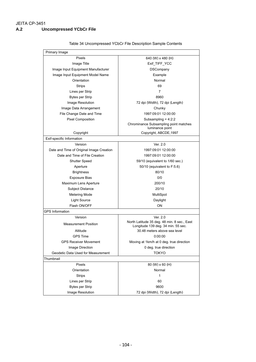#### JEITA CP-3451 **A.2 Uncompressed YCbCr File**

| Primary Image                            |                                                                                   |  |  |
|------------------------------------------|-----------------------------------------------------------------------------------|--|--|
| Pixels                                   | 640 (W) x 480 (H)                                                                 |  |  |
| Image Title                              | Exif_TIFF_YCC                                                                     |  |  |
| Image Input Equipment Manufacturer       | <b>DSCompany</b>                                                                  |  |  |
| Image Input Equipment Model Name         | Example                                                                           |  |  |
| Orientation                              | Normal                                                                            |  |  |
| <b>Strips</b>                            | 69                                                                                |  |  |
| Lines per Strip                          | 7                                                                                 |  |  |
| <b>Bytes per Strip</b>                   | 8960                                                                              |  |  |
| Image Resolution                         | 72 dpi (Width), 72 dpi (Length)                                                   |  |  |
| Image Data Arrangement                   | Chunky                                                                            |  |  |
| File Change Date and Time                | 1997:09:01 12:00:00                                                               |  |  |
| <b>Pixel Composition</b>                 | Subsampling = $4:2:2$                                                             |  |  |
|                                          | Chrominance Subsampling point matches<br>luminance point                          |  |  |
| Copyright                                | Copyright, ABCDE, 1997                                                            |  |  |
| Exif-specific Information                |                                                                                   |  |  |
| Version                                  | Ver. 2.0                                                                          |  |  |
| Date and Time of Original Image Creation | 1997:09:01 12:00:00                                                               |  |  |
| Date and Time of File Creation           | 1997:09:01 12:00:00                                                               |  |  |
| <b>Shutter Speed</b>                     | 59/10 (equivalent to 1/60 sec.)                                                   |  |  |
| Aperture                                 | 50/10 (equivalent to F:5.6)                                                       |  |  |
| <b>Brightness</b>                        | 80/10                                                                             |  |  |
| <b>Exposure Bias</b>                     | 0/0                                                                               |  |  |
| Maximum Lens Aperture                    | 200/10                                                                            |  |  |
| <b>Subject Distance</b>                  | 20/10                                                                             |  |  |
| Metering Mode                            | MultiSpot                                                                         |  |  |
| Light Source                             | Daylight                                                                          |  |  |
| Flash ON/OFF                             | ON                                                                                |  |  |
| <b>GPS Information</b>                   |                                                                                   |  |  |
| Version                                  | Ver. 2.0                                                                          |  |  |
| <b>Measurement Position</b>              | North Latitude 35 deg. 48 min. 8 sec., East<br>Longitude 139 deg. 34 min. 55 sec. |  |  |
| Altitude                                 | 30.48 meters above sea level                                                      |  |  |
| <b>GPS Time</b>                          | 0:00:00                                                                           |  |  |
| <b>GPS Receiver Movement</b>             | Moving at 1km/h at 0 deg. true direction                                          |  |  |
| Image Direction                          | 0 deg. true direction                                                             |  |  |
| Geodetic Data Used for Measurement       | <b>TOKYO</b>                                                                      |  |  |
| Thumbnail                                |                                                                                   |  |  |
| Pixels                                   | 80 (W) x 60 (H)                                                                   |  |  |
| Orientation                              | Normal                                                                            |  |  |
| <b>Strips</b>                            | $\mathbf{1}$                                                                      |  |  |
| Lines per Strip                          | 60                                                                                |  |  |
| <b>Bytes per Strip</b>                   | 9600                                                                              |  |  |
| Image Resolution                         | 72 dpi (Width), 72 dpi (Length)                                                   |  |  |

#### Table 34 Uncompressed YCbCr File Description Sample Contents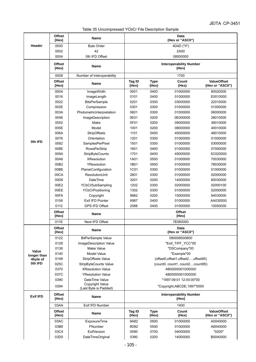Table 35 Uncompressed YCbCr File Description Sample

|                      | <b>Offset</b><br>(Hex) | Name                       | Data<br>(Hex or "ASCII") |                      |                                         |                                        |
|----------------------|------------------------|----------------------------|--------------------------|----------------------|-----------------------------------------|----------------------------------------|
| Header               | 0000                   | <b>Byte Order</b>          | 4D4D ("II")              |                      |                                         |                                        |
|                      | 0002                   | 42                         | 2A00                     |                      |                                         |                                        |
|                      | 0004                   | 0th IFD Offset             |                          |                      | 08000000                                |                                        |
|                      | <b>Offset</b><br>(Hex) | <b>Name</b>                |                          |                      | <b>Interoperability Number</b><br>(Hex) |                                        |
|                      | 0008                   | Number of Interoperability |                          |                      | 1700                                    |                                        |
|                      | <b>Offset</b><br>(Hex) | <b>Name</b>                | Tag ID<br>(Hex)          | <b>Type</b><br>(Hex) | Count<br>(Hex)                          | <b>ValueOffset</b><br>(Hex or "ASCII") |
|                      | 000A                   | ImageWidth                 | 0001                     | 0400                 | 01000000                                | 80020000                               |
|                      | 0016                   | ImageLength                | 0101                     | 0400                 | 01000000                                | E0010000                               |
|                      | 0022                   | <b>BitsPerSample</b>       | 0201                     | 0300                 | 03000000                                | 22010000                               |
|                      | 002E                   | Compression                | 0301                     | 0300                 | 01000000                                | 01000000                               |
|                      | 003A                   | PhotometricInterpretation  | 0601                     | 0300                 | 01000000                                | 06000000                               |
|                      | 0046                   | ImageDescription           | 0E01                     | 0200                 | 0E000000                                | 28010000                               |
|                      | 0052                   | Make                       | 0F01                     | 0200                 | 09000000                                | 36010000                               |
|                      | 005E                   | Model                      | 1001                     | 0200                 | 08000000                                | 40010000                               |
|                      | 006A                   | StripOffsets               | 1101                     | 0400                 | 45000000                                | 48010000                               |
|                      | 0076                   | Orientation                | 1201                     | 0300                 | 01000000                                | 01000000                               |
| 0th IFD              | 0082                   | SamplesPerPixel            | 1501                     | 0300                 | 01000000                                | 03000000                               |
|                      | 008E                   | <b>RowsPerStrip</b>        | 1601                     | 0400                 | 01000000                                | 07000000                               |
|                      | 009A                   | StripByteCounts            | 1701                     | 0400                 | 45000000                                | 5C020000                               |
|                      | 00A6                   | <b>XResolution</b>         | 1A01                     | 0500                 | 01000000                                | 70030000                               |
|                      | 00B2                   | YResolution                | 1B01                     | 0500                 | 01000000                                | 78030000                               |
|                      | 00BE                   | PlanarConfiguration        | 1C01                     | 0300                 | 01000000                                | 01000000                               |
|                      | 00CA                   | ResolutionUnit             | 2801                     | 0300                 | 01000000                                | 02000000                               |
|                      | 00D6                   | DateTime                   | 3201                     | 0200                 | 14000000                                | 80030000                               |
|                      | 00E2                   | YCbCrSubSampling           | 1202                     | 0300                 | 02000000                                | 02000100                               |
|                      | 00EE                   | YCbCrPositioning           | 1302                     | 0300                 | 01000000                                | 02000000                               |
|                      | 00FA                   | Copyright                  | 9882                     | 0200                 | 15000000                                | 94030000                               |
|                      | 0106                   | Exif IFD Pointer           | 6987                     | 0400                 | 01000000                                | AA030000                               |
|                      | 0112                   | <b>GPS IFD Offset</b>      | 2588                     | 0400                 | 01000000                                | 10050000                               |
|                      | <b>Offset</b><br>(Hex) | <b>Name</b>                |                          |                      | <b>Offset</b><br>(Hex)                  |                                        |
|                      | 011E                   | Next IFD Offset            |                          |                      | 7E060000                                |                                        |
|                      | <b>Offset</b><br>(Hex) | Name                       |                          |                      | Data<br>(Hex or "ASCII")                |                                        |
|                      | 0122                   | <b>BitPerSample Value</b>  |                          |                      | 080008000800                            |                                        |
|                      | 0128                   | ImageDescription Value     |                          |                      | "Exif_TIFF_YCC"00                       |                                        |
|                      | 0136                   | Make Value                 |                          |                      | "DSCompany"00                           |                                        |
| Value<br>longer than | 0140                   | Model Value                |                          |                      | "Example"00                             |                                        |
| 4byte of             | 0148                   | <b>StripOffsets Value</b>  |                          |                      | (offset0.offset1.offset2offset95)       |                                        |
| 0th IFD              | 025C                   | StripByteCounts Value      |                          |                      | (count0, count1, count2count95)         |                                        |
|                      | 0370                   | <b>XResolution Value</b>   |                          |                      | 4800000001000000                        |                                        |
|                      | 037C                   | <b>YResolution Value</b>   |                          |                      | 4800000001000000                        |                                        |
|                      | 0380                   | DateTime Value             |                          |                      | "1997:09:01 12:00:00"00                 |                                        |
|                      | 0394                   | <b>Copyright Value</b>     |                          |                      | "Copyright, ABCDE, 1997"0000            |                                        |
|                      |                        | (Last Byte is Padded)      |                          |                      |                                         |                                        |
| <b>Exif IFD</b>      | <b>Offset</b><br>(Hex) | Name                       |                          |                      | <b>Interoperability Number</b><br>(Hex) |                                        |
|                      | 03AA                   | Exif IFD Number            |                          |                      | 1400                                    |                                        |
|                      | Offset<br>(Hex)        | Name                       | Tag ID<br>(Hex)          | <b>Type</b><br>(Hex) | Count<br>(Hex)                          | <b>ValueOffset</b><br>(Hex or "ASCII") |
|                      | 03AC                   | <b>ExposureTime</b>        | 9A82                     | 0500                 | 01000000                                | A0040000                               |
|                      | 03B8                   | FNumber                    | 9D82                     | 0500                 | 01000000                                | A8040000                               |
|                      | 03C4                   | <b>ExifVersion</b>         | 0090                     | 0700                 | 04000000                                | "0200"                                 |
|                      | 03D0                   | DateTimeOriginal           | 0390                     | 0200                 | 14000000                                | B0040000                               |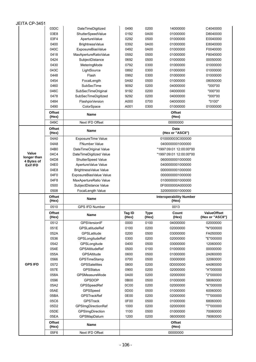| JEITA CP-3451        |                        |                                |                         |                      |                                         |                                        |
|----------------------|------------------------|--------------------------------|-------------------------|----------------------|-----------------------------------------|----------------------------------------|
|                      | 03DC                   | DateTimeDigitized              | 0490                    | 0200                 | 14000000                                | C4040000                               |
|                      | 03E8                   | ShutterSpeedValue              | 0192                    | 0A00                 | 01000000                                | D8040000                               |
|                      | 03F4                   | ApertureValue                  | 0292                    | 0500                 | 01000000                                | E0040000                               |
|                      | 0400                   | <b>BrightnessValue</b>         | 0392                    | 0A00                 | 01000000                                | E8040000                               |
|                      | 040C                   | ExposureBiasValue              | 0492                    | 0A00                 | 01000000                                | F0040000                               |
|                      | 0418                   | MaxApertureRatioValue          | 0592                    | 0500                 | 01000000                                | F8040000                               |
|                      | 0424                   | SubjectDistance                | 0692                    | 0500                 | 01000000                                | 00050000                               |
|                      | 0430                   | MeteringMode                   | 0792                    | 0300                 | 01000000                                | 01000000                               |
|                      | 043C                   | LightSource                    | 0892                    | 0300                 | 01000000                                | 01000000                               |
|                      | 0448                   | Flash                          | 0992                    | 0300                 | 01000000                                | 01000000                               |
|                      | 0454                   | FocalLength                    | 0A92                    | 0500                 | 01000000                                | 08050000                               |
|                      | 0460                   | SubSecTime                     | 9092                    | 0200                 | 04000000                                | "000"00                                |
|                      | 046C                   | SubSecTimeOriginal             | 9192                    | 0200                 | 04000000                                | "000"00                                |
|                      | 0478                   | SubSecTimeDigitized            | 9292                    | 0200                 | 04000000                                | "000"00                                |
|                      | 0484                   | FlashpixVersion                | A000                    | 0700                 | 04000000                                | "0100"                                 |
|                      | 0490                   | ColorSpace                     | A001                    | 0300                 | 01000000                                | 01000000                               |
|                      | <b>Offset</b><br>(Hex) | <b>Name</b>                    |                         |                      | <b>Offset</b><br>(Hex)                  |                                        |
|                      | 049C                   | Next IFD Offset                |                         |                      | 00000000                                |                                        |
|                      | Offset<br>(Hex)        | <b>Name</b>                    |                         |                      | Data<br>(Hex or "ASCII")                |                                        |
|                      | 04A0                   | ExposureTime Value             |                         |                      | 010000003C000000                        |                                        |
|                      | 04A8                   | <b>FNumber Value</b>           |                         |                      | 0400000001000000                        |                                        |
|                      | 04B0                   | DateTimeOriginal Value         | "1997:09:01 12:00:00"00 |                      |                                         |                                        |
| Value<br>longer than | 04C4                   | DateTimeDigitized Value        |                         |                      | "1997:09:01 12:00:00"00                 |                                        |
| 4 Bytes of           | 04D8                   | ShutterSpeed Value             |                         |                      | 0600000001000000                        |                                        |
| <b>Exif IFD</b>      | 04E0                   | ApertureValue Value            | 0400000001000000        |                      |                                         |                                        |
|                      | 04E8                   | BrightnessValue Value          |                         |                      | 0000000001000000                        |                                        |
|                      | 04F0                   | ExposureBiasValue Value        |                         |                      | 0000000001000000                        |                                        |
|                      | 04F8                   | MaxApertureRatio Value         | 0100000001000000        |                      |                                         |                                        |
|                      |                        |                                |                         |                      |                                         |                                        |
|                      | 0500                   | SubjectDistance Value          |                         |                      | 0F0000000A000000                        |                                        |
|                      | 0508                   | FocalLength Value              |                         |                      | 3200000001000000                        |                                        |
|                      | Offset<br>(Hex)        | <b>Name</b>                    |                         |                      | <b>Interoperability Number</b><br>(Hex) |                                        |
|                      | 0510                   | <b>GPS IFD Number</b>          |                         |                      | 0013                                    |                                        |
|                      | Offset<br>(Hex)        | Name                           | Tag ID<br>(Hex)         | <b>Type</b><br>(Hex) | Count<br>(Hex)                          | <b>ValueOffset</b><br>(Hex or "ASCII") |
|                      | 0512                   | GPSVersionIF                   | 0000                    | 0100                 | 04000000                                | 02000000                               |
|                      | 051E                   | GPSLatitudeRef                 | 0100                    | 0200                 | 02000000                                | "N"000000                              |
|                      | 052A                   | GPSLatitude                    | 0200                    | 0500                 | 03000000                                | FA050000                               |
|                      | 0536                   | GPSLongitudeRef                | 0300                    | 0200                 | 02000000                                | "E"000000                              |
|                      | 0542                   | GPSLongitude                   | 0400                    | 0500                 | 03000000                                | 12060000                               |
|                      | 054E                   | GPSAltitudeRef                 | 0500                    | 0100                 | 01000000                                | 00000000                               |
|                      | 055A                   | <b>GPSAltitude</b>             | 0600                    | 0500                 | 01000000                                | 2A060000                               |
|                      | 0566                   | GPSTimeStamp                   | 0700                    | 0500                 | 03000000                                | 32060000                               |
| <b>GPS IFD</b>       | 0572                   | <b>GPSSatellites</b>           | 0800                    | 0200                 | 0D000000                                | 4A060000                               |
|                      | 057E                   | <b>GPSStatus</b>               | 0900                    | 0200                 | 02000000                                | "A"000000                              |
|                      | 058A                   | <b>GPSMeasureMode</b>          | 0A00                    | 0200                 | 02000000                                | "2"000000                              |
|                      | 0596                   | <b>GPSDOP</b>                  | 0B00                    | 0500                 | 01000000                                | 58060000                               |
|                      | 05A2                   | GPSSpeedRef                    | 0C00<br>0D00            | 0200<br>0500         | 02000000                                | "K"000000<br>60060000                  |
|                      | 05AE                   | GPSSpeed                       |                         |                      | 01000000                                |                                        |
|                      | 05BA<br>05C6           | GPSTrackRef<br><b>GPSTrack</b> | 0E00<br>0F00            | 0200<br>0500         | 02000000                                | "T"000000<br>68060000                  |
|                      | 05D2                   | GPSImgDirectionRef             | 1000                    | 0200                 | 01000000<br>02000000                    | "T"000000                              |
|                      | 05DE                   | GPSImgDirection                | 1100                    | 0500                 | 01000000                                | 70060000                               |
|                      | 05EA                   | GPSMapDatum                    | 1200                    | 0200                 | 06000000                                | 78060000                               |
|                      | <b>Offset</b>          |                                |                         |                      | <b>Offset</b>                           |                                        |
|                      | (Hex)<br>05F6          | Name<br>Next IFD Offset        |                         |                      | (Hex)<br>00000000                       |                                        |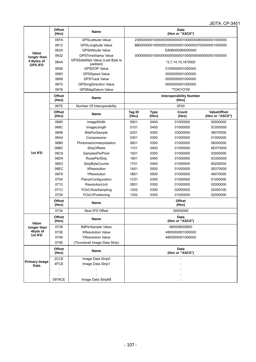|                              |                        |                                              |                 |                      |                                                   | ,,,,,<br>$\sim$<br>$\sim$              |  |  |
|------------------------------|------------------------|----------------------------------------------|-----------------|----------------------|---------------------------------------------------|----------------------------------------|--|--|
|                              | <b>Offset</b><br>(Hex) | Name                                         |                 |                      | Data<br>(Hex or "ASCII")                          |                                        |  |  |
|                              | 05FA                   | <b>GPSLatitude Value</b>                     |                 |                      | 2300000001000000300000000010000000800000001000000 |                                        |  |  |
|                              | 0612                   | <b>GPSLongitude Value</b>                    |                 |                      | 8B0000000100000022000000010000003700000001000000  |                                        |  |  |
|                              | 062A                   | <b>GPSAltitude Value</b>                     |                 |                      | E80B000064000000                                  |                                        |  |  |
| Value<br>longer than         | 0632                   | <b>GPSTimeStamp Value</b>                    |                 |                      |                                                   |                                        |  |  |
| 4 Bytes of<br><b>GPS IFD</b> | 064A                   | GPSSatellites Value (Last Byte is<br>padded) |                 |                      | "2,7,14,15,16"0000                                |                                        |  |  |
|                              | 0658                   | <b>GPSDOP Value</b>                          |                 |                      | 0100000001000000                                  |                                        |  |  |
|                              | 0660                   | <b>GPSSpeed Value</b>                        |                 |                      | 0000000001000000                                  |                                        |  |  |
|                              | 0668                   | <b>GPSTrack Value</b>                        |                 |                      | 0000000001000000                                  |                                        |  |  |
|                              | 0670                   | <b>GPSImgDirection Value</b>                 |                 |                      | 0000000001000000                                  |                                        |  |  |
|                              | 0678                   | GPSMapDatum Value                            |                 |                      | "TOKYO"00                                         |                                        |  |  |
|                              | <b>Offset</b><br>(Hex) | <b>Name</b>                                  |                 |                      | <b>Interoperability Number</b><br>(Hex)           |                                        |  |  |
|                              | 067E                   | Number Of Interoperability                   |                 |                      | 0F00                                              |                                        |  |  |
|                              | <b>Offset</b><br>(Hex) | Name                                         | Tag ID<br>(Hex) | <b>Type</b><br>(Hex) | Count<br>(Hex)                                    | <b>ValueOffset</b><br>(Hex or "ASCII") |  |  |
|                              | 0680                   | ImageWidth                                   | 0001            | 0400                 | 01000000                                          | 50000000                               |  |  |
|                              | 068C                   | ImageLength                                  | 0101            | 0400                 | 01000000                                          | 3C000000                               |  |  |
|                              | 0698                   | <b>BitsPerSample</b>                         | 0201            | 0300                 | 03000000                                          | 38070000                               |  |  |
|                              | 06A4                   | Compression                                  | 0301            | 0300                 | 01000000                                          | 01000000                               |  |  |
|                              | 06B0                   | PhotometricInterpretation                    | 0601            | 0300                 | 01000000                                          | 06000000                               |  |  |
|                              | 06BC                   | StripOffsets                                 | 1101            | 0400                 | 01000000                                          | 4E070000                               |  |  |
| 1st IFD                      | 06C8                   | SamplesPerPixel                              | 1501            | 0300                 | 01000000                                          | 03000000                               |  |  |
|                              | 06D4                   | RowsPerStrip                                 | 1601            | 0400                 | 01000000                                          | 3C000000                               |  |  |
|                              | 06E0                   | <b>StripByteCounts</b>                       | 1701            | 0400                 | 01000000                                          | 80250000                               |  |  |
|                              | 06EC                   | <b>XResolution</b>                           | 1A01            | 0500                 | 01000000                                          | 3E070000                               |  |  |
|                              | 06F8                   | YResolution                                  | 1B01            | 0500                 | 01000000                                          | 46070000                               |  |  |
|                              | 0704                   | PlanarConfiguration                          | 1C01            | 0300                 | 01000000                                          | 01000000                               |  |  |
|                              | 0710                   | ResolutionUnit                               | 2801            | 0300                 | 01000000                                          | 02000000                               |  |  |
|                              | 071C                   | YCbCrSubSampling                             | 1202            | 0300                 | 02000000                                          | 02000100                               |  |  |
|                              | 0728                   | YCbCrPositioning                             | 1302            | 0300                 | 01000000                                          | 02000000                               |  |  |
|                              | <b>Offset</b><br>(Hex) | <b>Name</b>                                  |                 |                      | <b>Offset</b><br>(Hex)                            |                                        |  |  |
|                              | 0734                   | Next IFD Offset                              |                 |                      | 00000000                                          |                                        |  |  |
| Value                        | Offset<br>(Hex)        | Name                                         |                 |                      | Data<br>(Hex or "ASCII")                          |                                        |  |  |
| longer than                  | 0738                   | <b>BitPerSample Value</b>                    |                 |                      | 080008000800                                      |                                        |  |  |
| 4byte of                     | 073E                   | <b>XResolution Value</b>                     |                 |                      | 4800000001000000                                  |                                        |  |  |
| 1st IFD                      | 0746                   | <b>YResolution Value</b>                     |                 |                      | 4800000001000000                                  |                                        |  |  |
|                              | 074E                   | (Thumbnail Image Data Strip)                 |                 |                      |                                                   |                                        |  |  |
|                              | Offset<br>(Hex)        | Name                                         |                 |                      | Data<br>(Hex or "ASCII")                          |                                        |  |  |
|                              | 2CCE                   | Image Data Strip0                            |                 |                      |                                                   |                                        |  |  |
| <b>Primary Image</b><br>Data | 4FCE                   | Image Data Strip1                            |                 |                      |                                                   |                                        |  |  |
|                              |                        |                                              |                 |                      |                                                   |                                        |  |  |
|                              |                        |                                              |                 |                      |                                                   |                                        |  |  |
|                              | 0978CE                 | Image Data Strip68                           |                 |                      |                                                   |                                        |  |  |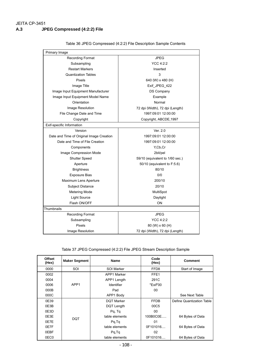| Primary Image                            |                                 |  |  |
|------------------------------------------|---------------------------------|--|--|
| <b>Recording Format</b>                  | <b>JPEG</b>                     |  |  |
| Subsampling                              | YCC 4:2:2                       |  |  |
| <b>Restart Markers</b>                   | Inserted                        |  |  |
| <b>Quantization Tables</b>               | 3                               |  |  |
| Pixels                                   | 640 (W) x 480 (H)               |  |  |
| Image Title                              | Exif_JPEG_422                   |  |  |
| Image Input Equipment Manufacturer       | <b>DS Company</b>               |  |  |
| Image Input Equipment Model Name         | Example                         |  |  |
| Orientation                              | Normal                          |  |  |
| Image Resolution                         | 72 dpi (Width), 72 dpi (Length) |  |  |
| File Change Date and Time                | 1997:09:01 12:00:00             |  |  |
| Copyright                                | Copyright, ABCDE, 1997          |  |  |
| Exif-specific Information                |                                 |  |  |
| Version                                  | Ver. 2.0                        |  |  |
| Date and Time of Original Image Creation | 1997:09:01 12:00:00             |  |  |
| Date and Time of File Creation           | 1997:09:01 12:00:00             |  |  |
| Components                               | Y,Cb,Cr                         |  |  |
| Image Compression Mode                   | 2bit/pel                        |  |  |
| <b>Shutter Speed</b>                     | 59/10 (equivalent to 1/60 sec.) |  |  |
| Aperture                                 | 50/10 (equivalent to F:5.6)     |  |  |
| <b>Brightness</b>                        | 80/10                           |  |  |
| <b>Exposure Bias</b>                     | 0/0                             |  |  |
| Maximum Lens Aperture                    | 200/10                          |  |  |
| <b>Subject Distance</b>                  | 20/10                           |  |  |
| <b>Metering Mode</b>                     | MultiSpot                       |  |  |
| <b>Light Source</b>                      | Daylight                        |  |  |
| Flash ON/OFF                             | ON                              |  |  |
| Thumbnails                               |                                 |  |  |
| Recording Format                         | <b>JPEG</b>                     |  |  |
| Subsampling                              | YCC 4:2:2                       |  |  |
| <b>Pixels</b>                            | 80 (W) x 60 (H)                 |  |  |
| Image Resolution                         | 72 dpi (Width), 72 dpi (Length) |  |  |

Table 36 JPEG Compressed (4:2:2) File Description Sample Contents

Table 37 JPEG Compressed (4:2:2) File JPEG Stream Description Sample

| <b>Offset</b><br>(Hex) | <b>Maker Segment</b> | <b>Name</b>       | Code<br>(Hex)    | <b>Comment</b>            |
|------------------------|----------------------|-------------------|------------------|---------------------------|
| 0000                   | SOI                  | SOI Marker        | FFD <sub>8</sub> | Start of Image            |
| 0002                   |                      | APP1 Marker       | FFE1             |                           |
| 0004                   |                      | APP1 Length       | 291C             |                           |
| 0006                   | APP1                 | Identifier        | "Exif"00         |                           |
| 000B                   |                      | Pad               | 00               |                           |
| 000C                   |                      | APP1 Body         |                  | See Next Table            |
| 0E39                   |                      | <b>DQT Marker</b> | <b>FFDB</b>      | Define Quantization Table |
| 0E3B                   |                      | DQT Length        | 00C5             |                           |
| 0E3D                   |                      | Pq, Tq            | 00               |                           |
| 0E3E                   | <b>DQT</b>           | table elements    | 100B0C0E         | 64 Bytes of Data          |
| 0E7E                   |                      | Pg, Tg            | 01               |                           |
| 0E7F                   |                      | table elements    | 0F101016         | 64 Bytes of Data          |
| 0EBF                   |                      | Pq,Tq             | 02               |                           |
| 0EC0                   |                      | table elements    | 0F101016         | 64 Bytes of Data          |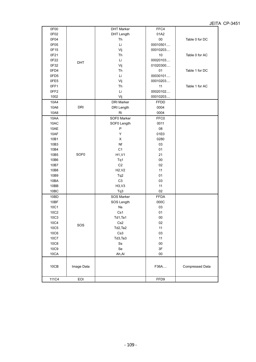| 0F00             |                  | <b>DHT Marker</b> | FFC4          |                 |
|------------------|------------------|-------------------|---------------|-----------------|
| 0F02             |                  | <b>DHT Length</b> | 01A2          |                 |
| 0F04             |                  | Th                | $00\,$        | Table 0 for DC  |
| 0F05             |                  | Li                | 00010501      |                 |
| 0F15             |                  | Vij               | 00010203      |                 |
| 0F21             |                  | Th                | 10            | Table 0 for AC  |
| 0F22             | DHT              | Li                | 00020103      |                 |
| 0F32             |                  | Vij               | 01020300      |                 |
| 0FD4             |                  | Th                | 01            | Table 1 for DC  |
| 0FD5             |                  | Li                | 00030101      |                 |
| 0FE5             |                  | Vij               | 00010203      |                 |
| OFF1             |                  | Th                | 11            | Table 1 for AC  |
| OFF <sub>2</sub> |                  | Li                | 00020102      |                 |
| 1002             |                  | Vij               | 00010203      |                 |
| 10A4             |                  | <b>DRI Marker</b> | <b>FFDD</b>   |                 |
| 10A6             | <b>DRI</b>       | <b>DRI</b> Length | 0004          |                 |
| 10A8             |                  | Ri                | 0004          |                 |
| 10AA             |                  | SOF0 Marker       | FFC0          |                 |
| 10AC             |                  | SOF0 Length       | 0011          |                 |
| 10AE             |                  | P                 | 08            |                 |
| 10AF             |                  | Y                 | 01E0          |                 |
| 10B1             |                  | X                 | 0280          |                 |
| 10B3             |                  | Nf                | 03            |                 |
| 10B4             |                  | C <sub>1</sub>    | 01            |                 |
| 10B5             | SOF <sub>0</sub> | H1, V1            | 21            |                 |
| 10B6             |                  | Tq1               | $00\,$        |                 |
| 10B7             |                  | C <sub>2</sub>    | 02            |                 |
| 10B8             |                  | H2, V2            | 11            |                 |
| 10B9             |                  | Tq2               | 01            |                 |
| 10BA             |                  | C <sub>3</sub>    | 03            |                 |
| 10BB             |                  | H3, V3            | 11            |                 |
| 10BC             |                  | Tq3               | 02            |                 |
| 10BD             |                  | SOS Marker        | <b>FFDA</b>   |                 |
| 10BF             |                  | SOS Length        | 000C          |                 |
| 10C1             |                  | Ns                | 03            |                 |
| 10C2             |                  | Cs1               | 01            |                 |
| 10C3             |                  | Td1,Ta1           | $00\,$        |                 |
| 10C4             | SOS              | Cs <sub>2</sub>   | 02            |                 |
| <b>10C5</b>      |                  | Td2, Ta2          | 11            |                 |
| <b>10C6</b>      |                  | Cs3               | 03            |                 |
| 10C7             |                  | Td3, Ta3          | 11            |                 |
| <b>10C8</b>      |                  | $\rm{S}s$         | $00\,$        |                 |
| 10C9             |                  | Se                | $3\mathsf{F}$ |                 |
| 10CA             |                  | Ah, Al            | $00\,$        |                 |
| 10CB             | Image Data       |                   | F36A          | Compressed Data |
| 111C4            | EOI              |                   | FFD9          |                 |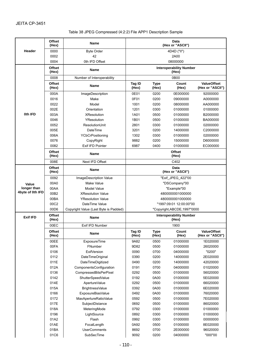#### Table 38 JPEG Compressed (4:2:2) File APP1 Description Sample

|                      | <b>Offset</b><br>(Hex) | <b>Name</b>                           |                   |                      | Data<br>(Hex or "ASCII")                |                                        |  |
|----------------------|------------------------|---------------------------------------|-------------------|----------------------|-----------------------------------------|----------------------------------------|--|
| Header               | 0000                   | <b>Byte Order</b>                     | 4D4D ("II")       |                      |                                         |                                        |  |
|                      | 0002                   | 42                                    | 2A00              |                      |                                         |                                        |  |
|                      | 0004                   | 0th IFD Offset                        |                   |                      | 08000000                                |                                        |  |
|                      | Offset<br>(Hex)        | <b>Name</b>                           |                   |                      | <b>Interoperability Number</b><br>(Hex) |                                        |  |
|                      | 0008                   | Number of Interoperability            |                   |                      | 0B00                                    |                                        |  |
|                      | Offset<br>(Hex)        | <b>Name</b>                           | Tag ID<br>(Hex)   | <b>Type</b><br>(Hex) | Count<br>(Hex)                          | <b>ValueOffset</b><br>(Hex or "ASCII") |  |
|                      | 000A                   | ImageDescription                      | 0E01              | 0200                 | 0E000000                                | 92000000                               |  |
|                      | 0016                   | Make                                  | 0F01              | 0200                 | 09000000                                | A0000000                               |  |
|                      | 0022                   | Model                                 | 1001              | 0200                 | 08000000                                | AA000000                               |  |
|                      | 002E                   | Orientation                           | 1201              | 0300                 | 01000000                                | 01000000                               |  |
| 0th IFD              | 003A                   | <b>XResolution</b>                    | 1A01              | 0500                 | 01000000                                | B2000000                               |  |
|                      | 0046                   | YResolution                           | 1B01              | 0500                 | 01000000                                | BA000000                               |  |
|                      | 0052                   | ResolutionUnit                        | 2801              | 0300                 | 01000000                                | 02000000                               |  |
|                      | 005E                   | DateTime                              | 3201              | 0200                 | 14000000                                | C2000000                               |  |
|                      | 006A                   | YCbCrPositioning                      | 1302              | 0300                 | 01000000                                | 02000000                               |  |
|                      | 0076                   | CopyRight                             | 9882              | 0200                 | 15000000                                | D6000000                               |  |
|                      | 0082                   | Exif IFD Pointer                      | 6987              | 0400                 | 01000000                                | EC000000                               |  |
|                      | Offset<br>(Hex)        | <b>Name</b>                           |                   |                      | <b>Offset</b><br>(Hex)                  |                                        |  |
|                      | 008E                   | Next IFD Offset                       |                   |                      | C402                                    |                                        |  |
|                      | <b>Offset</b><br>(Hex) | <b>Name</b>                           |                   |                      | Data<br>(Hex or "ASCII")                |                                        |  |
|                      | 0092                   | ImageDescription Value                | "Exif_JPEG_422"00 |                      |                                         |                                        |  |
| Value<br>longer than | 00A0                   | Make Value                            | "DSCompany"00     |                      |                                         |                                        |  |
|                      | 00AA                   | <b>Model Value</b>                    | "Example"00       |                      |                                         |                                        |  |
| 4byte of 0th IFD     | 00B2                   | <b>XResolution Value</b>              | 4800000001000000  |                      |                                         |                                        |  |
|                      | 00BA                   | <b>YResolution Value</b>              | 4800000001000000  |                      |                                         |                                        |  |
|                      | 00C2                   | DateTime Value                        |                   |                      | "1997:09:01 12:00:00"00                 |                                        |  |
|                      | 00D6                   | Copyright Value (Last Byte is Padded) |                   |                      | "Copyright,ABCDE,1997"0000              |                                        |  |
| <b>Exif IFD</b>      | <b>Offset</b><br>(Hex) | <b>Name</b>                           |                   |                      | <b>Interoperability Number</b><br>(Hex) |                                        |  |
|                      | 00EC                   | Exif IFD Number                       |                   |                      | 1900                                    |                                        |  |
|                      | Offset<br>(Hex)        | Name                                  | Tag ID<br>(Hex)   | Type<br>(Hex)        | Count<br>(Hex)                          | <b>ValueOffset</b><br>(Hex or "ASCII") |  |
|                      | 00EE                   | <b>ExposureTime</b>                   | 9A82              | 0500                 | 01000000                                | 1E020000                               |  |
|                      | 00FA                   | FNumber                               | 9D82              | 0500                 | 01000000                                | 26020000                               |  |
|                      | 0106                   | <b>ExifVersion</b>                    | 0090              | 0700                 | 04000000                                | "0200"                                 |  |
|                      | 0112                   | DateTimeOriginal                      | 0390              | 0200                 | 14000000                                | 2E020000                               |  |
|                      | 011E                   | DateTimeDigitized                     | 0490              | 0200                 | 14000000                                | 42020000                               |  |
|                      | 012A                   | ComponentsConfiguration               | 0191              | 0700                 | 04000000                                | 01020000                               |  |
|                      | 0136                   | CompressedBitsPerPixel                | 0292              | 0500                 | 01000000                                | 56020000                               |  |
|                      | 0142                   | ShutterSpeedValue                     | 0192              | 0A00                 | 01000000                                | 5E020000                               |  |
|                      | 014E                   | ApertureValue                         | 0292              | 0500                 | 01000000                                | 66020000                               |  |
|                      | 015A                   | BrightnessValue                       | 0392              | 0A00                 | 01000000                                | 6E020000                               |  |
|                      | 0166                   | ExposureBiasValue                     | 0492              | 0A00                 | 01000000                                | 76020000                               |  |
|                      | 0172                   | MaxApertureRatioValue                 | 0592              | 0500                 | 01000000                                | 7E020000                               |  |
|                      | 017E                   | SubjectDistance                       | 0692              | 0500                 | 01000000                                | 86020000                               |  |
|                      | 018A                   | MeteringMode                          | 0792              | 0300                 | 01000000                                | 01000000                               |  |
|                      | 0196                   | LightSource                           | 0892              | 0300                 | 01000000                                | 01000000                               |  |
|                      | 01A2                   | Flash                                 | 0992              | 0300                 | 01000000                                | 00000000                               |  |
|                      |                        |                                       |                   |                      |                                         |                                        |  |
|                      | 01AE                   | FocalLength                           | 0A92              | 0500                 | 01000000                                | 8E020000                               |  |
|                      | 01BA<br>01C6           | <b>UserComments</b><br>SubSecTime     | 8692<br>9092      | 0700<br>0200         | 2E000000<br>04000000                    | 96020000<br>"000"00                    |  |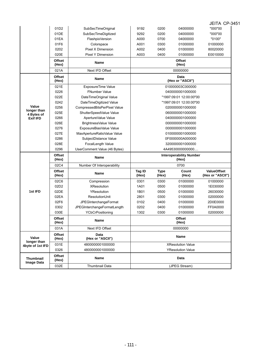| Image Data                      | 032E                   | Thumbnail Data                                          | (JPEG Stream)                        |                      |                                      |                                        |  |
|---------------------------------|------------------------|---------------------------------------------------------|--------------------------------------|----------------------|--------------------------------------|----------------------------------------|--|
| <b>Thumbnail</b>                | <b>Offset</b><br>(Hex) | Name                                                    |                                      |                      | Data                                 |                                        |  |
|                                 | 0326                   | 4800000001000000                                        |                                      |                      | <b>YResolution Value</b>             |                                        |  |
| longer than<br>4byte of 1st IFD | 031E                   | 4800000001000000                                        |                                      |                      | <b>XResolution Value</b>             |                                        |  |
| Value                           | Offset<br>(Hex)        | Data<br>(Hex or "ASCII")                                |                                      |                      | <b>Name</b>                          |                                        |  |
|                                 | 031A                   | Next IFD Offset                                         |                                      |                      | 00000000                             |                                        |  |
|                                 | Offset<br>(Hex)        | <b>Name</b>                                             |                                      |                      | <b>Offset</b><br>(Hex)               |                                        |  |
|                                 | 030E                   | YCbCrPositioning                                        | 1302                                 | 0300                 | 01000000                             | 02000000                               |  |
|                                 | 0302                   | JPEGInterchangeFormatLength                             | 0202                                 | 0400                 | 01000000                             | FF0A0000                               |  |
|                                 | 02F6                   | JPEGInterchangeFormat                                   | 0102                                 | 0400                 | 01000000                             | 2D0E0000                               |  |
|                                 | 02EA                   | ResolutionUnit                                          | 2801                                 | 0300                 | 01000000                             | 02000000                               |  |
| 1st IFD                         | 02DE                   | YResolution                                             | 1B01                                 | 0500                 | 01000000                             | 26030000                               |  |
|                                 | 02D2                   | <b>XResolution</b>                                      | 1A01                                 | 0500                 | 01000000                             | 1E030000                               |  |
|                                 | 02C6                   | Compression                                             | 0301                                 | 0300                 | 01000000                             | 01000000                               |  |
|                                 | <b>Offset</b><br>(Hex) | Name                                                    | <b>Tag ID</b><br>(Hex)               | <b>Type</b><br>(Hex) | Count<br>(Hex)                       | <b>ValueOffset</b><br>(Hex or "ASCII") |  |
|                                 | 02C4                   | Number Of Interoperability                              |                                      |                      | 0700                                 |                                        |  |
|                                 | (Hex)                  | <b>Name</b>                                             |                                      |                      | (Hex)                                |                                        |  |
|                                 | <b>Offset</b>          | UserComment Value (46 Bytes)                            | <b>Interoperability Number</b>       |                      |                                      |                                        |  |
|                                 | 0296                   |                                                         | 3200000001000000<br>4A49530000000000 |                      |                                      |                                        |  |
|                                 | 028E                   | SubjectDistance Value<br>FocalLength Value              |                                      |                      |                                      |                                        |  |
|                                 | 0286                   |                                                         |                                      | 0F0000000A000000     |                                      |                                        |  |
|                                 | 027E                   | ExposureBiasValue Value<br>MaxApertureRatioValue Value  |                                      | 0100000001000000     |                                      |                                        |  |
|                                 | 0276                   |                                                         | 0000000001000000                     |                      |                                      |                                        |  |
| <b>Exif IFD</b>                 | 026E                   | BrightnessValue Value                                   | 0400000001000000<br>0000000001000000 |                      |                                      |                                        |  |
| 4 Bytes of                      | 0266                   | ApertureValue Value                                     |                                      |                      |                                      |                                        |  |
| longer than                     | 025E                   | CompressedBitsPerPixel Value<br>ShutterSpeedValue Value |                                      |                      | 0200000001000000<br>0600000001000000 |                                        |  |
| Value                           | 0242<br>0256           | DateTimeDigitized Value                                 |                                      |                      | "1997:09:01 12:00:00"00              |                                        |  |
|                                 | 022E                   | DateTimeOriginal Value                                  |                                      |                      | "1997:09:01 12:00:00"00              |                                        |  |
|                                 | 0226                   | <b>FNumber Value</b>                                    |                                      |                      | 0400000001000000                     |                                        |  |
|                                 | 021E                   | ExposureTime Value                                      |                                      |                      | 010000003C000000                     |                                        |  |
|                                 | <b>Offset</b><br>(Hex) | Name                                                    |                                      |                      | Data<br>(Hex or "ASCII")             |                                        |  |
|                                 | 021A                   | Next IFD Offset                                         |                                      |                      | 00000000                             |                                        |  |
|                                 | <b>Offset</b><br>(Hex) | <b>Name</b>                                             |                                      |                      | <b>Offset</b><br>(Hex)               |                                        |  |
|                                 | 020E                   | Pixel Y Dimension                                       | A003                                 | 0400                 | 01000000                             | E0010000                               |  |
|                                 | 0202                   | Pixel X Dimension                                       | A002                                 | 0400                 | 01000000                             | 80020000                               |  |
|                                 | 01F6                   | Colorspace                                              | A001                                 | 0300                 | 01000000                             | 01000000                               |  |
|                                 | 01EA                   | FlashpixVersion                                         | A000                                 | 0700                 | 04000000                             | "0100"                                 |  |
|                                 | 01DE                   | SubSecTimeDigitized                                     | 9292                                 | 0200                 | 04000000                             | "000"00                                |  |
|                                 |                        | SubSecTimeOriginal                                      | 9192                                 | 0200                 | 04000000                             | "000"00                                |  |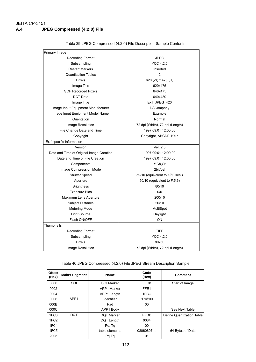| Primary Image                            |                                 |  |  |  |
|------------------------------------------|---------------------------------|--|--|--|
| <b>Recording Format</b>                  | <b>JPEG</b>                     |  |  |  |
| Subsampling                              | YCC 4:2:0                       |  |  |  |
| <b>Restart Markers</b>                   | Inserted                        |  |  |  |
| <b>Quantization Tables</b>               | $\overline{2}$                  |  |  |  |
| <b>Pixels</b>                            | 620 (W) x 475 (H)               |  |  |  |
| Image Title                              | 620x475                         |  |  |  |
| <b>SOF Recorded Pixels</b>               | 640x475                         |  |  |  |
| <b>DCT</b> Data                          | 640x480                         |  |  |  |
| Image Title                              | Exif_JPEG_420                   |  |  |  |
| Image Input Equipment Manufacturer       | <b>DSCompany</b>                |  |  |  |
| Image Input Equipment Model Name         | Example                         |  |  |  |
| Orientation                              | Normal                          |  |  |  |
| Image Resolution                         | 72 dpi (Width), 72 dpi (Length) |  |  |  |
| File Change Date and Time                | 1997:09:01 12:00:00             |  |  |  |
| Copyright                                | Copyright, ABCDE, 1997          |  |  |  |
| Exif-specific Information                |                                 |  |  |  |
| Version                                  | Ver. 2.0                        |  |  |  |
| Date and Time of Original Image Creation | 1997:09:01 12:00:00             |  |  |  |
| Date and Time of File Creation           | 1997:09:01 12:00:00             |  |  |  |
| Components                               | Y,Cb,Cr                         |  |  |  |
| Image Compression Mode                   | 2bit/pel                        |  |  |  |
| <b>Shutter Speed</b>                     | 59/10 (equivalent to 1/60 sec.) |  |  |  |
| Aperture                                 | 50/10 (equivalent to F:5.6)     |  |  |  |
| <b>Brightness</b>                        | 80/10                           |  |  |  |
| <b>Exposure Bias</b>                     | 0/0                             |  |  |  |
| Maximum Lens Aperture                    | 200/10                          |  |  |  |
| Subject Distance                         | 20/10                           |  |  |  |
| <b>Metering Mode</b>                     | MultiSpot                       |  |  |  |
| <b>Light Source</b>                      | Daylight                        |  |  |  |
| Flash ON/OFF                             | ON                              |  |  |  |
| Thumbnails                               |                                 |  |  |  |
| <b>Recording Format</b>                  | <b>TIFF</b>                     |  |  |  |
| Subsampling                              | YCC 4:2:0                       |  |  |  |
| <b>Pixels</b>                            | 80x60                           |  |  |  |
| Image Resolution                         | 72 dpi (Width), 72 dpi (Length) |  |  |  |

Table 39 JPEG Compressed (4:2:0) File Description Sample Contents

#### Table 40 JPEG Compressed (4:2:0) File JPEG Stream Description Sample

| <b>Offset</b><br>(Hex) | <b>Maker Segment</b> | <b>Name</b>       | Code<br>(Hex)    | <b>Comment</b>            |
|------------------------|----------------------|-------------------|------------------|---------------------------|
| 0000                   | SOI                  | SOI Marker        | FFD <sub>8</sub> | Start of Image            |
| 0002                   |                      | APP1 Marker       | FFE1             |                           |
| 0004                   |                      | APP1 Length       | 1FBC             |                           |
| 0006                   | APP1                 | Identifier        | "Exif"00         |                           |
| 000B                   |                      | Pad               | 00               |                           |
| 000C                   |                      | APP1 Body         |                  | See Next Table            |
| 1FC0                   | <b>DQT</b>           | <b>DQT Marker</b> | <b>FFDB</b>      | Define Quantization Table |
| 1FC <sub>2</sub>       |                      | DQT Length        | 0084             |                           |
| 1FC4                   |                      | Pq, Tq            | 00               |                           |
| 1FC <sub>5</sub>       |                      | table elements    | 08060607         | 64 Bytes of Data          |
| 2005                   |                      | Pq, Tq            | 01               |                           |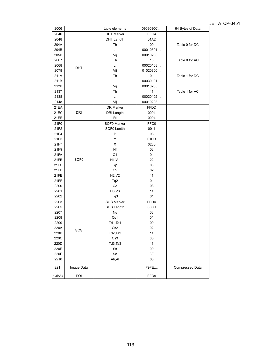| 2006  |                  | table elements        | 0909090C    | 64 Bytes of Data |
|-------|------------------|-----------------------|-------------|------------------|
| 2046  |                  | <b>DHT Marker</b>     | FFC4        |                  |
| 2048  |                  | DHT Length            | 01A2        |                  |
| 204A  |                  | Th                    | 00          | Table 0 for DC   |
| 204B  |                  | Li                    | 00010501    |                  |
| 205B  |                  | Vij                   | 00010203    |                  |
| 2067  |                  | Th                    | 10          | Table 0 for AC   |
| 2068  |                  | Li                    | 00020103    |                  |
| 2078  | <b>DHT</b>       | Vij                   | 01020300    |                  |
| 211A  |                  | Th                    | 01          | Table 1 for DC   |
| 211B  |                  | Li                    | 00030101    |                  |
| 212B  |                  | Vij                   | 00010203    |                  |
| 2137  |                  | Th                    | 11          | Table 1 for AC   |
| 2138  |                  | Li                    | 00020102    |                  |
| 2148  |                  | Vij                   | 00010203    |                  |
| 21EA  |                  | DR Marker             | FFDD        |                  |
| 21EC  | <b>DRI</b>       | <b>DRI</b> Length     | 0004        |                  |
| 21EE  |                  | Ri                    | 0004        |                  |
| 21F0  |                  | SOF0 Marker           | FFC0        |                  |
| 21F2  |                  | SOF0 Lentth           | 0011        |                  |
| 21F4  |                  | $\mathsf{P}$          | 08          |                  |
| 21F5  |                  | Y                     | 01DB        |                  |
| 21F7  |                  | X                     | 0280        |                  |
| 21F9  |                  | Nf                    | 03          |                  |
| 21FA  |                  | C <sub>1</sub>        | 01          |                  |
| 21FB  | SOF <sub>0</sub> | H1, V1                | 22          |                  |
| 21FC  |                  |                       | 00          |                  |
| 21FD  |                  | Tq1<br>C <sub>2</sub> | 02          |                  |
| 21FE  |                  | H2, V2                | 11          |                  |
| 21FF  |                  |                       | 01          |                  |
|       |                  | Tq2                   |             |                  |
| 2200  |                  | C <sub>3</sub>        | 03          |                  |
| 2201  |                  | H3, V3                | 11          |                  |
| 2202  |                  | Tq3                   | 01          |                  |
| 2203  |                  | SOS Marker            | <b>FFDA</b> |                  |
| 2205  |                  | SOS Length            | 000C        |                  |
| 2207  |                  | <b>Ns</b>             | 03          |                  |
| 2208  |                  | Cs1                   | 01          |                  |
| 2209  |                  | Td1,Ta1               | 00          |                  |
| 220A  | SOS              | Cs2                   | 02          |                  |
| 220B  |                  | Td2,Ta2               | 11          |                  |
| 220C  |                  | Cs3                   | 03          |                  |
| 220D  |                  | Td3,Ta3               | 11          |                  |
| 220E  |                  | $\rm{S}s$             | $00\,$      |                  |
| 220F  |                  | Se                    | 3F          |                  |
| 2210  |                  | Ah, Al                | $00\,$      |                  |
| 2211  | Image Data       |                       | F9FE        | Compressed Data  |
| 13BA4 | EOI              |                       | FFD9        |                  |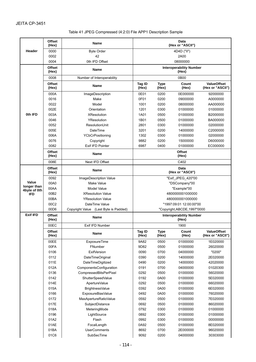| Table 41 JPEG Compressed (4:2:0) File APP1 Description Sample |  |  |
|---------------------------------------------------------------|--|--|
|                                                               |  |  |

|                      | <b>Offset</b><br>(Hex) | Name                                  |                                         |                      | Data<br>(Hex or "ASCII")                |                                        |  |
|----------------------|------------------------|---------------------------------------|-----------------------------------------|----------------------|-----------------------------------------|----------------------------------------|--|
| Header               | 0000                   | <b>Byte Order</b>                     |                                         |                      | 4D4D ("II")                             |                                        |  |
|                      | 0002                   | 42                                    | 2A00                                    |                      |                                         |                                        |  |
|                      | 0004                   | 0th IFD Offset                        |                                         |                      | 08000000                                |                                        |  |
|                      | <b>Offset</b><br>(Hex) | <b>Name</b>                           | <b>Interoperability Number</b><br>(Hex) |                      |                                         |                                        |  |
|                      | 0008                   | Number of Interoperability            |                                         |                      | 0B00                                    |                                        |  |
|                      | <b>Offset</b><br>(Hex) | Name                                  | Tag ID<br>(Hex)                         | <b>Type</b><br>(Hex) | Count<br>(Hex)                          | <b>ValueOffset</b><br>(Hex or "ASCII") |  |
|                      | 000A                   | ImageDescription                      | 0E01                                    | 0200                 | 0E000000                                | 92000000                               |  |
|                      | 0016                   | Make                                  | 0F01                                    | 0200                 | 09000000                                | A0000000                               |  |
|                      | 0022                   | Model                                 | 1001                                    | 0200                 | 08000000                                | AA000000                               |  |
|                      | 002E                   | Orientation                           | 1201                                    | 0300                 | 01000000                                | 01000000                               |  |
| 0th IFD              | 003A                   | <b>XResolution</b>                    | 1A01                                    | 0500                 | 01000000                                | B2000000                               |  |
|                      | 0046                   | YResolution                           | 1B01                                    | 0500                 | 01000000                                | BA000000                               |  |
|                      | 0052                   | ResolutionUnit                        | 2801                                    | 0300                 | 01000000                                | 02000000                               |  |
|                      | 005E                   | <b>DateTime</b>                       | 3201                                    | 0200                 | 14000000                                | C2000000                               |  |
|                      | 006A                   | YCbCrPositioning                      | 1302                                    | 0300                 | 01000000                                | 02000000                               |  |
|                      | 0076                   | Copyright                             | 9882                                    | 0200                 | 15000000                                | D6000000                               |  |
|                      | 0082                   | Exif IFD Pointer                      | 6987                                    | 0400                 | 01000000                                | EC000000                               |  |
|                      | <b>Offset</b><br>(Hex) | Name                                  | <b>Offset</b><br>(Hex)                  |                      |                                         |                                        |  |
|                      | 008E                   | Next IFD Offset                       | C402                                    |                      |                                         |                                        |  |
|                      | <b>Offset</b><br>(Hex) | <b>Name</b>                           |                                         |                      | Data<br>(Hex or "ASCII")                |                                        |  |
|                      | 0092                   | ImageDescription Value                |                                         |                      | "Exif_JPEG_420"00                       |                                        |  |
| Value<br>longer than | 00A0                   | Make Value                            |                                         |                      | "DSCompany"00                           |                                        |  |
| 4byte of 0th         | 00AA                   | Model Value                           |                                         |                      | "Example"00                             |                                        |  |
| <b>IFD</b>           | 00B2                   | <b>XResolution Value</b>              |                                         |                      | 4800000001000000                        |                                        |  |
|                      | 00BA                   | <b>YResolution Value</b>              |                                         |                      | 4800000001000000                        |                                        |  |
|                      | 00C2                   | DateTime Value                        |                                         |                      | "1997:09:01 12:00:00"00                 |                                        |  |
|                      | 00D6                   | Copyright Value (Last Byte is Padded) |                                         |                      | "Copyright, ABCDE, 1997"0000            |                                        |  |
| <b>Exif IFD</b>      | <b>Offset</b><br>(Hex) | <b>Name</b>                           |                                         |                      | <b>Interoperability Number</b><br>(Hex) |                                        |  |
|                      | 00EC                   | Exif IFD Number                       | 1900                                    |                      |                                         |                                        |  |
|                      | Offset<br>(Hex)        | Name                                  | Tag ID<br>(Hex)                         | <b>Type</b><br>(Hex) | Count<br>(Hex)                          | <b>ValueOffset</b><br>(Hex or "ASCII") |  |
|                      | 00EE                   | <b>ExposureTime</b>                   |                                         | 0500                 | 01000000                                | 1E020000                               |  |
|                      | 00FA                   | FNumber                               | 9D82                                    | 0500                 | 01000000                                | 26020000                               |  |
|                      | 0106                   | <b>ExifVersion</b>                    | 0090                                    | 0700                 | 04000000                                | "0200"                                 |  |
|                      | 0112                   | DateTimeOriginal                      | 0390                                    | 0200                 | 14000000                                | 2E020000                               |  |
|                      | 011E                   | DateTimeDigitized                     | 0490                                    | 0200                 | 14000000                                | 42020000                               |  |
|                      | 012A                   | ComponentsConfiguration               | 0191                                    | 0700                 | 04000000                                | 01020300                               |  |
|                      | 0136                   | CompressedBitsPerPixel                | 0292                                    | 0500                 | 01000000                                | 56020000                               |  |
|                      | 0142                   | ShutterSpeedValue                     | 0192                                    | 0A00                 | 01000000                                | 5E020000                               |  |
|                      | 014E                   | ApertureValue                         | 0292                                    | 0500                 | 01000000                                | 66020000                               |  |
|                      | 015A                   | BrightnessValue                       | 0392                                    | 0A00                 | 01000000                                | 6E020000                               |  |
|                      | 0166                   | ExposureBiasValue                     | 0492                                    | 0A00                 | 01000000                                | 76020000                               |  |
|                      | 0172                   | MaxApertureRatioValue                 | 0592                                    | 0500                 | 01000000                                | 7E020000                               |  |
|                      | 017E                   | SubjectDistance                       | 0692                                    | 0500                 | 01000000                                | 86020000                               |  |
|                      | 018A                   | MeteringMode                          | 0792                                    | 0300                 | 01000000                                | 01000000                               |  |
|                      | 0196                   | LightSource                           | 0892                                    | 0300                 | 01000000                                | 01000000                               |  |
|                      | 01A2                   | Flash                                 | 0992                                    | 0300                 | 01000000                                | 00000000                               |  |
|                      | 01AE                   | FocalLength                           | 0A92                                    | 0500                 | 01000000                                | 8E020000                               |  |
|                      | 01BA                   | <b>UserComments</b>                   | 8692                                    | 0700                 | 2E000000                                | 96020000                               |  |
|                      | 01C6<br>SubSecTime     |                                       | 9092                                    | 0200                 | 04000000                                | 30303000                               |  |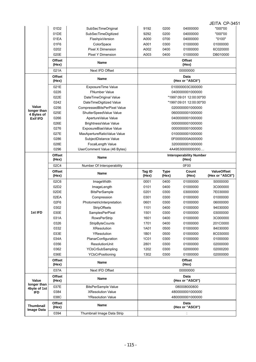|                                |                                                                  |                              |                                         |                  |                          | JEITA CP-3451      |
|--------------------------------|------------------------------------------------------------------|------------------------------|-----------------------------------------|------------------|--------------------------|--------------------|
|                                | 01D <sub>2</sub>                                                 | SubSecTimeOriginal           | 9192                                    | 0200             | 04000000                 | "000"00            |
|                                | 01DE                                                             | SubSecTimeDigitized          | 9292                                    | 0200             | 04000000                 | "000"00            |
|                                | 01EA                                                             | FlashpixVersion              | A000                                    | 0700             | 04000000                 | "0100"             |
|                                | 01F6                                                             | ColorSpace                   | A001                                    | 0300             | 01000000                 | 01000000           |
|                                | 0202                                                             | Pixel X Dimension            | A002                                    | 0400             | 01000000                 | 6C020000           |
|                                | 020E                                                             | <b>Pixel Y Dimension</b>     | A003                                    | 0400             | 01000000                 | DB010000           |
|                                | <b>Offset</b><br><b>Name</b><br>(Hex)<br>Next IFD Offset<br>021A |                              |                                         |                  | <b>Offset</b><br>(Hex)   |                    |
|                                |                                                                  |                              |                                         |                  | 00000000                 |                    |
|                                | <b>Offset</b><br>(Hex)                                           | <b>Name</b>                  |                                         |                  | Data<br>(Hex or "ASCII") |                    |
|                                | 021E                                                             | ExposureTime Value           |                                         | 010000003C000000 |                          |                    |
|                                | 0226                                                             | <b>FNumber Value</b>         |                                         |                  | 0400000001000000         |                    |
|                                | 022E                                                             | DateTimeOriginal Value       |                                         |                  | "1997:09:01 12:00:00"00  |                    |
|                                | 0242                                                             | DateTimeDigitized Value      |                                         |                  | "1997:09:01 12:00:00"00  |                    |
| Value                          | 0256                                                             | CompressedBitsPerPixel Value |                                         |                  | 0200000001000000         |                    |
| longer than<br>4 Bytes of      | 025E                                                             | ShutterSpeedValue Value      |                                         |                  | 0600000001000000         |                    |
| <b>Exif IFD</b>                | 0266                                                             | ApertureValue Value          |                                         |                  | 0400000001000000         |                    |
|                                | 026E                                                             | BrightnessValue Value        |                                         |                  | 0000000001000000         |                    |
|                                | 0276                                                             | ExposureBiasValue Value      | 0000000001000000                        |                  |                          |                    |
|                                | 027E                                                             | MaxApertureRatioValue Value  | 0100000001000000                        |                  |                          |                    |
|                                | 0286                                                             | SubjectDistance Value        | 0F0000000A000000                        |                  |                          |                    |
|                                | 028E                                                             | FocalLength Value            | 3200000001000000                        |                  |                          |                    |
|                                | 0296                                                             | UserComment Value (46 Bytes) | 4A49530000000000                        |                  |                          |                    |
|                                | <b>Offset</b><br>(Hex)                                           | <b>Name</b>                  | <b>Interoperability Number</b><br>(Hex) |                  |                          |                    |
|                                | 02C4                                                             | Number Of Interoperability   |                                         |                  | 0F00                     |                    |
|                                | <b>Offset</b>                                                    | <b>Name</b>                  | Tag ID                                  | <b>Type</b>      | Count                    | <b>ValueOffset</b> |
|                                | (Hex)                                                            |                              | (Hex)                                   | (Hex)            | (Hex)                    | (Hex or "ASCII")   |
|                                | 02C6                                                             | ImageWidth                   | 0001                                    | 0400             | 01000000                 | 50000000           |
|                                | 02D2                                                             | ImageLength                  | 0101                                    | 0400             | 01000000                 | 3C000000           |
|                                | 02DE                                                             | <b>BitsPerSample</b>         | 0201                                    | 0300             | 03000000                 | 7E030000           |
|                                | 02EA                                                             | Compression                  | 0301                                    | 0300             | 01000000                 | 01000000           |
|                                | 02F6                                                             | PhotometricInterpretation    | 0601                                    | 0300             | 01000000                 | 06000000           |
|                                | 0302                                                             | StripOffsets                 | 1101                                    | 0400             | 01000000                 | 94030000           |
| 1st IFD                        | 030E                                                             | SamplesPerPixel              | 1501                                    | 0300             | 01000000                 | 03000000           |
|                                | 031A                                                             | <b>RowsPerStrip</b>          | 1601                                    | 0400             | 01000000                 | 3C000000           |
|                                | 0326                                                             | <b>StripByteCounts</b>       | 1701                                    | 0400             | 01000000                 | 201C0000           |
|                                | 0332                                                             | <b>XResolution</b>           | 1A01                                    | 0500             | 01000000                 | 84030000           |
|                                | 033E                                                             | YResolution                  | 1B01                                    | 0500             | 01000000                 | 8C030000           |
|                                | 034A                                                             | PlanarConfiguration          | 1C01                                    | 0300             | 01000000                 | 01000000           |
|                                | 0356                                                             | ResolutionUnit               | 2801                                    | 0300             | 01000000                 | 02000000           |
|                                | 0362                                                             | YCbCrSubSampling             | 1202                                    | 0300             | 02000000                 | 02000200           |
|                                | 036E                                                             | <b>YCbCrPositioning</b>      | 1302                                    | 0300             | 01000000                 | 02000000           |
|                                | <b>Offset</b><br>(Hex)                                           | <b>Name</b>                  |                                         |                  | Offset<br>(Hex)          |                    |
|                                | 037A                                                             | Next IFD Offset              |                                         |                  | 00000000                 |                    |
| Value                          | Offset<br>(Hex)                                                  | Name                         |                                         |                  | Data<br>(Hex or "ASCII") |                    |
| longer than                    | 037E                                                             | <b>BitsPerSample Value</b>   |                                         |                  | 080008000800             |                    |
| 4byte of 1st<br><b>IFD</b>     | 0384                                                             | <b>XResolution Value</b>     |                                         |                  | 4800000001000000         |                    |
|                                | 038C                                                             | <b>YResolution Value</b>     |                                         |                  | 4800000001000000         |                    |
| Thumbnail<br><b>Image Data</b> | Offset<br>(Hex)                                                  | Name                         |                                         |                  | Data<br>(Hex or "ASCII") |                    |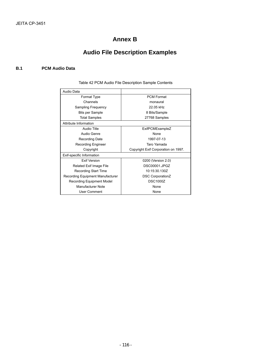### **Annex B**

# **Audio File Description Examples**

#### **B.1 PCM Audio Data**

| Audio Data                              |                                     |
|-----------------------------------------|-------------------------------------|
| Format Type                             | <b>PCM Format</b>                   |
| Channels                                | monaural                            |
| Sampling Frequency                      | 22.05 kHz                           |
| Bits per Sample                         | 8 Bits/Sample                       |
| <b>Total Samples</b>                    | 27768 Samples                       |
| Attribute Information                   |                                     |
| Audio Title                             | ExifPCMExampleZ                     |
| Audio Genre                             | None                                |
| <b>Recording Date</b>                   | 1997-07-13                          |
| <b>Recording Engineer</b>               | Taro Yamada                         |
| Copyright                               | Copyright Exif Corporation on 1997. |
| Exif-specific Information               |                                     |
| <b>Fxif Version</b>                     | 0200 (Version 2.0)                  |
| Related Exif Image File                 | DSC00001.JPGZ                       |
| Recording Start Time                    | 10:15:30.130Z                       |
| <b>Recording Equipment Manufacturer</b> | <b>DSC CorporationZ</b>             |
| Recording Equipment Model               | <b>DSC1000Z</b>                     |
| Manufacturer Note                       | None                                |
| User Comment                            | None                                |

Table 42 PCM Audio File Description Sample Contents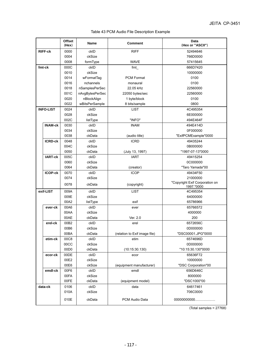|  | Table 43 PCM Audio File Description Example |  |
|--|---------------------------------------------|--|
|  |                                             |  |

|                  | <b>Offset</b><br>(Hex) | Name            | <b>Comment</b>                | <b>Data</b><br>(Hex or "ASCII")              |
|------------------|------------------------|-----------------|-------------------------------|----------------------------------------------|
| <b>RIFF-ck</b>   | 0000                   | ckID            | <b>RIFF</b>                   | 52494646                                     |
|                  | 0004                   | ckSize          |                               | 766D0000                                     |
|                  | 0008                   | formType        | <b>WAVE</b>                   | 57415645                                     |
| fmt-ck           | 000C                   | ckID            | fmt                           | 666D7420                                     |
|                  | 0010                   | ckSize          |                               | 10000000                                     |
|                  | 0014                   | wFormatTag      | <b>PCM Format</b>             | 0100                                         |
|                  | 0016                   | nchannels       | monaural                      | 0100                                         |
|                  | 0018                   | nSamplesPerSec  | 22.05 kHz                     | 22560000                                     |
|                  | 001C                   | nAvgBytesPerSec | 22050 bytes/sec               | 22560000                                     |
|                  | 0020                   | nBlockAlign     | 1 byte/block                  | 0100                                         |
|                  | 0022                   | wBitsPerSample  | 8 bits/sample                 | 0800                                         |
| <b>INFO-LIST</b> | 0024                   | ckID            | <b>LIST</b>                   | 4C495354                                     |
|                  | 0028                   | ckSize          |                               | 6E000000                                     |
|                  | 002C                   | listType        | "INFO"                        | 494E464F                                     |
| <b>INAM-ck</b>   | 0030                   | ckID            | <b>INAM</b>                   | 494E414D                                     |
|                  | 0034                   | ckSize          |                               | 0F000000                                     |
|                  | 0038                   | ckData          | (audio title)                 | "ExifPCMExample"0000                         |
| <b>ICRD-ck</b>   | 0048                   | ckID            | <b>ICRD</b>                   | 49435244                                     |
|                  | 004C                   | ckSize          |                               | 0B000000                                     |
|                  | 0050                   | ckData          | (July 13, 1997)               | "1997-07-13"0000                             |
| <b>IART-ck</b>   | 005C                   | ckID            | <b>IART</b>                   | 49415254                                     |
|                  | 0060                   | ckSize          |                               | 0C000000                                     |
|                  | 0064                   | ckData          | (creator)                     | "Taro Yamada"00                              |
| <b>ICOP-ck</b>   | 0070                   | ckID            | <b>ICOP</b>                   | 49434F50                                     |
|                  | 0074                   | ckSize          |                               | 21000000                                     |
|                  | 0078                   | ckData          | (copyright)                   | "Copyright Exif Corporation on<br>1997."0000 |
| exif-LIST        | 009A                   | ckID            | <b>LIST</b>                   | 4C495354                                     |
|                  | 009E                   | ckSize          |                               | 64000000                                     |
|                  | 00A2                   | listType        | exif                          | 65786966                                     |
| ever-ck          | 00A6                   | ckID            | ever                          | 65766572                                     |
|                  | 00AA                   | ckSize          |                               | 4000000                                      |
|                  | 00AE                   | ckData          | Ver. 2.0                      | 200                                          |
| erel-ck          | 00B2                   | ckID            | erel                          | 6572656C                                     |
|                  | 00B6                   | ckSize          |                               | 0D000000                                     |
|                  | 00BA                   | ckData          | (relation to Exif image file) | "DSC00001.JPG"0000                           |
| etim-ck          | 00C8                   | ckID            | etim                          | 6574696D                                     |
|                  | 00CC                   | ckSize          |                               | 0D000000                                     |
|                  | 00D <sub>0</sub>       | ckData          | (10:15:30.130)                | "10:15:30.130"0000                           |
| ecor-ck          | 00DE                   | ckID            | ecor                          | 65636F72                                     |
|                  | 00E2                   | ckSize          |                               | 10000000                                     |
|                  | 00E6                   | ckSize          | (equipment manufacturer)      | "DSC Corporation"00                          |
| emdl-ck          | 00F6                   | ckID            | emdl                          | 656D646C                                     |
|                  | 00FA                   | ckSize          |                               | 8000000                                      |
|                  | 00FE                   | ckData          | (equipment model)             | "DSC1000"00                                  |
| data-ck          | 0106                   | ckID            | data                          | 64617461                                     |
|                  | 010A                   | ckSize          |                               | 706C0000                                     |
|                  | 010E                   | ckData          | PCM Audio Data                | 00000000000                                  |

(Total samples = 27768)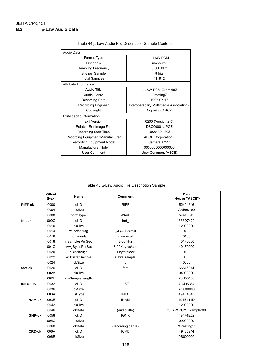| Audio Data                       |                                          |
|----------------------------------|------------------------------------------|
| Format Type                      | μ-LAW PCM                                |
| Channels                         | monaural                                 |
| Sampling Frequency               | 8.000 kHz                                |
| Bits per Sample                  | 8 bits                                   |
| <b>Total Samples</b>             | 111912                                   |
| Attribute Information            |                                          |
| Audio Title                      | μ-LAW PCM ExampleZ                       |
| Audio Genre                      | GreetingZ                                |
| Recording Date                   | 1997-07-17                               |
| <b>Recording Engineer</b>        | Interoperability Multimedia AssociationZ |
| Copyright                        | Copyright ABCZ                           |
| Exif-specific Information        |                                          |
| <b>Fxif Version</b>              | 0200 (Version 2.0)                       |
| Related Exif Image File          | DSC00001.JPGZ                            |
| Recording Start Time             | 10:20:30.130Z                            |
| Recording Equipment Manufacturer | <b>ABCD CorporationZ</b>                 |
| <b>Recording Equipment Model</b> | Camera XYZZ                              |
| Manufacturer Note                | 000000000000000                          |
| User Comment                     | User Comment (ASCII)                     |

Table 44 µ-Law Audio File Description Sample Contents

Table 45 µ-Law Audio File Description Sample

|                  | <b>Offset</b><br>(Hex) | <b>Name</b>     | <b>Comment</b>    | Data<br>(Hex or "ASCII") |
|------------------|------------------------|-----------------|-------------------|--------------------------|
| <b>RIFF-ck</b>   | 0000                   | ckID            | <b>RIFF</b>       | 52494646                 |
|                  | 0004                   | ckSize          |                   | AAB60100                 |
|                  | 0008                   | formType        | <b>WAVE</b>       | 57415645                 |
| fmt-ck           | 000C                   | ckID            | fmt               | 666D7420                 |
|                  | 0010                   | ckSize          |                   | 12000000                 |
|                  | 0014                   | wFormatTag      | µ-Law Format      | 0700                     |
|                  | 0016                   | nchannels       | monaural          | 0100                     |
|                  | 0018                   | nSamplesPerSec  | 8.00 kHz          | 401F0000                 |
|                  | 001C                   | nAvgBytesPerSec | 8.00Kbytes/sec    | 401F0000                 |
|                  | 0020                   | nBlockAlign     | 1 byte/block      | 0100                     |
|                  | 0022                   | wBitsPerSample  | 8 bits/sample     | 0800                     |
|                  | 0024                   | cbSize          | 0                 | 0000                     |
| fact-ck          | 0026                   | ckID            | fact              | 66616374                 |
|                  | 002A                   | ckSize          |                   | 04000000                 |
|                  | 002E                   | dwSampleLength  |                   | 28B50100                 |
| <b>INFO-LIST</b> | 0032                   | ckID            | <b>LIST</b>       | 4C495354                 |
|                  | 0036                   | ckSize          |                   | AC000000                 |
|                  | 003A                   | listType        | <b>INFO</b>       | 494E464F                 |
| <b>INAM-ck</b>   | 003E                   | ckID            | <b>INAM</b>       | 494E414D                 |
|                  | 0042                   | ckSize          |                   | 12000000                 |
|                  | 0046                   | ckData          | (audio title)     | "uLAW PCM Example"00     |
| <b>IGNR-ck</b>   | 0058                   | ckID            | <b>IGNR</b>       | 49474E52                 |
|                  | 005C                   | ckSize          |                   | 09000000                 |
|                  | 0060                   | ckData          | (recording genre) | "Greeting"Z              |
| <b>ICRD-ck</b>   | 006A                   | ckID            | <b>ICRD</b>       | 49435244                 |
|                  | 006E                   | ckSize          |                   | 0B000000                 |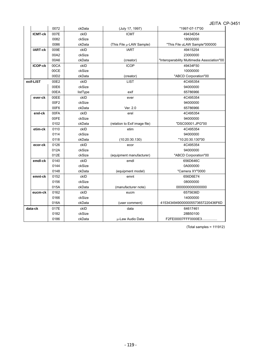|                | 0072 | ckData   | (July 17, 1997)               | "1997-07-17"00                              |
|----------------|------|----------|-------------------------------|---------------------------------------------|
| <b>ICMT-ck</b> | 007E | ckID     | <b>ICMT</b>                   | 49434D54                                    |
|                | 0082 | ckSize   |                               | 18000000                                    |
|                | 0086 | ckData   | (This File µ-LAW Sample)      | "This File uLAW Sample"000000               |
| <b>IART-ck</b> | 009E | ckID     | <b>IART</b>                   | 49415254                                    |
|                | 00A2 | ckSize   |                               | 23000000                                    |
|                | 00A6 | ckData   | (creator)                     | "Interoperability Multimedia Association"00 |
| <b>ICOP-ck</b> | 00CA | ckID     | <b>ICOP</b>                   | 49434F50                                    |
|                | 00CE | ckSize   |                               | 10000000                                    |
|                | 00D2 | ckData   | (creator)                     | "ABCD Corporation"00                        |
| exif-LIST      | 00E2 | ckID     | <b>LIST</b>                   | 4C495354                                    |
|                | 00E6 | ckSize   |                               | 94000000                                    |
|                | 00EA | listType | exif                          | 65786966                                    |
| ever-ck        | 00EE | ckID     | ever                          | 4C495354                                    |
|                | 00F2 | ckSize   |                               | 94000000                                    |
|                | 00F6 | ckData   | Ver. 2.0                      | 65786966                                    |
| erel-ck        | 00FA | ckID     | erel                          | 4C495354                                    |
|                | 00FE | ckSize   |                               | 94000000                                    |
|                | 0102 | ckData   | (relation to Exif image file) | "DSC00001.JPG"00                            |
| etim-ck        | 0110 | ckID     | etim                          | 4C495354                                    |
|                | 0114 | ckSize   |                               | 94000000                                    |
|                | 0118 | ckData   | (10:20:30.130)                | "10:20:30.130"00                            |
| ecor-ck        | 0126 | ckID     | ecor                          | 4C495354                                    |
|                | 012A | ckSize   |                               | 94000000                                    |
|                | 012E | ckSize   | (equipment manufacturer)      | "ABCD Corporation"00                        |
| emdl-ck        | 0140 | ckID     | emdl                          | 656D646C                                    |
|                | 0144 | ckSize   |                               | 0A000000                                    |
|                | 0148 | ckData   | (equipment model)             | "Camera XY"0000                             |
| emnt-ck        | 0152 | ckID     | emnt                          | 656D6E74                                    |
|                | 0156 | ckSize   |                               | 08000000                                    |
|                | 015A | ckData   | (manufacturer note)           | 000000000000000                             |
| eucm-ck        | 0162 | ckID     | eucm                          | 6575636D                                    |
|                | 0166 | ckSize   |                               | 14000000                                    |
|                | 016A | ckData   | (user comment)                | 41534349490000005573657220436F6D            |
| data-ck        | 017E | ckID     | data                          | 64617461                                    |
|                | 0182 | ckSize   |                               | 28B50100                                    |
|                | 0186 | ckData   | u-Law Audio Data              | F2FE00007FFF0000E3                          |

(Total samples = 111912)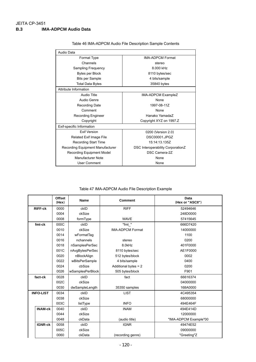| Audio Data                       |                                   |
|----------------------------------|-----------------------------------|
| Format Type                      | <b>IMA-ADPCM Format</b>           |
| Channels                         | stereo                            |
| Sampling Frequency               | 8.000 kHz                         |
| Bytes per Block                  | 8110 bytes/sec                    |
| <b>Bits per Sample</b>           | 4 bits/sample                     |
| Total Data Bytes                 | 35840 bytes                       |
| Attribute Information            |                                   |
| Audio Title                      | IMA-ADPCM ExampleZ                |
| Audio Genre                      | <b>None</b>                       |
| Recording Date                   | 1997-08-11Z                       |
| Comment                          | None                              |
| <b>Recording Engineer</b>        | Hanako YamadaZ                    |
| Copyright                        | Copyright XYZ on 1997.Z           |
| Exif-specific Information        |                                   |
| <b>Fxif Version</b>              | 0200 (Version 2.0)                |
| Related Exif Image File          | DSC00001.JPGZ                     |
| <b>Recording Start Time</b>      | 15:14:13.135Z                     |
| Recording Equipment Manufacturer | DSC Interoperability CorporationZ |
| Recording Equipment Model        | DSC Camera-2Z                     |
| Manufacturer Note                | None                              |
| User Comment                     | None                              |

Table 46 IMA-ADPCM Audio File Description Sample Contents

Table 47 IMA-ADPCM Audio File Description Example

|                  | <b>Offset</b><br>(Hex) | <b>Name</b>      | <b>Comment</b>          | Data<br>(Hex or "ASCII") |
|------------------|------------------------|------------------|-------------------------|--------------------------|
| <b>RIFF-ck</b>   | 0000                   | ckID             | <b>RIFF</b>             | 52494646                 |
|                  | 0004                   | ckSize           |                         | 248D0000                 |
|                  | 0008                   | formType         | <b>WAVE</b>             | 57415645                 |
| fmt-ck           | 000C                   | ckID             | "fmt "                  | 666D7420                 |
|                  | 0010                   | ckSize           | <b>IMA-ADPCM Format</b> | 14000000                 |
|                  | 0014                   | wFormatTag       |                         | 1100                     |
|                  | 0016                   | nchannels        | stereo                  | 0200                     |
|                  | 0018                   | nSamplesPerSec   | 8.0kHz                  | 401F0000                 |
|                  | 001C                   | nAvgBytesPerSec  | 8110 bytes/sec          | AE1F0000                 |
|                  | 0020                   | nBlockAlign      | 512 bytes/block         | 0002                     |
|                  | 0022                   | wBitsPerSample   | 4 bits/sample           | 0400                     |
|                  | 0024                   | cbSize           | Additional bytes = 2    | 0200                     |
|                  | 0026                   | wSamplesPerBlock | 505 bytes/block         | F901                     |
| fact-ck          | 0028                   | ckID             | fact                    | 66616374                 |
|                  | 002C                   | ckSize           |                         | 04000000                 |
|                  | 0030                   | dwSampleLength   | 35350 samples           | 168A0000                 |
| <b>INFO-LIST</b> | 0034                   | ckID             | <b>LIST</b>             | 4C495354                 |
|                  | 0038                   | ckSize           |                         | 68000000                 |
|                  | 003C                   | listType         | <b>INFO</b>             | 494E464F                 |
| <b>INAM-ck</b>   | 0040                   | ckID             | <b>INAM</b>             | 494E414D                 |
|                  | 0044                   | ckSize           |                         | 12000000                 |
|                  | 0048                   | ckData           | (audio title)           | "IMA-ADPCM Example"00    |
| <b>IGNR-ck</b>   | 0058                   | ckID             | <b>IGNR</b>             | 49474E52                 |
|                  | 005C                   | ckSize           |                         | 09000000                 |
|                  | 0060                   | ckData           | (recording genre)       | "Greeting"Z              |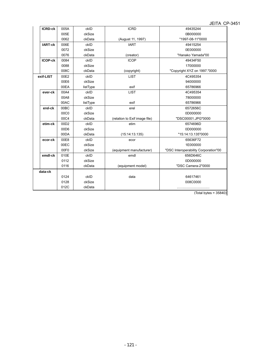|                |      |          |                               | JEIIA U                              |
|----------------|------|----------|-------------------------------|--------------------------------------|
| <b>ICRD-ck</b> | 005A | ckID     | <b>ICRD</b>                   | 49435244                             |
|                | 005E | ckSize   |                               | 0B000000                             |
|                | 0062 | ckData   | (August 11, 1997)             | "1997-08-11"0000                     |
| <b>IART-ck</b> | 006E | ckID     | <b>IART</b>                   | 49415254                             |
|                | 0072 | ckSize   |                               | 0E000000                             |
|                | 0076 | ckData   | (creator)                     | "Hanako Yamada"00                    |
| <b>ICOP-ck</b> | 0084 | ckID     | <b>ICOP</b>                   | 49434F50                             |
|                | 0088 | ckSize   |                               | 17000000                             |
|                | 008C | ckData   | (copyright)                   | "Copyright XYZ on 1997."0000         |
| exif-LIST      | 00E2 | ckID     | <b>LIST</b>                   | 4C495354                             |
|                | 00E6 | ckSize   |                               | 94000000                             |
|                | 00EA | listType | exif                          | 65786966                             |
| ever-ck        | 00A4 | ckID     | <b>LIST</b>                   | 4C495354                             |
|                | 00A8 | ckSize   |                               | 78000000                             |
|                | 00AC | listType | exif                          | 65786966                             |
| erel-ck        | 00BC | ckID     | erel                          | 6572656C                             |
|                | 00C0 | ckSize   |                               | 0D000000                             |
|                | 00C4 | ckData   | (relation to Exif image file) | "DSC00001.JPG"0000                   |
| etim-ck        | 00D2 | ckID     | etim                          | 6574696D                             |
|                | 00D6 | ckSize   |                               | 0D000000                             |
|                | 00DA | ckData   | (15:14:13.135)                | "15:14:13.135"0000                   |
| ecor-ck        | 00E8 | ckID     | ecor                          | 65636F72                             |
|                | 00EC | ckSize   |                               | 1E000000                             |
|                | 00F0 | ckSize   | (equipment manufacturer)      | "DSC Interoperability Corporation"00 |
| emdl-ck        | 010E | ckID     | emdl                          | 656D646C                             |
|                | 0112 | ckSize   |                               | 0D000000                             |
|                | 0116 | ckData   | (equipment model)             | "DSC Camera-2"0000                   |
| data-ck        |      |          |                               |                                      |
|                | 0124 | ckID     | data                          | 64617461                             |
|                | 0128 | ckSize   |                               | 008C0000                             |
|                | 012C | ckData   |                               |                                      |

(Total bytes = 35840)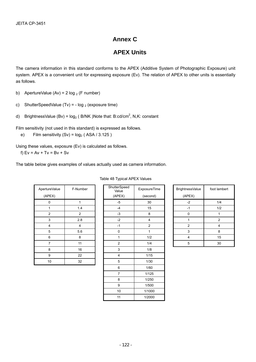### **Annex C**

## **APEX Units**

The camera information in this standard conforms to the APEX (Additive System of Photographic Exposure) unit system. APEX is a convenient unit for expressing exposure (Ev). The relation of APEX to other units is essentially as follows.

- b) ApertureValue (Av) =  $2 \log_2(F \text{ number})$
- c) ShutterSpeedValue (Tv) =  $log_2$  (exposure time)
- d) BrightnessValue (Bv) =  $log_2$  (B/NK)Note that: B:cd/cm<sup>2</sup>, N,K: constant

Film sensitivity (not used in this standard) is expressed as follows.

e) Film sensitivity  $(Sv) = log<sub>2</sub> (ASA / 3.125)$ 

Using these values, exposure (Ev) is calculated as follows.

f)  $Ev = Av + Tv = Bv + Sv$ 

The table below gives examples of values actually used as camera information.

| ApertureValue<br>(APEX) | F-Number | ShutterSpeed<br>Value<br>(APEX) |
|-------------------------|----------|---------------------------------|
| 0                       | 1        | $-5$                            |
| 1                       | 1.4      | $-4$                            |
| $\overline{2}$          | 2        | $-3$                            |
| 3                       | 2.8      | $-2$                            |
| 4                       | 4        | $-1$                            |
| 5                       | 5.6      | 0                               |
| 6                       | 8        | 1                               |
| 7                       | 11       | 2                               |
| 8                       | 16       | 3                               |
| 9                       | 22       | 4                               |
| 10                      | 32       | 5                               |

| ertureValue               | F-Number       | ShutterSpeed<br>Value | ExposureTime            | <b>BrightnessValue</b>  | foot lam       |
|---------------------------|----------------|-----------------------|-------------------------|-------------------------|----------------|
| (APEX)                    |                | (APEX)                | (second)                | (APEX)                  |                |
| $\pmb{0}$                 | $\mathbf{1}$   | $-5$                  | 30                      | $-2$                    | 1/4            |
| 1                         | 1.4            | $-4$                  | 15                      | $-1$                    | 1/2            |
| $\overline{c}$            | $\overline{2}$ | $-3$                  | 8                       | $\pmb{0}$               | $\mathbf{1}$   |
| $\ensuremath{\mathsf{3}}$ | 2.8            | $-2$                  | $\overline{\mathbf{4}}$ | 1                       | $\overline{c}$ |
| 4                         | 4              | $-1$                  | $\overline{c}$          | $\overline{c}$          | 4              |
| $\,$ 5 $\,$               | 5.6            | $\pmb{0}$             | 1                       | $\mathbf{3}$            | 8              |
| 6                         | 8              | 1                     | 1/2                     | $\overline{\mathbf{4}}$ | 15             |
| $\overline{7}$            | 11             | $\overline{c}$        | 1/4                     | $\mathbf 5$             | 30             |
| 8                         | 16             | 3                     | 1/8                     |                         |                |
| 9                         | 22             | 4                     | 1/15                    |                         |                |
| $10\,$                    | 32             | $\mathbf 5$           | 1/30                    |                         |                |
|                           |                | $\,6$                 | 1/60                    |                         |                |
|                           |                | $\overline{7}$        | 1/125                   |                         |                |
|                           |                | 8                     | 1/250                   |                         |                |
|                           |                | 9                     | 1/500                   |                         |                |
|                           |                | $10\,$                | 1/1000                  |                         |                |
|                           |                | 11                    | 1/2000                  |                         |                |

| tterSpeed<br>Value | ExposureTime | BrightnessValue | foot lambert |
|--------------------|--------------|-----------------|--------------|
| APEX)              | (second)     | (APEX)          |              |
| $-5$               | 30           | $-2$            | 1/4          |
| $-4$               | 15           | -1              | 1/2          |
| $-3$               | 8            |                 |              |
| $-2$               |              |                 | 2            |
| $-1$               | 2            | $\overline{2}$  |              |
| 0                  |              | 3               | 8            |
|                    | 1/2          | 4               | 15           |
| 2                  | 1/4          | 5               | 30           |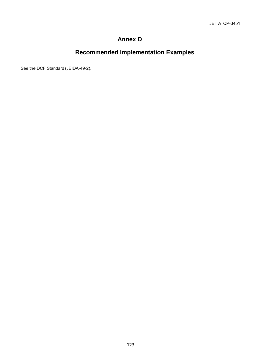## **Annex D**

# **Recommended Implementation Examples**

See the DCF Standard (JEIDA-49-2).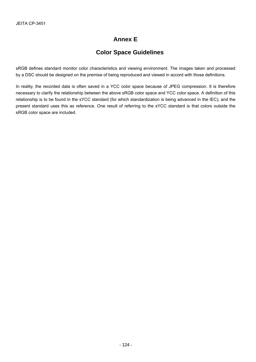## **Annex E**

## **Color Space Guidelines**

sRGB defines standard monitor color characteristics and viewing environment. The images taken and processed by a DSC should be designed on the premise of being reproduced and viewed in accord with those definitions.

In reality, the recorded data is often saved in a YCC color space because of JPEG compression. It is therefore necessary to clarify the relationship between the above sRGB color space and YCC color space. A definition of this relationship is to be found in the sYCC standard (for which standardization is being advanced in the IEC), and the present standard uses this as reference. One result of referring to the sYCC standard is that colors outside the sRGB color space are included.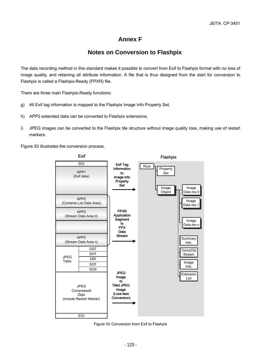## **Annex F**

### **Notes on Conversion to Flashpix**

The data recording method in this standard makes it possible to convert from Exif to Flashpix format with no loss of image quality, and retaining all attribute information. A file that is thus designed from the start for conversion to Flashpix is called a Flashpix-Ready (FPXR) file.

There are three main Flashpix-Ready functions:

- g) All Exif tag information is mapped to the Flashpix Image Info Property Set,
- h) APP2 extended data can be converted to Flashpix extensions,
- i) JPEG images can be converted to the Flashpix tile structure without image quality loss, making use of restart markers.

Figure 53 illustrates the conversion process.



Figure 53 Conversion from Exif to Flashpix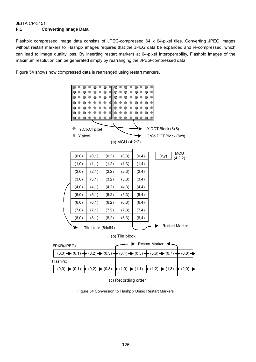#### JEITA CP-3451 **F.1 Converting Image Data**

Flashpix compressed image data consists of JPEG-compressed 64 x 64-pixel tiles. Converting JPEG images without restart markers to Flashpix images requires that the JPEG data be expanded and re-compressed, which can lead to image quality loss. By inserting restart markers at 64-pixel Interoperability, Flashpix images of the maximum resolution can be generated simply by rearranging the JPEG-compressed data.

Figure 54 shows how compressed data is rearranged using restart markers.



Figure 54 Conversion to Flashpix Using Restart Markers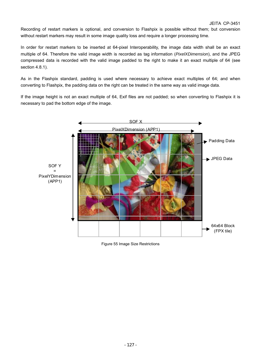Recording of restart markers is optional, and conversion to Flashpix is possible without them; but conversion without restart markers may result in some image quality loss and require a longer processing time.

In order for restart markers to be inserted at 64-pixel Interoperability, the image data width shall be an exact multiple of 64. Therefore the valid image width is recorded as tag information (*PixelXDimension*), and the JPEG compressed data is recorded with the valid image padded to the right to make it an exact multiple of 64 (see section 4.8.1).

As in the Flashpix standard, padding is used where necessary to achieve exact multiples of 64; and when converting to Flashpix, the padding data on the right can be treated in the same way as valid image data.

If the image height is not an exact multiple of 64, Exif files are not padded; so when converting to Flashpix it is necessary to pad the bottom edge of the image.



Figure 55 Image Size Restrictions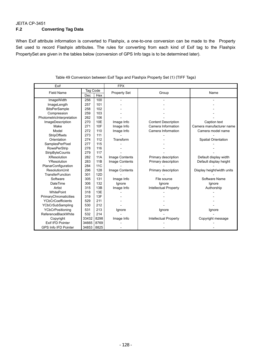#### JEITA CP-3451 **F.2 Converting Tag Data**

When Exif attribute information is converted to Flashpix, a one-to-one conversion can be made to the Property Set used to record Flashpix attributes. The rules for converting from each kind of Exif tag to the Flashpix PropertySet are given in the tables below (conversion of GPS Info tags is to be determined later).

| Exif                        |            |            | <b>FPX</b>          |                            |                            |  |
|-----------------------------|------------|------------|---------------------|----------------------------|----------------------------|--|
| <b>Field Name</b>           | Tag Code   |            |                     |                            |                            |  |
|                             | Dec        | Hex        | <b>Property Set</b> | Group                      | Name                       |  |
| ImageWidth                  | 256        | 100        |                     |                            |                            |  |
| ImageLength                 | 257        | 101        |                     |                            |                            |  |
| <b>BitsPerSample</b>        | 258        | 102        |                     |                            |                            |  |
| Compression                 | 259        | 103        |                     |                            |                            |  |
| PhotometricInterpretation   | 262        | 106        |                     |                            |                            |  |
| ImageDescription            | 270        | 10E        | Image Info          | <b>Content Description</b> | Caption text               |  |
| Make                        | 271        | 10F        | Image Info          | Camera Information         | Camera manufacturer name   |  |
| Model                       | 272        | 110        | Image Info          | Camera Information         | Camera model name          |  |
| <b>StripOffsets</b>         | 273        | 111        |                     |                            |                            |  |
| Orientation                 | 274        | 112        | Transform           |                            | <b>Spatial Orientation</b> |  |
| SamplesPerPixel             | 277        | 115        |                     |                            |                            |  |
| <b>RowsPerStrip</b>         | 278        | 116        |                     |                            |                            |  |
| StripByteCounts             | 279        | 117        |                     |                            |                            |  |
| <b>XResolution</b>          | 282        | <b>11A</b> | Image Contents      | Primary description        | Default display width      |  |
| YResolution                 | 283        | 11B        | Image Contents      | Primary description        | Default display height     |  |
| PlanarConfiguration         | 284        | <b>11C</b> |                     |                            |                            |  |
| <b>ResolutionUnit</b>       | 296        | 128        | Image Contents      | Primary description        | Display height/width units |  |
| <b>TransferFunction</b>     | 301        | <b>12D</b> |                     |                            |                            |  |
| Software                    | 305        | 131        | Image Info          | File source                | Software Name              |  |
| <b>DateTime</b>             | 306        | 132        | lgnore              | lgnore                     | lgnore                     |  |
| Artist                      | 315        | 13B        | Image Info          | Intellectual Property      | Authorship                 |  |
| <b>WhitePoint</b>           | 318        | 13E        |                     |                            |                            |  |
| PrimaryChromaticities       | 319        | 13F        |                     |                            |                            |  |
| <b>YCbCrCoefficients</b>    | 529        | 211        |                     |                            |                            |  |
| YCbCrSubSampling            | 530        | 212        |                     |                            |                            |  |
| <b>YCbCrPositioning</b>     | 531        | 213        | Ignore              | Ignore                     | Ignore                     |  |
| ReferenceBlackWhite         | 532        | 214        |                     |                            |                            |  |
| Copyright                   | 33432      | 8298       | Image Info          | Intellectual Property      | Copyright message          |  |
| Exif IFD Pointer            | 34665      | 8769       |                     |                            |                            |  |
| <b>GPS Info IFD Pointer</b> | 34853 8825 |            |                     |                            |                            |  |

#### Table 49 Conversion between Exif Tags and Flashpix Property Set (1) (TIFF Tags)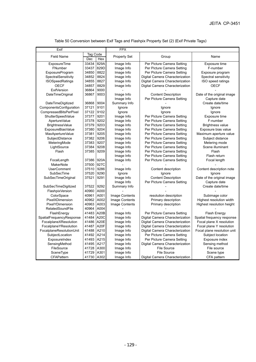Table 50 Conversion between Exif Tags and Flashpix Property Set (2) (Exif Private Tags)

| Exif                     |                        |             | <b>FPX</b>     |                                 |                             |  |
|--------------------------|------------------------|-------------|----------------|---------------------------------|-----------------------------|--|
|                          | Tag Code<br>Dec<br>Hex |             |                |                                 |                             |  |
| <b>Field Name</b>        |                        |             | Property Set   | Group                           | Name                        |  |
| ExposureTime             | 33434                  | 829A        | Image Info     | Per Picture Camera Setting      | Exposure time               |  |
| FNumber                  | 33437                  | 829D        | Image Info     | Per Picture Camera Setting      | F-number                    |  |
| <b>ExposureProgram</b>   | 34850                  | 8822        | Image Info     | Per Picture Camera Setting      | Exposure program            |  |
| SpectralSensitivity      | 34852                  | 8824        | Image Info     | Digital Camera Characterization | Spectral sensitivity        |  |
| <b>ISOSpeedRatings</b>   | 34855                  | 8827        | Image Info     | Digital Camera Characterization | ISO speed ratings           |  |
| <b>OECF</b>              | 34857                  | 8829        | Image Info     | Digital Camera Characterization | <b>OECF</b>                 |  |
| <b>ExifVersion</b>       | 36864                  | 9000        |                |                                 |                             |  |
| <b>DateTimeOriginal</b>  | 36867                  | 9003        | Image Info     | <b>Content Description</b>      | Date of the original image  |  |
|                          |                        |             | Image Info     | Per Picture Camera Setting      | Capture date                |  |
| DateTimeDigitized        | 36868                  | 9004        | Summary Info   |                                 | Create date/time            |  |
| ComponentsConfiguration  | 37121                  | 9101        | lgnore         | lgnore                          | lgnore                      |  |
| CompressedBitsPerPixel   | 37122                  | 9102        | Ignore         | Ignore                          | Ignore                      |  |
| ShutterSpeedValue        | 37377                  | 9201        | Image Info     | Per Picture Camera Setting      | Exposure time               |  |
| ApertureValue            | 37378                  | 9202        | Image Info     | Per Picture Camera Setting      | F-number                    |  |
| <b>BrightnessValue</b>   | 37379                  | 9203        | Image Info     | Per Picture Camera Setting      | <b>Brightness value</b>     |  |
| ExposureBiasValue        | 37380                  | 9204        | Image Info     | Per Picture Camera Setting      | Exposure bias value         |  |
| MaxApertureValue         | 37381                  | 9205        | Image Info     | Per Picture Camera Setting      | Maximum aperture value      |  |
| SubjectDistance          | 37382                  | 9206        | Image Info     | Per Picture Camera Setting      | Subject distance            |  |
| MeteringMode             | 37383                  | 9207        | Image Info     | Per Picture Camera Setting      | Metering mode               |  |
| LightSource              | 37384                  | 9208        | Image Info     | Per Picture Camera Setting      | Scene illuminant            |  |
| Flash                    | 37385                  | 9209        | Image Info     | Per Picture Camera Setting      | Flash                       |  |
|                          |                        |             | Image Info     | Per Picture Camera Setting      | Flash return                |  |
| FocalLength              | 37386                  | 920A        | Image Info     | Per Picture Camera Setting      | Focal length                |  |
| <b>MakerNote</b>         | 37500                  | 927C        |                |                                 |                             |  |
| <b>UserComment</b>       | 37510                  | 9286        | Image Info     | Content description             | Content description note    |  |
| SubSecTime               | 37520                  | 9290        | Ignore         | Ignore                          | Ignore                      |  |
| SubSecTimeOriginal       | 37521                  | 9291        | Image Info     | <b>Content Description</b>      | Date of the original image  |  |
|                          |                        |             | Image Info     | Per Picture Camera Setting      | Capture date                |  |
| SubSecTimeDigitized      | 37522                  | 9292        | Summary Info   |                                 | Create date/time            |  |
| FlashpixVersion          | 40960                  | A000        |                |                                 |                             |  |
| ColorSpace               | 40961                  | A001        | Image Contents | resolution description          | Subimage color              |  |
| PixelXDimension          | 40962                  | A002        | Image Contents | Primary description             | Highest resolution width    |  |
| PixelYDimension          | 40963                  | A003        | Image Contents | Primary description             | Highest resolution height   |  |
| RelatedSoundFile         | 40964                  | A004        |                |                                 |                             |  |
| FlashEnergy              | 41483                  | A20B        | Image Info     | Per Picture Camera Setting      | Flash Energy                |  |
| SpatialFrequencyResponse | 41484                  | A20C        | Image Info     | Digital Camera Characterization | Spatial frequency response  |  |
| FocalplaneXResolution    | 41486                  | <b>A20E</b> | Image Info     | Digital Camera Characterization | Focal plane X resolution    |  |
| FocalplaneYResolution    | 41487                  | <b>A20F</b> | Image Info     | Digital Camera Characterization | Focal plane Y resolution    |  |
| FocalplaneResolutionUnit | 41488                  | A210        | Image Info     | Digital Camera Characterization | Focal plane resolution unit |  |
| SubjectLocation          | 41492                  | A214        | Image Info     | Per Picture Camera Setting      | Subject location            |  |
| ExposureIndex            | 41493                  | A215        | Image Info     | Per Picture Camera Setting      | Exposure index              |  |
| SensingMethod            | 41495                  | A217        | Image Info     | Digital Camera Characterization | Sensing method              |  |
| FileSource               | 41728                  | A300        | Image Info     | <b>File Source</b>              | File source                 |  |
| SceneType                | 41729                  | A301        | Image Info     | <b>File Source</b>              | Scene type                  |  |
| <b>CFAPattern</b>        | 41730                  | A302        | Image Info     | Digital Camera Characterization | CFA pattern                 |  |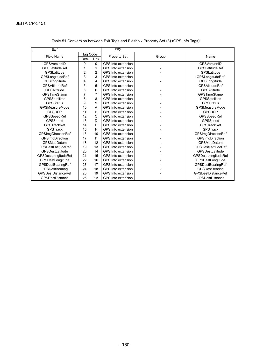| Exif                                  |                |                    | <b>FPX</b>          |                           |                            |  |
|---------------------------------------|----------------|--------------------|---------------------|---------------------------|----------------------------|--|
| <b>Field Name</b>                     | Tag Code       |                    | <b>Property Set</b> | Group                     | Name                       |  |
|                                       | <b>Dec</b>     | Hex                |                     |                           |                            |  |
| <b>GPSVersionID</b>                   | 0              | 0                  | GPS Info extension  |                           | <b>GPSVersionID</b>        |  |
| <b>GPSLatitudeRef</b>                 | 1              | 1                  | GPS Info extension  |                           | <b>GPSLatitudeRef</b>      |  |
| GPSLatitude                           | $\overline{2}$ | $\overline{2}$     | GPS Info extension  |                           | GPSLatitude                |  |
| <b>GPSLongitudeRef</b>                | 3              | 3                  | GPS Info extension  |                           | GPSLongitudeRef            |  |
| GPSLongitude                          | 4              | 4                  | GPS Info extension  |                           | GPSLongitude               |  |
| <b>GPSAltitudeRef</b>                 | 5              | 5                  | GPS Info extension  |                           | <b>GPSAltitudeRef</b>      |  |
| GPSAltitude                           | 6              | 6                  | GPS Info extension  |                           | <b>GPSAltitude</b>         |  |
| GPSTimeStamp                          | 7              | 7                  | GPS Info extension  |                           | GPSTimeStamp               |  |
| <b>GPSSatellites</b>                  | 8              | 8                  | GPS Info extension  |                           | <b>GPSSatellites</b>       |  |
| <b>GPSStatus</b>                      | 9              | 9                  | GPS Info extension  |                           | <b>GPSStatus</b>           |  |
| GPSMeasureMode                        | 10             | A                  | GPS Info extension  |                           | <b>GPSMeasureMode</b>      |  |
| <b>GPSDOP</b>                         | 11             | <sub>B</sub>       | GPS Info extension  |                           | <b>GPSDOP</b>              |  |
| GPSSpeedRef                           | 12             | $\mathsf{C}$       | GPS Info extension  |                           | GPSSpeedRef                |  |
| GPSSpeed                              | 13             | D                  | GPS Info extension  |                           | GPSSpeed                   |  |
| <b>GPSTrackRef</b>                    | 14             | E                  | GPS Info extension  |                           | <b>GPSTrackRef</b>         |  |
| <b>GPSTrack</b>                       | 15             | F                  | GPS Info extension  |                           | <b>GPSTrack</b>            |  |
| <b>GPSImgDirectionRef</b>             | 16             | 10                 | GPS Info extension  |                           | <b>GPSImgDirectionRef</b>  |  |
| <b>GPSImgDirection</b>                | 17             | 11                 | GPS Info extension  |                           | <b>GPSImgDirection</b>     |  |
| GPSMapDatum                           | 18             | 12                 | GPS Info extension  |                           | GPSMapDatum                |  |
| GPSDestLatitudeRef                    | 19             | 13                 | GPS Info extension  |                           | <b>GPSDestLatitudeRef</b>  |  |
| <b>GPSDestLatitude</b>                | 20             | 14                 | GPS Info extension  |                           | GPSDestLatitude            |  |
| <b>GPSDestLongitudeRef</b>            | 21             | 15                 | GPS Info extension  |                           | <b>GPSDestLongitudeRef</b> |  |
| GPSDestLongitude                      | 22             | 16                 | GPS Info extension  |                           | GPSDestLongitude           |  |
| GPSDestBearingRef                     | 23             | 17                 | GPS Info extension  |                           | GPSDestBearingRef          |  |
| GPSDestBearing                        | 24             | 18                 | GPS Info extension  |                           | GPSDestBearing             |  |
| <b>GPSDestDistanceRef</b><br>25<br>19 |                | GPS Info extension |                     | <b>GPSDestDistanceRef</b> |                            |  |
| <b>GPSDestDistance</b>                | 26             | 1A                 | GPS Info extension  |                           | <b>GPSDestDistance</b>     |  |

#### Table 51 Conversion between Exif Tags and Flashpix Property Set (3) (GPS Info Tags)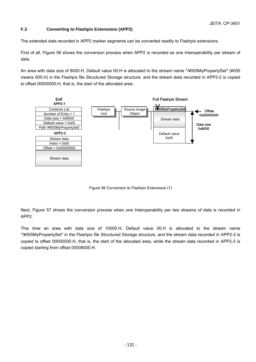#### **F.3 Converting to Flashpix Extensions (APP2)**

The extended data recorded in APP2 marker segments can be converted readily to Flashpix extensions.

First of all, Figure 56 shows the conversion process when APP2 is recorded as one Interoperability per stream of data.

An area with data size of 8000.H, Default value 00.H is allocated to the stream name "/¥005MyPropertySet" (¥005 means 005.H) in the Flashpix file Structured Storage structure, and the stream data recorded in APP2-2 is copied to offset 00000000.H, that is, the start of the allocated area.



Figure 56 Conversion to Flashpix Extensions (1)

Next, Figure 57 shows the conversion process when one Interoperability per two streams of data is recorded in APP2.

This time an area with data size of 10000.H, Default value 00.H is allocated to the stream name "/¥005MyPropertySet" in the Flashpix file Structured Storage structure, and the stream data recorded in APP2-2 is copied to offset 00000000.H, that is, the start of the allocated area, while the stream data recorded in APP2-3 is copied starting from offset 00008000.H.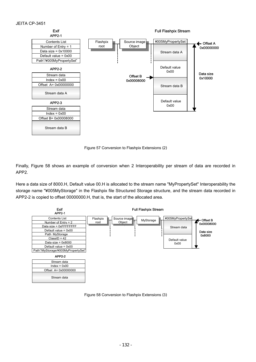

Figure 57 Conversion to Flashpix Extensions (2)

Finally, Figure 58 shows an example of conversion when 2 Interoperability per stream of data are recorded in APP2.

Here a data size of 8000.H, Default value 00.H is allocated to the stream name "MyPropertySet" Interoperability the storage name "¥005MyStorage" in the Flashpix file Structured Storage structure, and the stream data recorded in APP2-2 is copied to offset 00000000.H, that is, the start of the allocated area.



Figure 58 Conversion to Flashpix Extensions (3)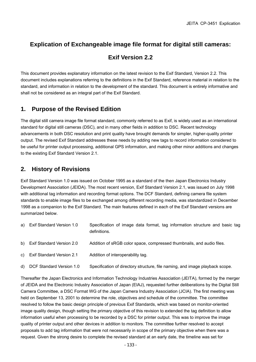## **Explication of Exchangeable image file format for digital still cameras:**

### **Exif Version 2.2**

This document provides explanatory information on the latest revision to the Exif Standard, Version 2.2. This document includes explanations referring to the definitions in the Exif Standard, reference material in relation to the standard, and information in relation to the development of the standard. This document is entirely informative and shall not be considered as an integral part of the Exif Standard.

### **1. Purpose of the Revised Edition**

The digital still camera image file format standard, commonly referred to as Exif, is widely used as an international standard for digital still cameras (DSC), and in many other fields in addition to DSC. Recent technology advancements in both DSC resolution and print quality have brought demands for simpler, higher-quality printer output. The revised Exif Standard addresses these needs by adding new tags to record information considered to be useful for printer output processing, additional GPS information, and making other minor additions and changes to the existing Exif Standard Version 2.1.

### **2. History of Revisions**

Exif Standard Version 1.0 was issued on October 1995 as a standard of the then Japan Electronics Industry Development Association (JEIDA). The most recent version, Exif Standard Version 2.1, was issued on July 1998 with additional tag information and recording format options. The DCF Standard, defining camera file system standards to enable image files to be exchanged among different recording media, was standardized in December 1998 as a companion to the Exif Standard. The main features defined in each of the Exif Standard versions are summarized below.

| a) Exif Standard Version 1.0 | Specification of image data format, tag information structure and basic tag<br>definitions. |
|------------------------------|---------------------------------------------------------------------------------------------|
| b) Exif Standard Version 2.0 | Addition of sRGB color space, compressed thumbnails, and audio files.                       |
| c) Exif Standard Version 2.1 | Addition of interoperability tag.                                                           |
| d) DCF Standard Version 1.0  | Specification of directory structure, file naming, and image playback scope.                |

Thereafter the Japan Electronics and Information Technology Industries Association (JEITA), formed by the merger of JEIDA and the Electronic Industry Association of Japan (EIAJ), requested further deliberations by the Digital Still Camera Committee, a DSC Format WG of the Japan Camera Industry Association (JCIA). The first meeting was held on September 13, 2001 to determine the role, objectives and schedule of the committee. The committee resolved to follow the basic design principle of previous Exif Standards, which was based on monitor-oriented image quality design, though setting the primary objective of this revision to extended the tag definition to allow information useful when processing to be recorded by a DSC for printer output. This was to improve the image quality of printer output and other devices in addition to monitors. The committee further resolved to accept proposals to add tag information that were not necessarily in scope of the primary objective when there was a request. Given the strong desire to complete the revised standard at an early date, the timeline was set for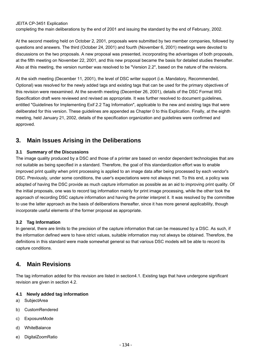#### JEITA CP-3451 Explication

completing the main deliberations by the end of 2001 and issuing the standard by the end of February, 2002.

At the second meeting held on October 2, 2001, proposals were submitted by two member companies, followed by questions and answers. The third (October 24, 2001) and fourth (November 6, 2001) meetings were devoted to discussions on the two proposals. A new proposal was presented, incorporating the advantages of both proposals, at the fifth meeting on November 22, 2001, and this new proposal became the basis for detailed studies thereafter. Also at this meeting, the version number was resolved to be "Version 2.2", based on the nature of the revisions.

At the sixth meeting (December 11, 2001), the level of DSC writer support (i.e. Mandatory, Recommended, Optional) was resolved for the newly added tags and existing tags that can be used for the primary objectives of this revision were reexamined. At the seventh meeting (December 26, 2001), details of the DSC Format WG Specification draft were reviewed and revised as appropriate. It was further resolved to document guidelines, entitled "Guidelines for Implementing Exif 2.2 Tag Information", applicable to the new and existing tags that were deliberated for this version. These guidelines are appended as Chapter 0 to this Explication. Finally, at the eighth meeting, held January 21, 2002, details of the specification organization and guidelines were confirmed and approved.

### **3. Main Issues Arising in the Deliberations**

#### **3.1 Summary of the Discussions**

The image quality produced by a DSC and those of a printer are based on vendor dependent technologies that are not suitable as being specified in a standard. Therefore, the goal of this standardization effort was to enable improved print quality when print processing is applied to an image data after being processed by each vendor's DSC. Previously, under some conditions, the user's expectations were not always met. To this end, a policy was adopted of having the DSC provide as much capture information as possible as an aid to improving print quality. Of the initial proposals, one was to record tag information mainly for print image processing, while the other took the approach of recording DSC capture information and having the printer interpret it. It was resolved by the committee to use the latter approach as the basis of deliberations thereafter, since it has more general applicability, though incorporate useful elements of the former proposal as appropriate.

#### **3.2 Tag Information**

In general, there are limits to the precision of the capture information that can be measured by a DSC. As such, if the information defined were to have strict values, suitable information may not always be obtained. Therefore, the definitions in this standard were made somewhat general so that various DSC models will be able to record its capture conditions.

### **4. Main Revisions**

The tag information added for this revision are listed in section4.1. Existing tags that have undergone significant revision are given in section 4.2.

#### **4.1 Newly added tag information**

- a) SubjectArea
- b) CustomRendered
- c) ExposureMode
- d) WhiteBalance
- e) DigitalZoomRatio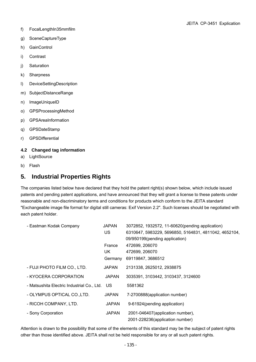- f) FocalLengthIn35mmfilm
- g) SceneCaptureType
- h) GainControl
- i) Contrast
- j) Saturation
- k) Sharpness
- l) DeviceSettingDescription
- m) SubjectDistanceRange
- n) ImageUniqueID
- o) GPSProcessingMethod
- p) GPSAreaInformation
- q) GPSDateStamp
- r) GPSDifferential

#### **4.2 Changed tag information**

- a) LightSource
- b) Flash

### **5. Industrial Properties Rights**

The companies listed below have declared that they hold the patent right(s) shown below, which include issued patents and pending patent applications, and have announced that they will grant a license to these patents under reasonable and non-discriminatory terms and conditions for products which conform to the JEITA standard "Exchangeable image file format for digital still cameras: Exif Version 2.2". Such licenses should be negotiated with each patent holder.

| - Eastman Kodak Company                       | <b>JAPAN</b><br>US.      | 3072852, 1932572, 11-60620(pending application)<br>6310647, 5983229, 5696850, 5164831, 4811042, 4652104,<br>09/950199(pending application) |
|-----------------------------------------------|--------------------------|--------------------------------------------------------------------------------------------------------------------------------------------|
|                                               | France<br>UK.<br>Germany | 472699, 206070<br>472699, 206070<br>69119847, 3686512                                                                                      |
| - FUJI PHOTO FILM CO., LTD.                   | <b>JAPAN</b>             | 2131338, 2625012, 2938875                                                                                                                  |
| - KYOCERA CORPORATION                         | <b>JAPAN</b>             | 3035391, 3103442, 3103437, 3124600                                                                                                         |
| - Matsushita Electric Industrial Co., Ltd. US |                          | 5581362                                                                                                                                    |
| - OLYMPUS OPTICAL CO., LTD.                   | <b>JAPAN</b>             | 7-2700888(application number)                                                                                                              |
| - RICOH COMPANY, LTD.                         | JAPAN                    | 9-61924(pending application)                                                                                                               |
| - Sony Corporation                            | <b>JAPAN</b>             | 2001-046407(application number),<br>2001-228236(application number)                                                                        |

Attention is drawn to the possibility that some of the elements of this standard may be the subject of patent rights other than those identified above. JEITA shall not be held responsible for any or all such patent rights.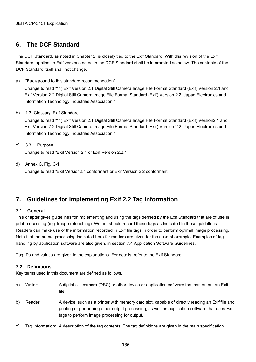### **6. The DCF Standard**

The DCF Standard, as noted in Chapter 2, is closely tied to the Exif Standard. With this revision of the Exif Standard, applicable Exif versions noted in the DCF Standard shall be interpreted as below. The contents of the DCF Standard itself shall not change.

a) "Background to this standard recommendation"

Change to read "\*1) Exif Version 2.1 Digital Still Camera Image File Format Standard (Exif) Version 2.1 and Exif Version 2.2 Digital Still Camera Image File Format Standard (Exif) Version 2.2, Japan Electronics and Information Technology Industries Association."

b) 1.3. Glossary, Exif Standard

Change to read "\*1) Exif Version 2.1 Digital Still Camera Image File Format Standard (Exif) Version2.1 and Exif Version 2.2 Digital Still Camera Image File Format Standard (Exif) Version 2.2, Japan Electronics and Information Technology Industries Association."

- c) 3.3.1. Purpose Change to read "Exif Version 2.1 or Exif Version 2.2."
- d) Annex C, Fig. C-1 Change to read "Exif Version2.1 conformant or Exif Version 2.2 conformant."

## **7. Guidelines for Implementing Exif 2.2 Tag Information**

#### **7.1 General**

This chapter gives guidelines for implementing and using the tags defined by the Exif Standard that are of use in print processing (e.g. image retouching). Writers should record these tags as indicated in these guidelines. Readers can make use of the information recorded in Exif file tags in order to perform optimal image processing. Note that the output processing indicated here for readers are given for the sake of example. Examples of tag handling by application software are also given, in section 7.4 Application Software Guidelines.

Tag IDs and values are given in the explanations. For details, refer to the Exif Standard.

#### **7.2 Definitions**

Key terms used in this document are defined as follows.

- a) Writer: A digital still camera (DSC) or other device or application software that can output an Exif file.
- b) Reader: A device, such as a printer with memory card slot, capable of directly reading an Exif file and printing or performing other output processing, as well as application software that uses Exif tags to perform image processing for output.
- c) Tag Information: A description of the tag contents. The tag definitions are given in the main specification.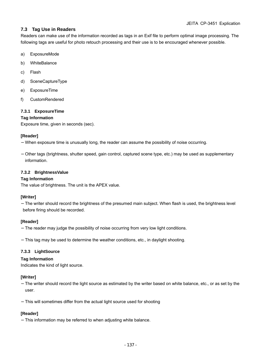#### **7.3 Tag Use in Readers**

Readers can make use of the information recorded as tags in an Exif file to perform optimal image processing. The following tags are useful for photo retouch processing and their use is to be encouraged whenever possible.

- a) ExposureMode
- b) WhiteBalance
- c) Flash
- d) SceneCaptureType
- e) ExposureTime
- f) CustomRendered

#### **7.3.1 ExposureTime**

#### **Tag Information**

Exposure time, given in seconds (sec).

#### **[Reader]**

When exposure time is unusually long, the reader can assume the possibility of noise occurring.

Other tags (brightness, shutter speed, gain control, captured scene type, etc.) may be used as supplementary information.

#### **7.3.2 BrightnessValue**

#### **Tag Information**

The value of brightness. The unit is the APEX value.

#### **[Writer]**

The writer should record the brightness of the presumed main subject. When flash is used, the brightness level before firing should be recorded.

#### **[Reader]**

The reader may judge the possibility of noise occurring from very low light conditions.

This tag may be used to determine the weather conditions, etc., in daylight shooting.

#### **7.3.3 LightSource**

#### **Tag Information**

Indicates the kind of light source.

#### **[Writer]**

The writer should record the light source as estimated by the writer based on white balance, etc., or as set by the user.

This will sometimes differ from the actual light source used for shooting

#### **[Reader]**

This information may be referred to when adjusting white balance.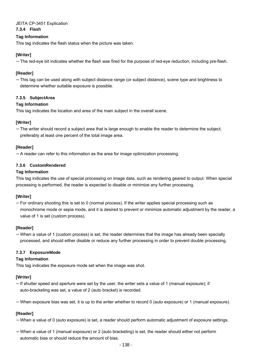### JEITA CP-3451 Explication

#### **7.3.4 Flash**

#### **Tag Information**

This tag indicates the flash status when the picture was taken.

#### **[Writer]**

The red-eye bit indicates whether the flash was fired for the purpose of red-eye reduction, including pre-flash.

#### **[Reader]**

This tag can be used along with subject distance range (or subject distance), scene type and brightness to determine whether suitable exposure is possible.

#### **7.3.5 SubjectArea**

#### **Tag Information**

This tag indicates the location and area of the main subject in the overall scene.

#### **[Writer]**

The writer should record a subject area that is large enough to enable the reader to determine the subject, preferably at least one percent of the total image area.

#### **[Reader]**

A reader can refer to this information as the area for image optimization processing.

#### **7.3.6 CustomRendered**

#### **Tag Information**

This tag indicates the use of special processing on image data, such as rendering geared to output. When special processing is performed, the reader is expected to disable or minimize any further processing.

#### **[Writer]**

For ordinary shooting this is set to 0 (normal process). If the writer applies special processing such as monochrome mode or sepia mode, and it is desired to prevent or minimize automatic adjustment by the reader, a value of 1 is set (custom process).

#### **[Reader]**

When a value of 1 (custom process) is set, the reader determines that the image has already been specially processed, and should either disable or reduce any further processing in order to prevent double processing.

#### **7.3.7 ExposureMode**

#### **Tag Information**

This tag indicates the exposure mode set when the image was shot.

#### **[Writer]**

If shutter speed and aperture were set by the user, the writer sets a value of 1 (manual exposure); if auto-bracketing was set, a value of 2 (auto bracket) is recorded.

When exposure bias was set, it is up to the writer whether to record 0 (auto exposure) or 1 (manual exposure).

#### **[Reader]**

When a value of 0 (auto exposure) is set, a reader should perform automatic adjustment of exposure settings.

When a value of 1 (manual exposure) or 2 (auto bracketing) is set, the reader should either not perform automatic bias or should reduce the amount of bias.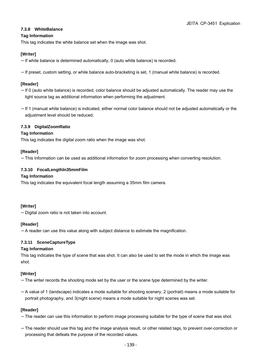# **7.3.8 WhiteBalance**

### **Tag Information**

This tag indicates the white balance set when the image was shot.

# **[Writer]**

If white balance is determined automatically, 0 (auto white balance) is recorded.

If preset, custom setting, or while balance auto-bracketing is set, 1 (manual white balance) is recorded.

# **[Reader]**

If 0 (auto white balance) is recorded, color balance should be adjusted automatically. The reader may use the light source tag as additional information when performing the adjustment.

If 1 (manual white balance) is indicated, either normal color balance should not be adjusted automatically or the adjustment level should be reduced.

# **7.3.9 DigitalZoomRatio**

# **Tag Information**

This tag indicates the digital zoom ratio when the image was shot.

# **[Reader]**

This information can be used as additional information for zoom processing when converting resolution.

# **7.3.10 FocalLengthln35mmFilm**

#### **Tag Information**

This tag indicates the equivalent focal length assuming a 35mm film camera.

#### **[Writer]**

Digital zoom ratio is not taken into account.

# **[Reader]**

A reader can use this value along with subject distance to estimate the magnification.

# **7.3.11 SceneCaptureType**

#### **Tag Information**

This tag indicates the type of scene that was shot. It can also be used to set the mode in which the image was shot.

#### **[Writer]**

The writer records the shooting mode set by the user or the scene type determined by the writer.

A value of 1 (landscape) indicates a mode suitable for shooting scenery, 2 (portrait) means a mode suitable for portrait photography, and 3(night scene) means a mode suitable for night scenes was set.

#### **[Reader]**

The reader can use this information to perform image processing suitable for the type of scene that was shot.

The reader should use this tag and the image analysis result, or other related tags, to prevent over-correction or processing that defeats the purpose of the recorded values.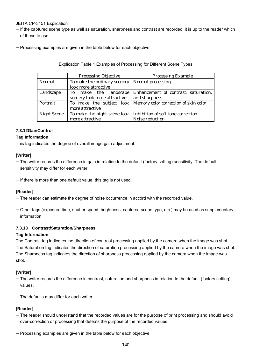# JEITA CP-3451 Explication

If the captured scene type as well as saturation, sharpness and contrast are recorded, it is up to the reader which of these to use.

Processing examples are given in the table below for each objective.

|  |  | Explication Table 1 Examples of Processing for Different Scene Types |  |
|--|--|----------------------------------------------------------------------|--|
|--|--|----------------------------------------------------------------------|--|

|                    | <b>Processing Objective</b>  | <b>Processing Example</b>                                         |  |
|--------------------|------------------------------|-------------------------------------------------------------------|--|
| <b>Normal</b>      | To make the ordinary scenery | <b>Normal processing</b>                                          |  |
|                    | look more attractive         |                                                                   |  |
| Landscape          | To make the landscape        | Enhancement of contrast, saturation,                              |  |
|                    | scenery look more attractive | and sharpness                                                     |  |
| Portrait           |                              | To make the subject look   Memory color correction of skin color  |  |
|                    | more attractive              |                                                                   |  |
| <b>Night Scene</b> |                              | To make the night scene look   Inhibition of soft tone correction |  |
|                    | more attractive              | <b>Noise reduction</b>                                            |  |

# **7.3.12GainControl**

# **Tag Information**

This tag indicates the degree of overall image gain adjustment.

# **[Writer]**

The writer records the difference in gain in relation to the default (factory setting) sensitivity. The default sensitivity may differ for each writer.

If there is more than one default value, this tag is not used.

#### **[Reader]**

The reader can estimate the degree of noise occurrence in accord with the recorded value.

Other tags (exposure time, shutter speed, brightness, captured scene type, etc.) may be used as supplementary information.

#### **7.3.13 Contrast/Saturation/Sharpness**

#### **Tag Information**

The Contrast tag indicates the direction of contrast processing applied by the camera when the image was shot. The Saturation tag indicates the direction of saturation processing applied by the camera when the image was shot. The Sharpness tag indicates the direction of sharpness processing applied by the camera when the image was shot.

#### **[Writer]**

The writer records the difference in contrast, saturation and sharpness in relation to the default (factory setting) values.

The defaults may differ for each writer.

#### **[Reader]**

The reader should understand that the recorded values are for the purpose of print processing and should avoid over-correction or processing that defeats the purpose of the recorded values.

Processing examples are given in the table below for each objective.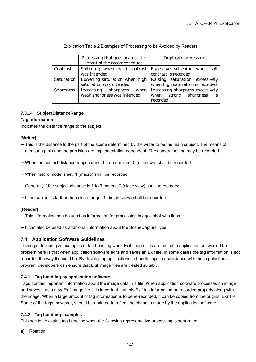|                   | Processing that goes against the<br>intent of the recorded values | <b>Duplicate processing</b>                                                                      |
|-------------------|-------------------------------------------------------------------|--------------------------------------------------------------------------------------------------|
| Contrast          | was intended                                                      | Softening when hard contrast Excessive softening when soft<br>contrast is recorded               |
| <b>Saturation</b> | saturation was intended                                           | Lowering saturation when high Raising saturation excessively<br>when high saturation is recorded |
| <b>Sharpness</b>  | Increasing sharpness when<br>weak sharpness was intended          | Increasing sharpness excessively<br>sharpness<br>when<br>strong<br>is<br>recorded                |

Explication Table 2 Examples of Processing to be Avoided by Readers

# **7.3.14 SubjectDistanceRange**

# **Tag Information**

Indicates the distance range to the subject.

#### **[Writer]**

This is the distance to the part of the scene determined by the writer to be the main subject. The means of measuring this and the precision are implementation dependent. The camera setting may be recorded.

When the subject distance range cannot be determined, 0 (unknown) shall be recorded.

When macro mode is set, 1 (macro) shall be recorded.

Generally if the subject distance is 1 to 3 meters, 2 (close view) shall be recorded.

If the subject is farther than close range, 3 (distant view) shall be recorded.

#### **[Reader]**

This information can be used as information for processing images shot with flash.

It can also be used as additional information about the SceneCaptureType.

# **7.4 Application Software Guidelines**

These guidelines give examples of tag handling when Exif image files are edited in application software. The problem here is that when application software edits and saves an Exif file, in some cases the tag information is not recorded the way it should be. By developing applications to handle tags in accordance with these guidelines, program developers can ensure that Exif image files are treated suitably.

# **7.4.1 Tag handling by application software**

Tags contain important information about the image data in a file. When application software processes an image and saves it as a new Exif image file, it is important that this Exif tag information be recorded properly along with the image. When a large amount of tag information is to be re-recorded, it can be copied from the original Exif file. Some of the tags, however, should be updated to reflect the changes made by the application software.

# **7.4.2 Tag handling examples**

This section explains tag handling when the following representative processing is performed.

a) Rotation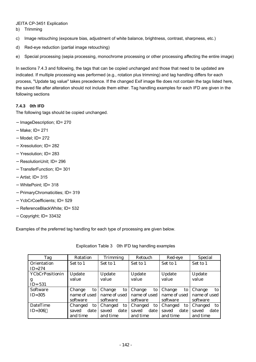### JEITA CP-3451 Explication

b) Trimming

- c) Image retouching (exposure bias, adjustment of white balance, brightness, contrast, sharpness, etc.)
- d) Red-eye reduction (partial image retouching)
- e) Special processing (sepia processing, monochrome processing or other processing affecting the entire image)

In sections 7.4.3 and following, the tags that can be copied unchanged and those that need to be updated are indicated. If multiple processing was performed (e.g., rotation plus trimming) and tag handling differs for each process, "Update tag value" takes precedence. If the changed Exif image file does not contain the tags listed here, the saved file after alteration should not include them either. Tag handling examples for each IFD are given in the following sections

# **7.4.3 0th IFD**

The following tags should be copied unchanged.

ImageDescription; ID= 270 Make; ID= 271 Model; ID= 272 Xresolution; ID= 282 Yresolution; ID= 283 ResolutionUnit; ID= 296 TransferFunction; ID= 301 Artist; ID= 315 WhitePoint: ID= 318 PrimaryChromaticities; ID= 319 YcbCrCoefficients; ID= 529 ReferenceBlackWhite; ID= 532 Copyright; ID= 33432

Examples of the preferred tag handling for each type of processing are given below.

| Tag                    | <b>Rotation</b> | <b>Trimming</b> | <b>Retouch</b> | Red-eye       | <b>Special</b> |  |
|------------------------|-----------------|-----------------|----------------|---------------|----------------|--|
| <b>Orientation</b>     | Set to 1        | Set to 1        | Set to 1       | Set to 1      | Set to 1       |  |
| $ID=274$               |                 |                 |                |               |                |  |
| <b>YCbCrPositionin</b> | Update          | <b>Update</b>   | Update         | Update        | Update         |  |
| g                      | value           | value           | value          | value         | value          |  |
| $ID = 531$             |                 |                 |                |               |                |  |
| <b>Software</b>        | Change<br>to    | Change<br>to    | Change<br>to   | Change<br>to  | Change<br>to   |  |
| $ID=305$               | name of used    | name of used    | name of used   | name of used  | name of used   |  |
|                        | software        | software        | software       | software      | software       |  |
| <b>DateTime</b>        | Changed<br>to   | Changed<br>to   | Changed<br>to  | Changed<br>to | Changed<br>to. |  |
| $ID = 306$             | date<br>saved   | date<br>saved   | date<br>saved  | saved<br>date | saved<br>date  |  |
|                        | and time        | and time        | and time       | and time      | and time       |  |

Explication Table 3 0th IFD tag handling examples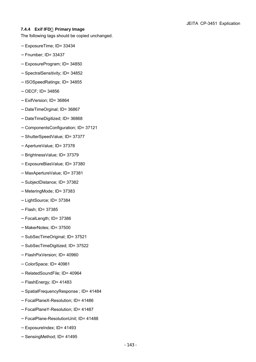#### **7.4.4 Exif IFD**,**Primary Image**

The following tags should be copied unchanged.

ExposureTime; ID= 33434

Fnumber; ID= 33437

ExposureProgram; ID= 34850

SpectralSensitivity; ID= 34852

ISOSpeedRatings; ID= 34855

OECF; ID= 34856

ExifVersion; ID= 36864

DateTimeOrginal; ID= 36867

DateTimeDigitized; ID= 36868

ComponentsConfiguration; ID= 37121

ShutterSpeedValue; ID= 37377

ApertureValue; ID= 37378

BrightnessValue; ID= 37379

ExposureBiasValue; ID= 37380

MaxApertureValue; ID= 37381

SubjectDistance; ID= 37382

MeteringMode; ID= 37383

LightSource; ID= 37384

Flash; ID= 37385

FocalLength; ID= 37386

MakerNotes; ID= 37500

SubSecTimeOriginal; ID= 37521

SubSecTimeDigitized; ID= 37522

FlashPixVersion; ID= 40960

ColorSpace; ID= 40961

RelatedSoundFile; ID= 40964

FlashEnergy; ID= 41483

SpatialFrequencyResponse ; ID= 41484

FocalPlaneX-Resolution; ID= 41486

FocalPlaneY-Resolution; ID= 41487

FocalPlane-ResolutionUnit; ID= 41488

ExposureIndex; ID= 41493

SensingMethod: ID= 41495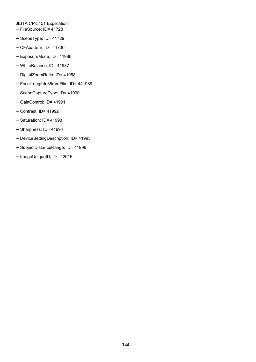JEITA CP-3451 Explication FileSource; ID= 41728 SceneType; ID= 41729 CFApattern; ID= 41730 ExposureMode; ID= 41986 WhiteBalance; ID= 41987 DigitalZoomRatio; ID= 41988 FocalLengthIn35mmFilm; ID= 441989 SceneCaptureType; ID= 41990 GainControl; ID= 41991 Contrast; ID= 41992 Saturation; ID= 41993 Sharpness; ID= 41994 DeviceSettingDescription; ID= 41995 SubjectDistanceRange; ID= 41996 ImageUniqueID; ID= 42016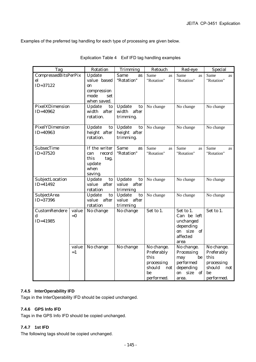Examples of the preferred tag handling for each type of processing are given below.

| <b>Tag</b>                                          |                | <b>Rotation</b>                                                             | <b>Trimming</b>                                   | Retouch                                                                             | Red-eye                                                                                       | <b>Special</b>                                                                      |
|-----------------------------------------------------|----------------|-----------------------------------------------------------------------------|---------------------------------------------------|-------------------------------------------------------------------------------------|-----------------------------------------------------------------------------------------------|-------------------------------------------------------------------------------------|
| <b>CompressedBitsPerPix</b><br>el<br>$ID = 37122$   |                | Update<br>value based<br>on<br>compression<br>mode<br>set<br>when saved.    | <b>Same</b><br>as<br>"Rotation"                   | Same<br>as<br>"Rotation"                                                            | Same<br>as<br>"Rotation"                                                                      | Same<br><b>as</b><br>"Rotation"                                                     |
| PixelXDimension<br>$ID = 40962$                     |                | Update<br>to<br>width after<br>rotation.                                    | <b>Update</b><br>to<br>width after<br>trimming.   | No change                                                                           | No change                                                                                     | No change                                                                           |
| PixelYDimension<br>$ID = 40963$                     |                | Update<br>to<br>height after<br>rotation.                                   | Update<br>to<br>height after<br>trimming.         | No change                                                                           | No change                                                                                     | No change                                                                           |
| <b>SubsecTime</b><br>$ID = 37520$                   |                | If the writer<br>record<br>can<br>this<br>tag,<br>update<br>when<br>saving. | <b>Same</b><br>as<br>"Rotation"                   | Same<br>as<br>"Rotation"                                                            | Same<br>as<br>"Rotation"                                                                      | Same<br>as<br>"Rotation"                                                            |
| SubjectLocation<br>$ID = 41492$                     |                | Update<br>to<br>value<br>after<br>rotation                                  | <b>Update</b><br>to<br>value<br>after<br>trimming | No change                                                                           | No change                                                                                     | No change                                                                           |
| SubjectArea<br>$ID = 37396$                         |                | Update<br>to<br>value<br>after<br>rotation                                  | Update<br>to<br>after<br>value<br>trimming        | No change                                                                           | No change                                                                                     | No change                                                                           |
| <b>CustomRendere</b><br>$\mathbf d$<br>$ID = 41985$ | value<br>$= 0$ | No change                                                                   | No change                                         | Set to 1.                                                                           | Set to 1.<br>Can be left<br>unchanged<br>depending<br>size of<br>on<br>affected<br>area       | Set to 1.                                                                           |
|                                                     | value<br>$=1$  | No change                                                                   | No change                                         | No change.<br>Preferably<br>this<br>processing<br>should<br>not<br>be<br>performed. | No change.<br>Processing<br>be<br>may<br>performed<br>depending<br>size<br>on<br>-of<br>area. | No change.<br>Preferably<br>this<br>processing<br>should<br>not<br>be<br>performed. |

Explication Table 4 Exif IFD tag handling examples

#### **7.4.5 InterOperability IFD**

Tags in the InterOperability IFD should be copied unchanged.

# **7.4.6 GPS Info IFD**

Tags in the GPS Info IFD should be copied unchanged.

# **7.4.7 1st IFD**

The following tags should be copied unchanged.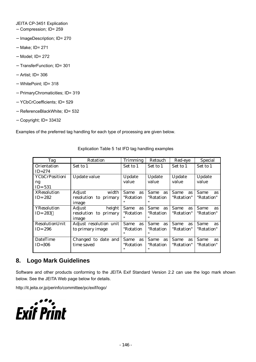JEITA CP-3451 Explication Compression; ID= 259 ImageDescription; ID= 270 Make; ID= 271 Model; ID= 272 TransferFunction; ID= 301 Artist; ID= 306 WhitePoint; ID= 318 PrimaryChromaticities; ID= 319 YCbCrCoefficients; ID= 529 ReferenceBlackWhite; ID= 532 Copyright; ID= 33432

Examples of the preferred tag handling for each type of processing are given below.

| Tag                         | <b>Rotation</b>                   | <b>Trimming</b>                            | Retouch                                    | Red-eye                         | <b>Special</b>                         |
|-----------------------------|-----------------------------------|--------------------------------------------|--------------------------------------------|---------------------------------|----------------------------------------|
| <b>Orientation</b>          | Set to 1                          | Set to 1                                   | Set to 1                                   | Set to 1                        | Set to 1                               |
| $ID=274$                    |                                   |                                            |                                            |                                 |                                        |
| <b>YCbCrPositioni</b>       | <b>Update value</b>               | Update                                     | Update                                     | Update                          | Update                                 |
| ng<br>$ID = 531$            |                                   | value                                      | value                                      | value                           | value                                  |
| <b>XResolution</b>          | <b>Adjust</b><br>width            | <b>Same</b><br><b>as</b>                   | <b>Same</b><br>as                          | <b>Same</b><br><b>as</b>        | <b>Same</b><br>as                      |
| $ID = 282$                  | resolution to primary<br>image    | "Rotation<br>"                             | "Rotation<br>"                             | "Rotation"                      | "Rotation"                             |
| <b>YResolution</b>          | <b>Adjust</b><br>height           | <b>Same</b><br>as                          | <b>Same</b><br>as                          | <b>Same</b><br><b>as</b>        | <b>Same</b><br><b>as</b>               |
| $ID = 283$                  | resolution to primary             | "Rotation                                  | "Rotation                                  | "Rotation"                      | "Rotation"                             |
|                             | image                             | "                                          | "                                          |                                 |                                        |
| <b>ResolutionUnit</b>       | Adjust resolution unit            | <b>Same</b><br>as                          | <b>Same</b><br><b>as</b>                   | <b>Same</b><br><b>as</b>        | <b>Same</b><br><b>as</b>               |
| $ID = 296$                  | to primary image                  | "Rotation<br>                              | "Rotation<br>"                             | "Rotation"                      | "Rotation"                             |
| <b>DateTime</b><br>$ID=306$ | Changed to date and<br>time saved | <b>Same</b><br><b>as</b><br>"Rotation<br>" | <b>Same</b><br><b>as</b><br>"Rotation<br>" | <b>Same</b><br>as<br>"Rotation" | <b>Same</b><br><b>as</b><br>"Rotation" |

Explication Table 5 1st IFD tag handling examples

# **8. Logo Mark Guidelines**

Software and other products conforming to the JEITA Exif Standard Version 2.2 can use the logo mark shown below. See the JEITA Web page below for details.

http://it.jeita.or.jp/perinfo/committee/pc/exif/logo/

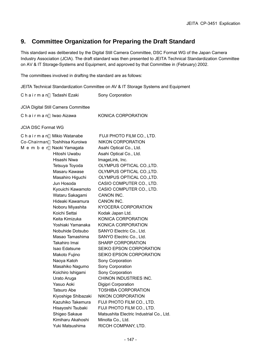# **9. Committee Organization for Preparing the Draft Standard**

This standard was deliberated by the Digital Still Camera Committee, DSC Format WG of the Japan Camera Industry Association (JCIA). The draft standard was then presented to JEITA Technical Standardization Committee on AV & IT Storage-Systems and Equipment, and approved by that Committee in (February) 2002.

The committees involved in drafting the standard are as follows:

JEITA Technical Standardization Committee on AV & IT Storage Systems and Equipment

Chairman Tadashi Ezaki Sony Corporation JCIA Digital Still Camera Committee Chairman Iwao Aizawa KONICA CORPORATION JCIA DSC Format WG Chairman Mikio Watanabe FUJI PHOTO FILM CO., LTD. Co-Chairman Toshihisa Kuroiwa NIKON CORPORATION M e m b e r Naoki Yamagata Asahi Optical Co., Ltd. Hitoshi Uwabu Asahi Optical Co., Ltd. Hisashi Niwa **ImageLink**, Inc. Tetsuya Toyoda OLYMPUS OPTICAL CO.,LTD. Masaru Kawase OLYMPUS OPTICAL CO.,LTD. Masahiro Higuchi OLYMPUS OPTICAL CO.,LTD. Jun Hosoda CASIO COMPUTER CO., LTD. Kyouichi Kawamoto CASIO COMPUTER CO., LTD. Wataru Sakagami CANON INC. Hideaki Kawamura CANON INC. Noboru Miyashita KYOCERA CORPORATION Koichi Settai Kodak Japan Ltd. Keita Kimizuka KONICA CORPORATION Yoshiaki Yamanaka KONICA CORPORATION Nobuhide Dotsubo SANYO Electric Co., Ltd. Masao Tamashima SANYO Electric Co., Ltd. Takahiro Imai SHARP CORPORATION Isao Edatsune SEIKO EPSON CORPORATION Makoto Fujino SEIKO EPSON CORPORATION Naoya Katoh Sony Corporation Masahiko Nagumo Sony Corporation Koichiro Ishigami Sony Corporation Urato Aruga CHINON INDUSTRIES INC. Yasuo Aoki Digipri Corporation Tatsuro Abe **TOSHIBA CORPORATION** Kiyoshige Shibazaki NIKON CORPORATION Kazuhiko Takemura FUJI PHOTO FILM CO., LTD. Hisayoshi Tsubaki FUJI PHOTO FILM CO., LTD. Shigeo Sakaue Matsushita Electric Industrial Co., Ltd. Kimiharu Akahoshi Minolta Co., Ltd. Yuki Matsushima RICOH COMPANY, LTD.